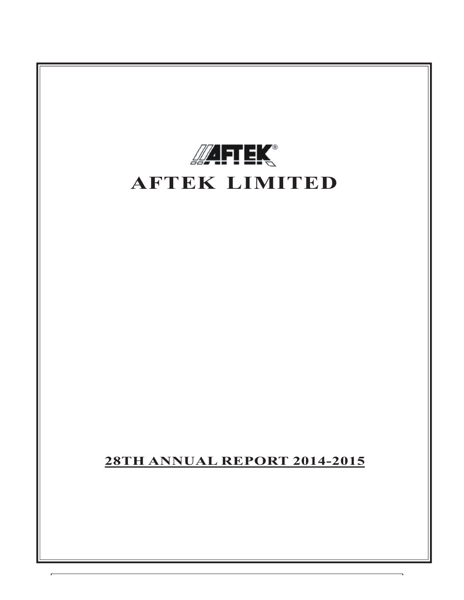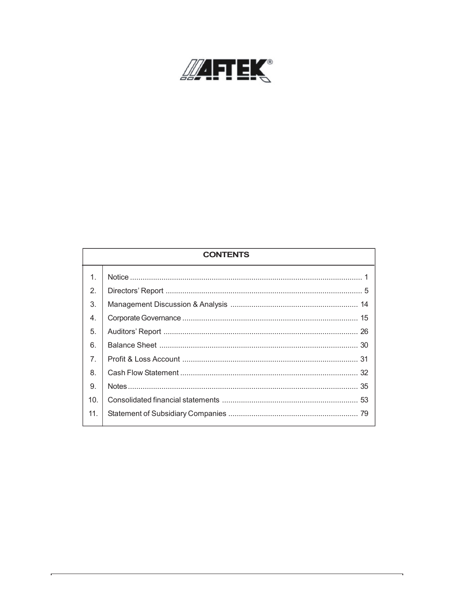

|                  | <b>CONTENTS</b> |  |  |  |
|------------------|-----------------|--|--|--|
| $\mathbf{1}$ .   |                 |  |  |  |
| 2.               |                 |  |  |  |
| 3.               |                 |  |  |  |
| $\overline{4}$ . |                 |  |  |  |
| 5.               |                 |  |  |  |
| 6.               |                 |  |  |  |
| 7 <sub>1</sub>   |                 |  |  |  |
| 8.               |                 |  |  |  |
| 9.               |                 |  |  |  |
| 10.              |                 |  |  |  |
| 11.              |                 |  |  |  |
|                  |                 |  |  |  |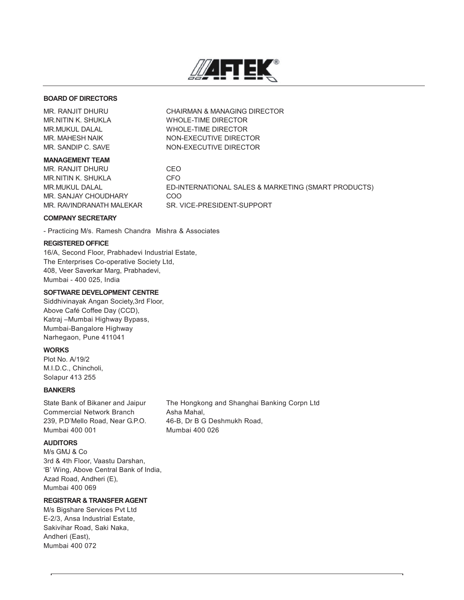

#### **BOARD OF DIRECTORS**

MR. RANJIT DHURU CHAIRMAN & MANAGING DIRECTOR MR.NITIN K. SHUKLA WHOLE-TIME DIRECTOR MR.MUKUL DALAL WHOLE-TIME DIRECTOR MR. MAHESH NAIK NON-EXECUTIVE DIRECTOR MR. SANDIP C. SAVE NON-EXECUTIVE DIRECTOR

#### **MANAGEMENT TEAM**

MR. RANJIT DHURU CEO MR.NITIN K. SHUKLA CFO MR. SANJAY CHOUDHARY COO

MR.MUKUL DALAL **ED-INTERNATIONAL SALES & MARKETING (SMART PRODUCTS)** MR. RAVINDRANATH MALEKAR SR. VICE-PRESIDENT-SUPPORT

#### **COMPANY SECRETARY**

- Practicing M/s. Ramesh Chandra Mishra & Associates

### **REGISTERED OFFICE**

16/A, Second Floor, Prabhadevi Industrial Estate, The Enterprises Co-operative Society Ltd, 408, Veer Saverkar Marg, Prabhadevi, Mumbai - 400 025, India

# **SOFTWARE DEVELOPMENT CENTRE**

Siddhivinayak Angan Society,3rd Floor, Above Café Coffee Day (CCD), Katraj -Mumbai Highway Bypass, Mumbai-Bangalore Highway Narhegaon, Pune 411041

### **WORKS**

Plot No. A/19/2 M.I.D.C., Chincholi, Solapur 413 255

#### **BANKERS**

Commercial Network Branch Asha Mahal, 239, P.DíMello Road, Near G.P.O. 46-B, Dr B G Deshmukh Road, Mumbai 400 001 Mumbai 400 026

### **AUDITORS**

M/s GMJ & Co 3rd & 4th Floor, Vaastu Darshan, 'B' Wing, Above Central Bank of India, Azad Road, Andheri (E), Mumbai 400 069

## **REGISTRAR & TRANSFER AGENT**

M/s Bigshare Services Pvt Ltd E-2/3, Ansa Industrial Estate, Sakivihar Road, Saki Naka, Andheri (East), Mumbai 400 072

State Bank of Bikaner and Jaipur The Hongkong and Shanghai Banking Corpn Ltd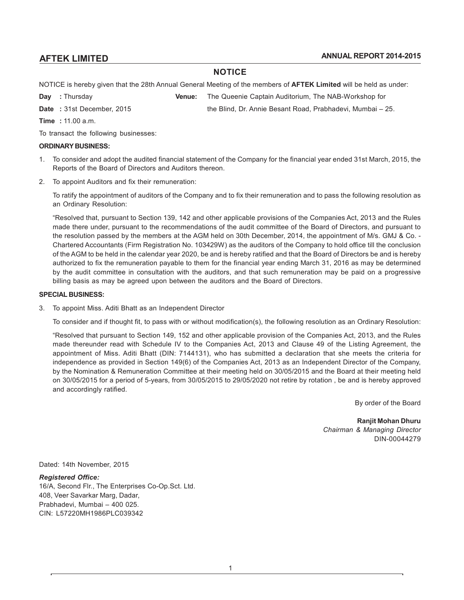# **NOTICE**

NOTICE is hereby given that the 28th Annual General Meeting of the members of **AFTEK Limited** will be held as under:

**Day :** Thursday **Venue:** The Queenie Captain Auditorium, The NAB-Workshop for

Date : 31st December, 2015 the Blind, Dr. Annie Besant Road, Prabhadevi, Mumbai – 25.

**Time :** 11.00 a.m.

To transact the following businesses:

## **ORDINARY BUSINESS:**

- 1. To consider and adopt the audited financial statement of the Company for the financial year ended 31st March, 2015, the Reports of the Board of Directors and Auditors thereon.
- 2. To appoint Auditors and fix their remuneration:

To ratify the appointment of auditors of the Company and to fix their remuneration and to pass the following resolution as an Ordinary Resolution:

ìResolved that, pursuant to Section 139, 142 and other applicable provisions of the Companies Act, 2013 and the Rules made there under, pursuant to the recommendations of the audit committee of the Board of Directors, and pursuant to the resolution passed by the members at the AGM held on 30th December, 2014, the appointment of M/s. GMJ & Co. - Chartered Accountants (Firm Registration No. 103429W) as the auditors of the Company to hold office till the conclusion of the AGM to be held in the calendar year 2020, be and is hereby ratified and that the Board of Directors be and is hereby authorized to fix the remuneration payable to them for the financial year ending March 31, 2016 as may be determined by the audit committee in consultation with the auditors, and that such remuneration may be paid on a progressive billing basis as may be agreed upon between the auditors and the Board of Directors.

## **SPECIAL BUSINESS:**

3. To appoint Miss. Aditi Bhatt as an Independent Director

To consider and if thought fit, to pass with or without modification(s), the following resolution as an Ordinary Resolution:

ìResolved that pursuant to Section 149, 152 and other applicable provision of the Companies Act, 2013, and the Rules made thereunder read with Schedule IV to the Companies Act, 2013 and Clause 49 of the Listing Agreement, the appointment of Miss. Aditi Bhatt (DIN: 7144131), who has submitted a declaration that she meets the criteria for independence as provided in Section 149(6) of the Companies Act, 2013 as an Independent Director of the Company, by the Nomination & Remuneration Committee at their meeting held on 30/05/2015 and the Board at their meeting held on 30/05/2015 for a period of 5-years, from 30/05/2015 to 29/05/2020 not retire by rotation , be and is hereby approved and accordingly ratified.

By order of the Board

**Ranjit Mohan Dhuru** *Chairman & Managing Director* DIN-00044279

Dated: 14th November, 2015

*Registered Office:* 16/A, Second Flr., The Enterprises Co-Op.Sct. Ltd. 408, Veer Savarkar Marg, Dadar, Prabhadevi, Mumbai - 400 025. CIN: L57220MH1986PLC039342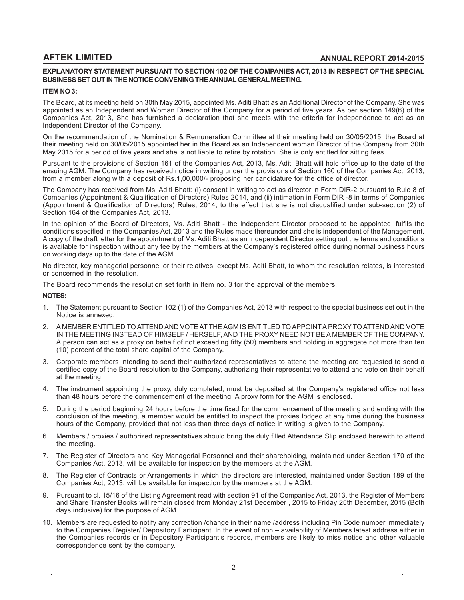# **EXPLANATORY STATEMENT PURSUANT TO SECTION 102 OF THE COMPANIES ACT, 2013 IN RESPECT OF THE SPECIAL BUSINESS SET OUT IN THE NOTICE CONVENING THEANNUAL GENERAL MEETING.**

### **ITEM NO 3:**

The Board, at its meeting held on 30th May 2015, appointed Ms. Aditi Bhatt as an Additional Director of the Company. She was appointed as an Independent and Woman Director of the Company for a period of five years .As per section 149(6) of the Companies Act, 2013, She has furnished a declaration that she meets with the criteria for independence to act as an Independent Director of the Company.

On the recommendation of the Nomination & Remuneration Committee at their meeting held on 30/05/2015, the Board at their meeting held on 30/05/2015 appointed her in the Board as an Independent woman Director of the Company from 30th May 2015 for a period of five years and she is not liable to retire by rotation. She is only entitled for sitting fees.

Pursuant to the provisions of Section 161 of the Companies Act, 2013, Ms. Aditi Bhatt will hold office up to the date of the ensuing AGM. The Company has received notice in writing under the provisions of Section 160 of the Companies Act, 2013, from a member along with a deposit of Rs.1,00,000/- proposing her candidature for the office of director.

The Company has received from Ms. Aditi Bhatt: (i) consent in writing to act as director in Form DIR-2 pursuant to Rule 8 of Companies (Appointment & Qualification of Directors) Rules 2014, and (ii) intimation in Form DIR -8 in terms of Companies (Appointment & Qualification of Directors) Rules, 2014, to the effect that she is not disqualified under sub-section (2) of Section 164 of the Companies Act, 2013.

In the opinion of the Board of Directors, Ms. Aditi Bhatt - the Independent Director proposed to be appointed, fulfils the conditions specified in the Companies Act, 2013 and the Rules made thereunder and she is independent of the Management. A copy of the draft letter for the appointment of Ms. Aditi Bhatt as an Independent Director setting out the terms and conditions is available for inspection without any fee by the members at the Company's registered office during normal business hours on working days up to the date of the AGM.

No director, key managerial personnel or their relatives, except Ms. Aditi Bhatt, to whom the resolution relates, is interested or concerned in the resolution.

The Board recommends the resolution set forth in Item no. 3 for the approval of the members.

### **NOTES:**

- 1. The Statement pursuant to Section 102 (1) of the Companies Act, 2013 with respect to the special business set out in the Notice is annexed.
- 2. A MEMBER ENTITLED TO ATTEND AND VOTE AT THE AGM IS ENTITLED TO APPOINTA PROXY TO ATTENDAND VOTE IN THE MEETING INSTEAD OF HIMSELF / HERSELF, AND THE PROXY NEED NOT BE A MEMBER OF THE COMPANY. A person can act as a proxy on behalf of not exceeding fifty (50) members and holding in aggregate not more than ten (10) percent of the total share capital of the Company.
- 3. Corporate members intending to send their authorized representatives to attend the meeting are requested to send a certified copy of the Board resolution to the Company, authorizing their representative to attend and vote on their behalf at the meeting.
- 4. The instrument appointing the proxy, duly completed, must be deposited at the Companyís registered office not less than 48 hours before the commencement of the meeting. A proxy form for the AGM is enclosed.
- 5. During the period beginning 24 hours before the time fixed for the commencement of the meeting and ending with the conclusion of the meeting, a member would be entitled to inspect the proxies lodged at any time during the business hours of the Company, provided that not less than three days of notice in writing is given to the Company.
- 6. Members / proxies / authorized representatives should bring the duly filled Attendance Slip enclosed herewith to attend the meeting.
- 7. The Register of Directors and Key Managerial Personnel and their shareholding, maintained under Section 170 of the Companies Act, 2013, will be available for inspection by the members at the AGM.
- 8. The Register of Contracts or Arrangements in which the directors are interested, maintained under Section 189 of the Companies Act, 2013, will be available for inspection by the members at the AGM.
- 9. Pursuant to cl. 15/16 of the Listing Agreement read with section 91 of the Companies Act, 2013, the Register of Members and Share Transfer Books will remain closed from Monday 21st December , 2015 to Friday 25th December, 2015 (Both days inclusive) for the purpose of AGM.
- 10. Members are requested to notify any correction /change in their name /address including Pin Code number immediately to the Companies Register/ Depository Participant .In the event of non – availability of Members latest address either in the Companies records or in Depository Participant's records, members are likely to miss notice and other valuable correspondence sent by the company.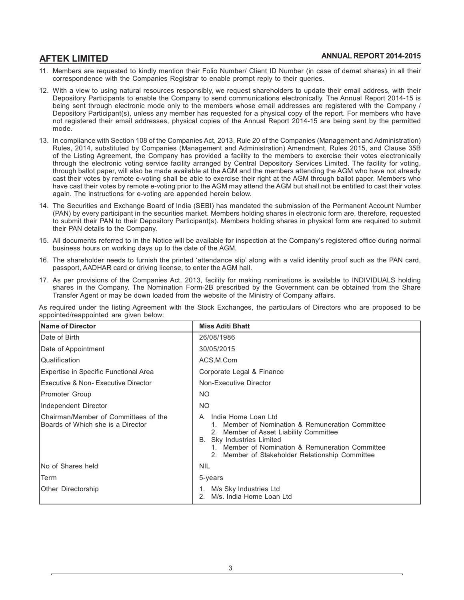- 11. Members are requested to kindly mention their Folio Number/ Client ID Number (in case of demat shares) in all their correspondence with the Companies Registrar to enable prompt reply to their queries.
- 12. With a view to using natural resources responsibly, we request shareholders to update their email address, with their Depository Participants to enable the Company to send communications electronically. The Annual Report 2014-15 is being sent through electronic mode only to the members whose email addresses are registered with the Company / Depository Participant(s), unless any member has requested for a physical copy of the report. For members who have not registered their email addresses, physical copies of the Annual Report 2014-15 are being sent by the permitted mode.
- 13. In compliance with Section 108 of the Companies Act, 2013, Rule 20 of the Companies (Management and Administration) Rules, 2014, substituted by Companies (Management and Administration) Amendment, Rules 2015, and Clause 35B of the Listing Agreement, the Company has provided a facility to the members to exercise their votes electronically through the electronic voting service facility arranged by Central Depository Services Limited. The facility for voting, through ballot paper, will also be made available at the AGM and the members attending the AGM who have not already cast their votes by remote e-voting shall be able to exercise their right at the AGM through ballot paper. Members who have cast their votes by remote e-voting prior to the AGM may attend the AGM but shall not be entitled to cast their votes again. The instructions for e-voting are appended herein below.
- 14. The Securities and Exchange Board of India (SEBI) has mandated the submission of the Permanent Account Number (PAN) by every participant in the securities market. Members holding shares in electronic form are, therefore, requested to submit their PAN to their Depository Participant(s). Members holding shares in physical form are required to submit their PAN details to the Company.
- 15. All documents referred to in the Notice will be available for inspection at the Companyís registered office during normal business hours on working days up to the date of the AGM.
- 16. The shareholder needs to furnish the printed ëattendance slipí along with a valid identity proof such as the PAN card, passport, AADHAR card or driving license, to enter the AGM hall.
- 17. As per provisions of the Companies Act, 2013, facility for making nominations is available to INDIVIDUALS holding shares in the Company. The Nomination Form-2B prescribed by the Government can be obtained from the Share Transfer Agent or may be down loaded from the website of the Ministry of Company affairs.

As required under the listing Agreement with the Stock Exchanges, the particulars of Directors who are proposed to be appointed/reappointed are given below:

| <b>Name of Director</b>                                                   | <b>Miss Aditi Bhatt</b>                                                                                                                                                                                                                                 |
|---------------------------------------------------------------------------|---------------------------------------------------------------------------------------------------------------------------------------------------------------------------------------------------------------------------------------------------------|
| Date of Birth                                                             | 26/08/1986                                                                                                                                                                                                                                              |
| Date of Appointment                                                       | 30/05/2015                                                                                                                                                                                                                                              |
| <b>Qualification</b>                                                      | ACS, M.Com                                                                                                                                                                                                                                              |
| Expertise in Specific Functional Area                                     | Corporate Legal & Finance                                                                                                                                                                                                                               |
| lExecutive & Non- Executive Director                                      | Non-Executive Director                                                                                                                                                                                                                                  |
| Promoter Group                                                            | N <sub>O</sub>                                                                                                                                                                                                                                          |
| Independent Director                                                      | <b>NO</b>                                                                                                                                                                                                                                               |
| Chairman/Member of Committees of the<br>Boards of Which she is a Director | India Home Loan Ltd<br>Member of Nomination & Remuneration Committee<br>2. Member of Asset Liability Committee<br>Sky Industries Limited<br>B.<br>Member of Nomination & Remuneration Committee<br>1<br>2. Member of Stakeholder Relationship Committee |
| INo of Shares held                                                        | <b>NIL</b>                                                                                                                                                                                                                                              |
| Term                                                                      | 5-years                                                                                                                                                                                                                                                 |
| Other Directorship                                                        | 1. M/s Sky Industries Ltd<br>M/s. India Home Loan Ltd<br>$2 -$                                                                                                                                                                                          |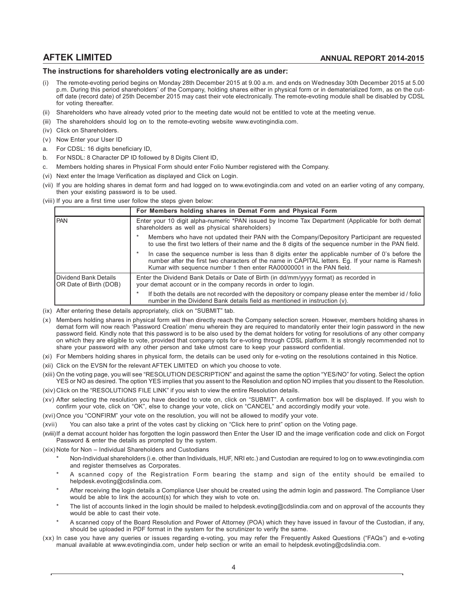#### **The instructions for shareholders voting electronically are as under:**

- (i) The remote-evoting period begins on Monday 28th December 2015 at 9.00 a.m. and ends on Wednesday 30th December 2015 at 5.00 p.m. During this period shareholders' of the Company, holding shares either in physical form or in dematerialized form, as on the cutoff date (record date) of 25th December 2015 may cast their vote electronically. The remote-evoting module shall be disabled by CDSL for voting thereafter.
- (ii) Shareholders who have already voted prior to the meeting date would not be entitled to vote at the meeting venue.
- (iii) The shareholders should log on to the remote-evoting website www.evotingindia.com.
- (iv) Click on Shareholders.
- (v) Now Enter your User ID
- a. For CDSL: 16 digits beneficiary ID,
- b. For NSDL: 8 Character DP ID followed by 8 Digits Client ID,
- c. Members holding shares in Physical Form should enter Folio Number registered with the Company.
- (vi) Next enter the Image Verification as displayed and Click on Login.
- (vii) If you are holding shares in demat form and had logged on to www.evotingindia.com and voted on an earlier voting of any company, then your existing password is to be used.
- (viii) If you are a first time user follow the steps given below:

|                                                 | For Members holding shares in Demat Form and Physical Form                                                                                                                                                                                                                  |  |
|-------------------------------------------------|-----------------------------------------------------------------------------------------------------------------------------------------------------------------------------------------------------------------------------------------------------------------------------|--|
| <b>PAN</b>                                      | Enter your 10 digit alpha-numeric *PAN issued by Income Tax Department (Applicable for both demat<br>shareholders as well as physical shareholders)                                                                                                                         |  |
|                                                 | Members who have not updated their PAN with the Company/Depository Participant are requested<br>to use the first two letters of their name and the 8 digits of the sequence number in the PAN field.                                                                        |  |
|                                                 | In case the sequence number is less than 8 digits enter the applicable number of 0's before the<br>number after the first two characters of the name in CAPITAL letters. Eg. If your name is Ramesh<br>Kumar with sequence number 1 then enter RA00000001 in the PAN field. |  |
| Dividend Bank Details<br>OR Date of Birth (DOB) | Enter the Dividend Bank Details or Date of Birth (in dd/mm/yyyy format) as recorded in<br>your demat account or in the company records in order to login.                                                                                                                   |  |
|                                                 | If both the details are not recorded with the depository or company please enter the member id / folio<br>number in the Dividend Bank details field as mentioned in instruction (v).                                                                                        |  |

(ix) After entering these details appropriately, click on "SUBMIT" tab.

- (x) Members holding shares in physical form will then directly reach the Company selection screen. However, members holding shares in demat form will now reach 'Password Creation' menu wherein they are required to mandatorily enter their login password in the new password field. Kindly note that this password is to be also used by the demat holders for voting for resolutions of any other company on which they are eligible to vote, provided that company opts for e-voting through CDSL platform. It is strongly recommended not to share your password with any other person and take utmost care to keep your password confidential.
- (xi) For Members holding shares in physical form, the details can be used only for e-voting on the resolutions contained in this Notice.
- (xii) Click on the EVSN for the relevant AFTEK LIMITED on which you choose to vote.
- (xiii) On the voting page, you will see "RESOLUTION DESCRIPTION" and against the same the option "YES/NO" for voting. Select the option YES or NO as desired. The option YES implies that you assent to the Resolution and option NO implies that you dissent to the Resolution.
- (xiv) Click on the "RESOLUTIONS FILE LINK" if you wish to view the entire Resolution details.
- (xv) After selecting the resolution you have decided to vote on, click on "SUBMIT". A confirmation box will be displayed. If you wish to confirm your vote, click on "OK", else to change your vote, click on "CANCEL" and accordingly modify your vote.
- (xvi) Once you "CONFIRM" your vote on the resolution, you will not be allowed to modify your vote.
- (xvii) You can also take a print of the votes cast by clicking on "Click here to print" option on the Voting page.
- (xviii)If a demat account holder has forgotten the login password then Enter the User ID and the image verification code and click on Forgot Password & enter the details as prompted by the system.
- $(xix)$  Note for Non  $-$  Individual Shareholders and Custodians
	- Non-Individual shareholders (i.e. other than Individuals, HUF, NRI etc.) and Custodian are required to log on to www.evotingindia.com and register themselves as Corporates.
	- A scanned copy of the Registration Form bearing the stamp and sign of the entity should be emailed to helpdesk.evoting@cdslindia.com.
	- After receiving the login details a Compliance User should be created using the admin login and password. The Compliance User would be able to link the account(s) for which they wish to vote on.
	- The list of accounts linked in the login should be mailed to helpdesk.evoting@cdslindia.com and on approval of the accounts they would be able to cast their vote.
	- A scanned copy of the Board Resolution and Power of Attorney (POA) which they have issued in favour of the Custodian, if any, should be uploaded in PDF format in the system for the scrutinizer to verify the same.
- (xx) In case you have any queries or issues regarding e-voting, you may refer the Frequently Asked Questions ("FAQs") and e-voting manual available at www.evotingindia.com, under help section or write an email to helpdesk.evoting@cdslindia.com.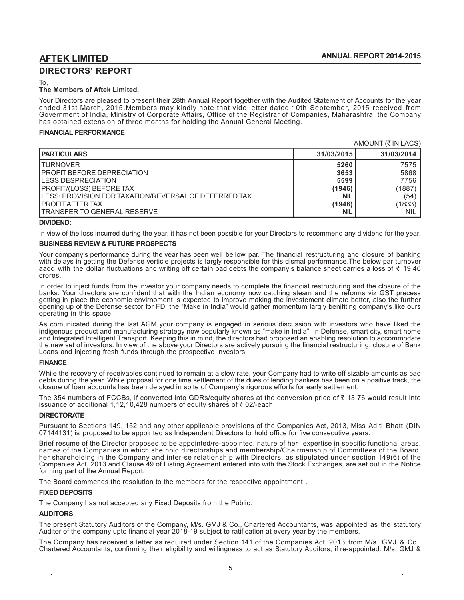# **DIRECTORSí REPORT**

To,

### **The Members of Aftek Limited,**

Your Directors are pleased to present their 28th Annual Report together with the Audited Statement of Accounts for the year ended 31st March, 2015.Members may kindly note that vide letter dated 10th September, 2015 received from Government of India, Ministry of Corporate Affairs, Office of the Registrar of Companies, Maharashtra, the Company has obtained extension of three months for holding the Annual General Meeting.

### **FINANCIAL PERFORMANCE**

|                                                        |            | AMOUNT (₹ IN LACS) |
|--------------------------------------------------------|------------|--------------------|
| <b>I PARTICULARS</b>                                   | 31/03/2015 | 31/03/2014         |
| <b>ITURNOVER</b>                                       | 5260       | 7575               |
| <b>PROFIT BEFORE DEPRECIATION</b>                      | 3653       | 5868               |
| <b>ILESS DESPRECIATION</b>                             | 5599       | 7756               |
| <b>I PROFIT/(LOSS) BEFORE TAX</b>                      | (1946)     | (1887)             |
| ILESS: PROVISION FOR TAXATION/REVERSAL OF DEFERRED TAX | NIL        | (54)               |
| <b>I PROFIT AFTER TAX</b>                              | (1946)     | (1833)             |
| <b>ITRANSFER TO GENERAL RESERVE</b>                    | <b>NIL</b> | <b>NIL</b>         |

#### **DIVIDEND:**

In view of the loss incurred during the year, it has not been possible for your Directors to recommend any dividend for the year.

## **BUSINESS REVIEW & FUTURE PROSPECTS**

Your company's performance during the year has been well bellow par. The financial restructuring and closure of banking with delays in getting the Defense verticle projects is largly responsible for this dismal performance.The below par turnover aadd with the dollar fluctuations and writing off certain bad debts the company's balance sheet carries a loss of  $\bar{\tau}$  19.46 crores.

In order to inject funds from the investor your company needs to complete the financial restructuring and the closure of the banks. Your directors are confident that with the Indian economy now catching steam and the reforms viz GST precess getting in place the economic envirnoment is expected to improve making the investement climate better, also the further opening up of the Defense sector for FDI the "Make in India" would gather momentum largly benifiting company's like ours operating in this space.

As comunicated during the last AGM your company is engaged in serious discussion with investors who have liked the indigenous product and manufacturing strategy now popularly known as "make in India", In Defense, smart city, smart home and Integrated Intelligent Transport. Keeping this in mind, the directors had proposed an enabling resolution to accommodate the new set of investors. In view of the above your Directors are actively pursuing the financial restructuring, closure of Bank Loans and injecting fresh funds through the prospective investors.

### **FINANCE**

While the recovery of receivables continued to remain at a slow rate, your Company had to write off sizable amounts as bad debts during the year. While proposal for one time settlement of the dues of lending bankers has been on a positive track, the closure of loan accounts has been delayed in spite of Companyís rigorous efforts for early settlement.

The 354 numbers of FCCBs, if converted into GDRs/equity shares at the conversion price of  $\bar{\tau}$  13.76 would result into issuance of additional 1,12,10,428 numbers of equity shares of  $\bar{\tau}$  02/-each.

### **DIRECTORATE**

Pursuant to Sections 149, 152 and any other applicable provisions of the Companies Act, 2013, Miss Aditi Bhatt (DIN 07144131) is proposed to be appointed as Independent Directors to hold office for five consecutive years.

Brief resume of the Director proposed to be appointed/re-appointed, nature of her expertise in specific functional areas, names of the Companies in which she hold directorships and membership/Chairmanship of Committees of the Board, her shareholding in the Company and inter-se relationship with Directors, as stipulated under section 149(6) of the Companies Act, 2013 and Clause 49 of Listing Agreement entered into with the Stock Exchanges, are set out in the Notice forming part of the Annual Report.

The Board commends the resolution to the members for the respective appointment .

### **FIXED DEPOSITS**

The Company has not accepted any Fixed Deposits from the Public.

### **AUDITORS**

The present Statutory Auditors of the Company, M/s. GMJ & Co., Chartered Accountants, was appointed as the statutory Auditor of the company upto financial year 2018-19 subject to ratification at every year by the members.

The Company has received a letter as required under Section 141 of the Companies Act, 2013 from M/s. GMJ & Co., Chartered Accountants, confirming their eligibility and willingness to act as Statutory Auditors, if re-appointed. M/s. GMJ &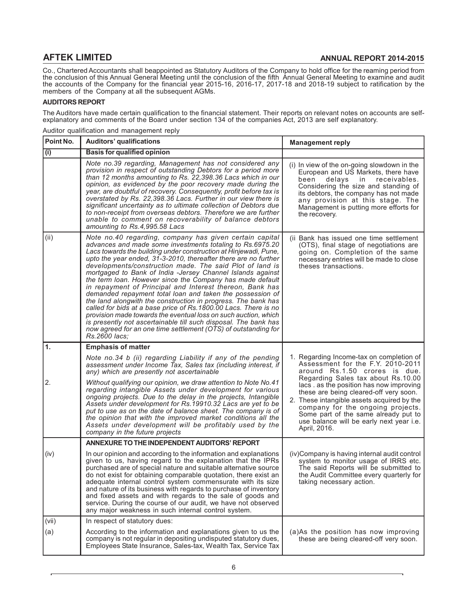Co., Chartered Accountants shall beappointed as Statutory Auditors of the Company to hold office for the reaming period from the conclusion of this Annual General Meeting until the conclusion of the fifth Annual General Meeting to examine and audit the accounts of the Company for the financial year 2015-16, 2016-17, 2017-18 and 2018-19 subject to ratification by the members of the Company at all the subsequent AGMs.

# **AUDITORS REPORT**

The Auditors have made certain qualification to the financial statement. Their reports on relevant notes on accounts are selfexplanatory and comments of the Board under section 134 of the companies Act, 2013 are self explanatory.

Auditor qualification and management reply

| Point No. | <b>Auditors' qualifications</b>                                                                                                                                                                                                                                                                                                                                                                                                                                                                                                                                                                                                                                                                                                                                                                                                                                                                                                          | <b>Management reply</b>                                                                                                                                                                                                                                                                                                                                                                                                           |  |
|-----------|------------------------------------------------------------------------------------------------------------------------------------------------------------------------------------------------------------------------------------------------------------------------------------------------------------------------------------------------------------------------------------------------------------------------------------------------------------------------------------------------------------------------------------------------------------------------------------------------------------------------------------------------------------------------------------------------------------------------------------------------------------------------------------------------------------------------------------------------------------------------------------------------------------------------------------------|-----------------------------------------------------------------------------------------------------------------------------------------------------------------------------------------------------------------------------------------------------------------------------------------------------------------------------------------------------------------------------------------------------------------------------------|--|
| (i)       | <b>Basis for qualified opinion</b>                                                                                                                                                                                                                                                                                                                                                                                                                                                                                                                                                                                                                                                                                                                                                                                                                                                                                                       |                                                                                                                                                                                                                                                                                                                                                                                                                                   |  |
|           | Note no.39 regarding, Management has not considered any<br>provision in respect of outstanding Debtors for a period more<br>than 12 months amounting to Rs. 22,398.36 Lacs which in our<br>opinion, as evidenced by the poor recovery made during the<br>year, are doubtful of recovery. Consequently, profit before tax is<br>overstated by Rs. 22,398.36 Lacs. Further in our view there is<br>significant uncertainty as to ultimate collection of Debtors due<br>to non-receipt from overseas debtors. Therefore we are further<br>unable to comment on recoverability of balance debtors<br>amounting to Rs.4,995.58 Lacs                                                                                                                                                                                                                                                                                                           | (i) In view of the on-going slowdown in the<br>European and US Markets, there have<br>been delays<br>in receivables.<br>Considering the size and standing of<br>its debtors, the company has not made<br>any provision at this stage. The<br>Management is putting more efforts for<br>the recovery.                                                                                                                              |  |
| (ii)      | Note no.40 regarding, company has given certain capital<br>advances and made some investments totaling to Rs.6975.20<br>Lacs towards the building under construction at Hinjewadi, Pune,<br>upto the year ended, 31-3-2010, thereafter there are no further<br>developments/construction made. The said Plot of land is<br>mortgaged to Bank of India -Jersey Channel Islands against<br>the term loan. However since the Company has made default<br>in repayment of Principal and Interest thereon, Bank has<br>demanded repayment total loan and taken the possession of<br>the land alongwith the construction in progress. The bank has<br>called for bids at a base price of Rs.1800.00 Lacs. There is no<br>provision made towards the eventual loss on such auction, which<br>is presently not ascertainable till such disposal. The bank has<br>now agreed for an one time settlement (OTS) of outstanding for<br>Rs.2600 lacs: | (ii Bank has issued one time settlement<br>(OTS), final stage of negotiations are<br>going on. Completion of the same<br>necessary entries will be made to close<br>theses transactions.                                                                                                                                                                                                                                          |  |
| 1.        | <b>Emphasis of matter</b>                                                                                                                                                                                                                                                                                                                                                                                                                                                                                                                                                                                                                                                                                                                                                                                                                                                                                                                |                                                                                                                                                                                                                                                                                                                                                                                                                                   |  |
|           | Note no.34 b (ii) regarding Liability if any of the pending<br>assessment under Income Tax, Sales tax (including interest, if<br>any) which are presently not ascertainable                                                                                                                                                                                                                                                                                                                                                                                                                                                                                                                                                                                                                                                                                                                                                              | 1. Regarding Income-tax on completion of<br>Assessment for the F.Y. 2010-2011<br>around Rs.1.50 crores is due.<br>Regarding Sales tax about Rs.10.00<br>lacs . as the position has now improving<br>these are being cleared-off very soon.<br>2. These intangible assets acquired by the<br>company for the ongoing projects.<br>Some part of the same already put to<br>use balance will be early next year i.e.<br>April, 2016. |  |
| 2.        | Without qualifying our opinion, we draw attention to Note No.41<br>regarding intangible Assets under development for various<br>ongoing projects. Due to the delay in the projects, Intangible<br>Assets under development for Rs.19910.32 Lacs are yet to be<br>put to use as on the date of balance sheet. The company is of<br>the opinion that with the improved market conditions all the<br>Assets under development will be profitably used by the<br>company in the future projects                                                                                                                                                                                                                                                                                                                                                                                                                                              |                                                                                                                                                                                                                                                                                                                                                                                                                                   |  |
|           | ANNEXURE TO THE INDEPENDENT AUDITORS' REPORT                                                                                                                                                                                                                                                                                                                                                                                                                                                                                                                                                                                                                                                                                                                                                                                                                                                                                             |                                                                                                                                                                                                                                                                                                                                                                                                                                   |  |
| (iv)      | In our opinion and according to the information and explanations<br>given to us, having regard to the explanation that the IPRs<br>purchased are of special nature and suitable alternative source<br>do not exist for obtaining comparable quotation, there exist an<br>adequate internal control system commensurate with its size<br>and nature of its business with regards to purchase of inventory<br>and fixed assets and with regards to the sale of goods and<br>service. During the course of our audit, we have not observed<br>any major weakness in such internal control system.                                                                                                                                                                                                                                                                                                                                           | (iv) Company is having internal audit control<br>system to monitor usage of IRRS etc.<br>The said Reports will be submitted to<br>the Audit Committee every quarterly for<br>taking necessary action.                                                                                                                                                                                                                             |  |
| (vii)     | In respect of statutory dues:                                                                                                                                                                                                                                                                                                                                                                                                                                                                                                                                                                                                                                                                                                                                                                                                                                                                                                            |                                                                                                                                                                                                                                                                                                                                                                                                                                   |  |
| (a)       | According to the information and explanations given to us the<br>company is not regular in depositing undisputed statutory dues,<br>Employees State Insurance, Sales-tax, Wealth Tax, Service Tax                                                                                                                                                                                                                                                                                                                                                                                                                                                                                                                                                                                                                                                                                                                                        | (a)As the position has now improving<br>these are being cleared-off very soon.                                                                                                                                                                                                                                                                                                                                                    |  |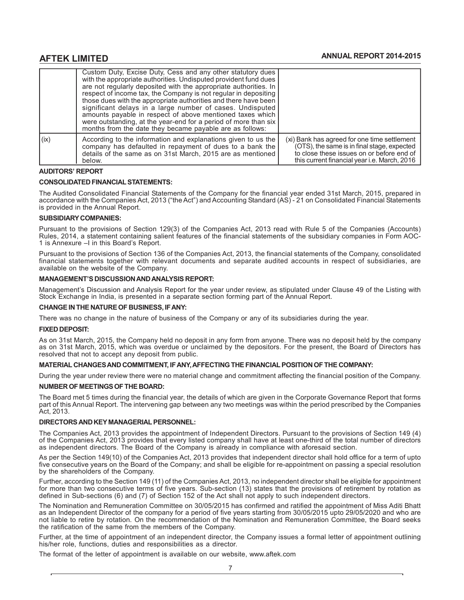|     | Custom Duty, Excise Duty, Cess and any other statutory dues<br>with the appropriate authorities. Undisputed provident fund dues<br>are not regularly deposited with the appropriate authorities. In<br>respect of income tax, the Company is not regular in depositing<br>those dues with the appropriate authorities and there have been<br>significant delays in a large number of cases. Undisputed<br>amounts payable in respect of above mentioned taxes which<br>were outstanding, at the year-end for a period of more than six<br>months from the date they became payable are as follows: |                                                                                                                                                                                          |
|-----|----------------------------------------------------------------------------------------------------------------------------------------------------------------------------------------------------------------------------------------------------------------------------------------------------------------------------------------------------------------------------------------------------------------------------------------------------------------------------------------------------------------------------------------------------------------------------------------------------|------------------------------------------------------------------------------------------------------------------------------------------------------------------------------------------|
| (x) | According to the information and explanations given to us the<br>company has defaulted in repayment of dues to a bank the<br>details of the same as on 31st March, 2015 are as mentioned<br>below.                                                                                                                                                                                                                                                                                                                                                                                                 | (xi) Bank has agreed for one time settlement<br>(OTS), the same is in final stage, expected<br>to close these issues on or before end of<br>this current financial year i.e. March, 2016 |

### **AUDITORSí REPORT**

#### **CONSOLIDATED FINANCIAL STATEMENTS:**

The Audited Consolidated Financial Statements of the Company for the financial year ended 31st March, 2015, prepared in accordance with the Companies Act, 2013 ("the Act") and Accounting Standard (AS) - 21 on Consolidated Financial Statements is provided in the Annual Report.

#### **SUBSIDIARY COMPANIES:**

Pursuant to the provisions of Section 129(3) of the Companies Act, 2013 read with Rule 5 of the Companies (Accounts) Rules, 2014, a statement containing salient features of the financial statements of the subsidiary companies in Form AOC-1 is Annexure - I in this Board's Report.

Pursuant to the provisions of Section 136 of the Companies Act, 2013, the financial statements of the Company, consolidated financial statements together with relevant documents and separate audited accounts in respect of subsidiaries, are available on the website of the Company.

#### **MANAGEMENTíS DISCUSSION AND ANALYSIS REPORT:**

Managementís Discussion and Analysis Report for the year under review, as stipulated under Clause 49 of the Listing with Stock Exchange in India, is presented in a separate section forming part of the Annual Report.

#### **CHANGE IN THE NATURE OF BUSINESS, IFANY:**

There was no change in the nature of business of the Company or any of its subsidiaries during the year.

#### **FIXED DEPOSIT:**

As on 31st March, 2015, the Company held no deposit in any form from anyone. There was no deposit held by the company as on 31st March, 2015, which was overdue or unclaimed by the depositors. For the present, the Board of Directors has resolved that not to accept any deposit from public.

### **MATERIAL CHANGESAND COMMITMENT, IF ANY,AFFECTING THE FINANCIAL POSITION OF THE COMPANY:**

During the year under review there were no material change and commitment affecting the financial position of the Company.

### **NUMBER OF MEETINGS OF THE BOARD:**

The Board met 5 times during the financial year, the details of which are given in the Corporate Governance Report that forms part of this Annual Report. The intervening gap between any two meetings was within the period prescribed by the Companies Act, 2013.

#### **DIRECTORS AND KEY MANAGERIAL PERSONNEL:**

The Companies Act, 2013 provides the appointment of Independent Directors. Pursuant to the provisions of Section 149 (4) of the Companies Act, 2013 provides that every listed company shall have at least one-third of the total number of directors as independent directors. The Board of the Company is already in compliance with aforesaid section.

As per the Section 149(10) of the Companies Act, 2013 provides that independent director shall hold office for a term of upto five consecutive years on the Board of the Company; and shall be eligible for re-appointment on passing a special resolution by the shareholders of the Company.

Further, according to the Section 149 (11) of the Companies Act, 2013, no independent director shall be eligible for appointment for more than two consecutive terms of five years. Sub-section (13) states that the provisions of retirement by rotation as defined in Sub-sections (6) and (7) of Section 152 of the Act shall not apply to such independent directors.

The Nomination and Remuneration Committee on 30/05/2015 has confirmed and ratified the appointment of Miss Aditi Bhatt as an Independent Director of the company for a period of five years starting from 30/05/2015 upto 29/05/2020 and who are not liable to retire by rotation. On the recommendation of the Nomination and Remuneration Committee, the Board seeks the ratification of the same from the members of the Company.

Further, at the time of appointment of an independent director, the Company issues a formal letter of appointment outlining his/her role, functions, duties and responsibilities as a director.

The format of the letter of appointment is available on our website, www.aftek.com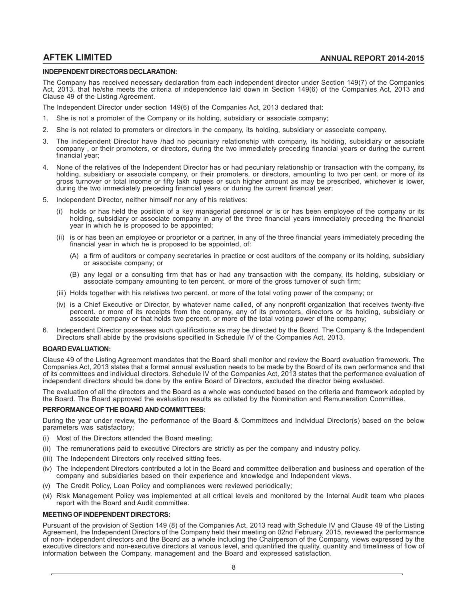#### **INDEPENDENT DIRECTORS DECLARATION:**

The Company has received necessary declaration from each independent director under Section 149(7) of the Companies Act, 2013, that he/she meets the criteria of independence laid down in Section 149(6) of the Companies Act, 2013 and Clause 49 of the Listing Agreement.

The Independent Director under section 149(6) of the Companies Act, 2013 declared that:

- 1. She is not a promoter of the Company or its holding, subsidiary or associate company;
- 2. She is not related to promoters or directors in the company, its holding, subsidiary or associate company.
- 3. The independent Director have /had no pecuniary relationship with company, its holding, subsidiary or associate company , or their promoters, or directors, during the two immediately preceding financial years or during the current financial year;
- 4. None of the relatives of the Independent Director has or had pecuniary relationship or transaction with the company, its holding, subsidiary or associate company, or their promoters, or directors, amounting to two per cent. or more of its gross turnover or total income or fifty lakh rupees or such higher amount as may be prescribed, whichever is lower, during the two immediately preceding financial years or during the current financial year;
- 5. Independent Director, neither himself nor any of his relatives:
	- (i) holds or has held the position of a key managerial personnel or is or has been employee of the company or its holding, subsidiary or associate company in any of the three financial years immediately preceding the financial year in which he is proposed to be appointed;
	- (ii) is or has been an employee or proprietor or a partner, in any of the three financial years immediately preceding the financial year in which he is proposed to be appointed, of:
		- (A) a firm of auditors or company secretaries in practice or cost auditors of the company or its holding, subsidiary or associate company; or
		- (B) any legal or a consulting firm that has or had any transaction with the company, its holding, subsidiary or associate company amounting to ten percent. or more of the gross turnover of such firm;
	- (iii) Holds together with his relatives two percent. or more of the total voting power of the company; or
	- (iv) is a Chief Executive or Director, by whatever name called, of any nonprofit organization that receives twenty-five percent. or more of its receipts from the company, any of its promoters, directors or its holding, subsidiary or associate company or that holds two percent. or more of the total voting power of the company;
- 6. Independent Director possesses such qualifications as may be directed by the Board. The Company & the Independent Directors shall abide by the provisions specified in Schedule IV of the Companies Act, 2013.

#### **BOARD EVALUATION:**

Clause 49 of the Listing Agreement mandates that the Board shall monitor and review the Board evaluation framework. The Companies Act, 2013 states that a formal annual evaluation needs to be made by the Board of its own performance and that of its committees and individual directors. Schedule IV of the Companies Act, 2013 states that the performance evaluation of independent directors should be done by the entire Board of Directors, excluded the director being evaluated.

The evaluation of all the directors and the Board as a whole was conducted based on the criteria and framework adopted by the Board. The Board approved the evaluation results as collated by the Nomination and Remuneration Committee.

#### **PERFORMANCE OF THE BOARD AND COMMITTEES:**

During the year under review, the performance of the Board & Committees and Individual Director(s) based on the below parameters was satisfactory:

- (i) Most of the Directors attended the Board meeting;
- (ii) The remunerations paid to executive Directors are strictly as per the company and industry policy.
- (iii) The Independent Directors only received sitting fees.
- (iv) The Independent Directors contributed a lot in the Board and committee deliberation and business and operation of the company and subsidiaries based on their experience and knowledge and Independent views.
- (v) The Credit Policy, Loan Policy and compliances were reviewed periodically;
- (vi) Risk Management Policy was implemented at all critical levels and monitored by the Internal Audit team who places report with the Board and Audit committee.

#### **MEETING OFINDEPENDENT DIRECTORS:**

Pursuant of the provision of Section 149 (8) of the Companies Act, 2013 read with Schedule IV and Clause 49 of the Listing Agreement, the Independent Directors of the Company held their meeting on 02nd February, 2015, reviewed the performance of non- independent directors and the Board as a whole including the Chairperson of the Company, views expressed by the executive directors and non-executive directors at various level, and quantified the quality, quantity and timeliness of flow of information between the Company, management and the Board and expressed satisfaction.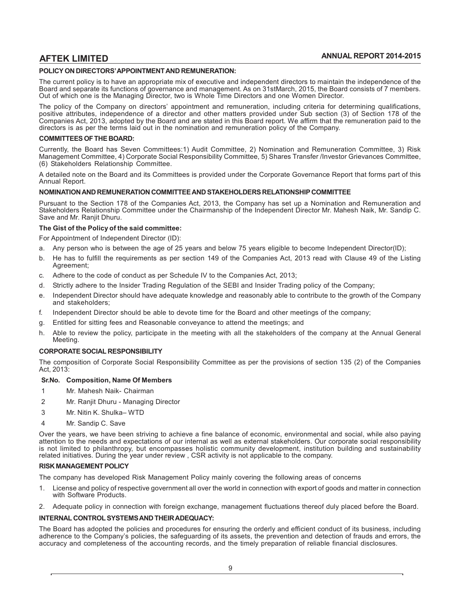## **POLICY ON DIRECTORSí APPOINTMENT AND REMUNERATION:**

The current policy is to have an appropriate mix of executive and independent directors to maintain the independence of the Board and separate its functions of governance and management. As on 31stMarch, 2015, the Board consists of 7 members. Out of which one is the Managing Director, two is Whole Time Directors and one Women Director.

The policy of the Company on directors' appointment and remuneration, including criteria for determining qualifications, positive attributes, independence of a director and other matters provided under Sub section (3) of Section 178 of the Companies Act, 2013, adopted by the Board and are stated in this Board report. We affirm that the remuneration paid to the directors is as per the terms laid out in the nomination and remuneration policy of the Company.

#### **COMMITTEES OF THE BOARD:**

Currently, the Board has Seven Committees:1) Audit Committee, 2) Nomination and Remuneration Committee, 3) Risk Management Committee, 4) Corporate Social Responsibility Committee, 5) Shares Transfer /Investor Grievances Committee, (6) Stakeholders Relationship Committee.

A detailed note on the Board and its Committees is provided under the Corporate Governance Report that forms part of this Annual Report.

#### **NOMINATION AND REMUNERATION COMMITTEEAND STAKEHOLDERS RELATIONSHIP COMMITTEE**

Pursuant to the Section 178 of the Companies Act, 2013, the Company has set up a Nomination and Remuneration and Stakeholders Relationship Committee under the Chairmanship of the Independent Director Mr. Mahesh Naik, Mr. Sandip C. Save and Mr. Ranjit Dhuru.

### **The Gist of the Policy of the said committee:**

For Appointment of Independent Director (ID):

- a. Any person who is between the age of 25 years and below 75 years eligible to become Independent Director(ID);
- b. He has to fulfill the requirements as per section 149 of the Companies Act, 2013 read with Clause 49 of the Listing Agreement;
- c. Adhere to the code of conduct as per Schedule IV to the Companies Act, 2013;
- d. Strictly adhere to the Insider Trading Regulation of the SEBI and Insider Trading policy of the Company;
- e. Independent Director should have adequate knowledge and reasonably able to contribute to the growth of the Company and stakeholders;
- f. Independent Director should be able to devote time for the Board and other meetings of the company;
- g. Entitled for sitting fees and Reasonable conveyance to attend the meetings; and
- h. Able to review the policy, participate in the meeting with all the stakeholders of the company at the Annual General Meeting.

### **CORPORATE SOCIAL RESPONSIBILITY**

The composition of Corporate Social Responsibility Committee as per the provisions of section 135 (2) of the Companies Act, 2013:

#### **Sr.No. Composition, Name Of Members**

- 1 Mr. Mahesh Naik- Chairman
- 2 Mr. Ranjit Dhuru Managing Director
- 3 Mr. Nitin K. Shulka-WTD
- 4 Mr. Sandip C. Save

Over the years, we have been striving to achieve a fine balance of economic, environmental and social, while also paying attention to the needs and expectations of our internal as well as external stakeholders. Our corporate social responsibility is not limited to philanthropy, but encompasses holistic community development, institution building and sustainability related initiatives. During the year under review , CSR activity is not applicable to the company.

#### **RISK MANAGEMENT POLICY**

The company has developed Risk Management Policy mainly covering the following areas of concerns

- 1. License and policy of respective government all over the world in connection with export of goods and matter in connection with Software Products.
- 2. Adequate policy in connection with foreign exchange, management fluctuations thereof duly placed before the Board.

### **INTERNAL CONTROL SYSTEMSAND THEIRADEQUACY:**

The Board has adopted the policies and procedures for ensuring the orderly and efficient conduct of its business, including adherence to the Companyís policies, the safeguarding of its assets, the prevention and detection of frauds and errors, the accuracy and completeness of the accounting records, and the timely preparation of reliable financial disclosures.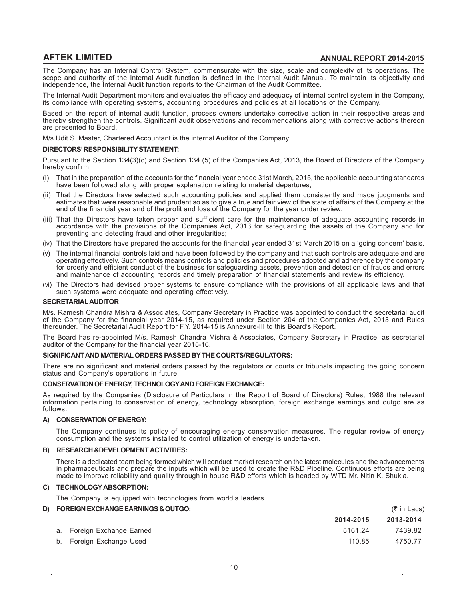The Company has an Internal Control System, commensurate with the size, scale and complexity of its operations. The scope and authority of the Internal Audit function is defined in the Internal Audit Manual. To maintain its objectivity and independence, the Internal Audit function reports to the Chairman of the Audit Committee.

The Internal Audit Department monitors and evaluates the efficacy and adequacy of internal control system in the Company, its compliance with operating systems, accounting procedures and policies at all locations of the Company.

Based on the report of internal audit function, process owners undertake corrective action in their respective areas and thereby strengthen the controls. Significant audit observations and recommendations along with corrective actions thereon are presented to Board.

M/s.Udit S. Master, Chartered Accountant is the internal Auditor of the Company.

#### **DIRECTORSí RESPONSIBILITY STATEMENT:**

Pursuant to the Section 134(3)(c) and Section 134 (5) of the Companies Act, 2013, the Board of Directors of the Company hereby confirm:

- That in the preparation of the accounts for the financial year ended 31st March, 2015, the applicable accounting standards have been followed along with proper explanation relating to material departures;
- (ii) That the Directors have selected such accounting policies and applied them consistently and made judgments and estimates that were reasonable and prudent so as to give a true and fair view of the state of affairs of the Company at the end of the financial year and of the profit and loss of the Company for the year under review;
- (iii) That the Directors have taken proper and sufficient care for the maintenance of adequate accounting records in accordance with the provisions of the Companies Act, 2013 for safeguarding the assets of the Company and for preventing and detecting fraud and other irregularities;
- (iv) That the Directors have prepared the accounts for the financial year ended 31st March 2015 on a ëgoing concerní basis.
- (v) The internal financial controls laid and have been followed by the company and that such controls are adequate and are operating effectively. Such controls means controls and policies and procedures adopted and adherence by the company for orderly and efficient conduct of the business for safeguarding assets, prevention and detection of frauds and errors and maintenance of accounting records and timely preparation of financial statements and review its efficiency.
- (vi) The Directors had devised proper systems to ensure compliance with the provisions of all applicable laws and that such systems were adequate and operating effectively.

#### **SECRETARIALAUDITOR**

M/s. Ramesh Chandra Mishra & Associates, Company Secretary in Practice was appointed to conduct the secretarial audit of the Company for the financial year 2014-15, as required under Section 204 of the Companies Act, 2013 and Rules thereunder. The Secretarial Audit Report for F.Y. 2014-15 is Annexure-III to this Boardís Report.

The Board has re-appointed M/s. Ramesh Chandra Mishra & Associates, Company Secretary in Practice, as secretarial auditor of the Company for the financial year 2015-16.

#### **SIGNIFICANT AND MATERIAL ORDERS PASSED BY THE COURTS/REGULATORS:**

There are no significant and material orders passed by the regulators or courts or tribunals impacting the going concern status and Company's operations in future.

#### **CONSERVATION OF ENERGY, TECHNOLOGYAND FOREIGNEXCHANGE:**

As required by the Companies (Disclosure of Particulars in the Report of Board of Directors) Rules, 1988 the relevant information pertaining to conservation of energy, technology absorption, foreign exchange earnings and outgo are as follows:

#### **A) CONSERVATION OF ENERGY:**

The Company continues its policy of encouraging energy conservation measures. The regular review of energy consumption and the systems installed to control utilization of energy is undertaken.

#### **B) RESEARCH &DEVELOPMENT ACTIVITIES:**

There is a dedicated team being formed which will conduct market research on the latest molecules and the advancements in pharmaceuticals and prepare the inputs which will be used to create the R&D Pipeline. Continuous efforts are being made to improve reliability and quality through in house R&D efforts which is headed by WTD Mr. Nitin K. Shukla.

### **C) TECHNOLOGY ABSORPTION:**

The Company is equipped with technologies from world's leaders.

### **D) FOREIGN EXCHANGE EARNINGS & OUTGO:** (₹ in Lacs)

|                            | 2014-2015 | 2013-2014 |
|----------------------------|-----------|-----------|
| a. Foreign Exchange Earned | 5161.24   | 7439.82   |
| b. Foreign Exchange Used   | 110.85    | 4750.77   |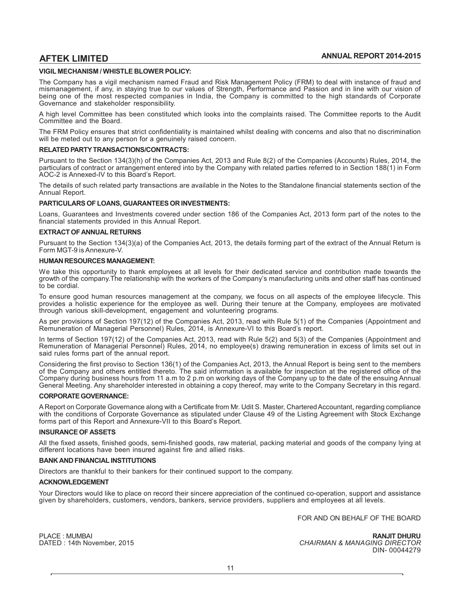### **VIGIL MECHANISM / WHISTLE BLOWER POLICY:**

The Company has a vigil mechanism named Fraud and Risk Management Policy (FRM) to deal with instance of fraud and mismanagement, if any, in staying true to our values of Strength, Performance and Passion and in line with our vision of being one of the most respected companies in India, the Company is committed to the high standards of Corporate Governance and stakeholder responsibility.

A high level Committee has been constituted which looks into the complaints raised. The Committee reports to the Audit Committee and the Board.

The FRM Policy ensures that strict confidentiality is maintained whilst dealing with concerns and also that no discrimination will be meted out to any person for a genuinely raised concern.

#### **RELATED PARTY TRANSACTIONS/CONTRACTS:**

Pursuant to the Section 134(3)(h) of the Companies Act, 2013 and Rule 8(2) of the Companies (Accounts) Rules, 2014, the particulars of contract or arrangement entered into by the Company with related parties referred to in Section 188(1) in Form AOC-2 is Annexed-IV to this Board's Report.

The details of such related party transactions are available in the Notes to the Standalone financial statements section of the Annual Report.

#### **PARTICULARS OF LOANS, GUARANTEES OR INVESTMENTS:**

Loans, Guarantees and Investments covered under section 186 of the Companies Act, 2013 form part of the notes to the financial statements provided in this Annual Report.

#### **EXTRACT OF ANNUAL RETURNS**

Pursuant to the Section 134(3)(a) of the Companies Act, 2013, the details forming part of the extract of the Annual Return is Form MGT-9 is Annexure-V.

#### **HUMAN RESOURCES MANAGEMENT:**

We take this opportunity to thank employees at all levels for their dedicated service and contribution made towards the growth of the company.The relationship with the workers of the Companyís manufacturing units and other staff has continued to be cordial.

To ensure good human resources management at the company, we focus on all aspects of the employee lifecycle. This provides a holistic experience for the employee as well. During their tenure at the Company, employees are motivated through various skill-development, engagement and volunteering programs.

As per provisions of Section 197(12) of the Companies Act, 2013, read with Rule 5(1) of the Companies (Appointment and Remuneration of Managerial Personnel) Rules, 2014, is Annexure-VI to this Boardís report.

In terms of Section 197(12) of the Companies Act, 2013, read with Rule 5(2) and 5(3) of the Companies (Appointment and Remuneration of Managerial Personnel) Rules, 2014, no employee(s) drawing remuneration in excess of limits set out in said rules forms part of the annual report.

Considering the first proviso to Section 136(1) of the Companies Act, 2013, the Annual Report is being sent to the members of the Company and others entitled thereto. The said information is available for inspection at the registered office of the Company during business hours from 11 a.m to 2 p.m on working days of the Company up to the date of the ensuing Annual General Meeting. Any shareholder interested in obtaining a copy thereof, may write to the Company Secretary in this regard.

#### **CORPORATE GOVERNANCE:**

A Report on Corporate Governance along with a Certificate from Mr. Udit S. Master, Chartered Accountant, regarding compliance with the conditions of Corporate Governance as stipulated under Clause 49 of the Listing Agreement with Stock Exchange forms part of this Report and Annexure-VII to this Board's Report.

#### **INSURANCE OF ASSETS**

All the fixed assets, finished goods, semi-finished goods, raw material, packing material and goods of the company lying at different locations have been insured against fire and allied risks.

#### **BANK AND FINANCIAL INSTITUTIONS**

Directors are thankful to their bankers for their continued support to the company.

#### **ACKNOWLEDGEMENT**

Your Directors would like to place on record their sincere appreciation of the continued co-operation, support and assistance given by shareholders, customers, vendors, bankers, service providers, suppliers and employees at all levels.

FOR AND ON BEHALF OF THE BOARD

PLACE : MUMBAI **RANJIT DHURU** DATED : 14th November, 2015 *CHAIRMAN & MANAGING DIRECTOR* DIN- 00044279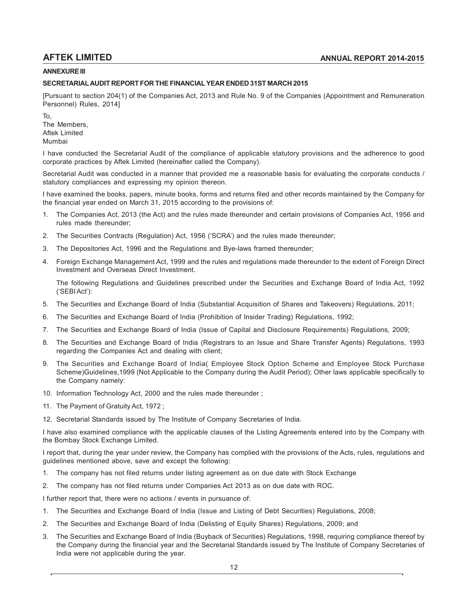# **ANNEXUREIII**

## **SECRETARIAL AUDIT REPORT FOR THE FINANCIAL YEAR ENDED 31ST MARCH 2015**

[Pursuant to section 204(1) of the Companies Act, 2013 and Rule No. 9 of the Companies (Appointment and Remuneration Personnel) Rules, 2014]

To, The Members, Aftek Limited Mumbai

I have conducted the Secretarial Audit of the compliance of applicable statutory provisions and the adherence to good corporate practices by Aftek Limited (hereinafter called the Company).

Secretarial Audit was conducted in a manner that provided me a reasonable basis for evaluating the corporate conducts / statutory compliances and expressing my opinion thereon.

I have examined the books, papers, minute books, forms and returns filed and other records maintained by the Company for the financial year ended on March 31, 2015 according to the provisions of:

- 1. The Companies Act, 2013 (the Act) and the rules made thereunder and certain provisions of Companies Act, 1956 and rules made thereunder;
- 2. The Securities Contracts (Regulation) Act, 1956 ('SCRA') and the rules made thereunder;
- 3. The Depositories Act, 1996 and the Regulations and Bye-laws framed thereunder;
- 4. Foreign Exchange Management Act, 1999 and the rules and regulations made thereunder to the extent of Foreign Direct Investment and Overseas Direct Investment.

The following Regulations and Guidelines prescribed under the Securities and Exchange Board of India Act, 1992 ('SEBI Act'):

- 5. The Securities and Exchange Board of India (Substantial Acquisition of Shares and Takeovers) Regulations, 2011;
- 6. The Securities and Exchange Board of India (Prohibition of Insider Trading) Regulations, 1992;
- 7. The Securities and Exchange Board of India (Issue of Capital and Disclosure Requirements) Regulations, 2009;
- 8. The Securities and Exchange Board of India (Registrars to an Issue and Share Transfer Agents) Regulations, 1993 regarding the Companies Act and dealing with client;
- 9. The Securities and Exchange Board of India( Employee Stock Option Scheme and Employee Stock Purchase Scheme)Guidelines,1999 (Not Applicable to the Company during the Audit Period); Other laws applicable specifically to the Company namely:
- 10. Information Technology Act, 2000 and the rules made thereunder ;
- 11. The Payment of Gratuity Act, 1972 ;
- 12. Secretarial Standards issued by The Institute of Company Secretaries of India.

I have also examined compliance with the applicable clauses of the Listing Agreements entered into by the Company with the Bombay Stock Exchange Limited.

I report that, during the year under review, the Company has complied with the provisions of the Acts, rules, regulations and guidelines mentioned above, save and except the following:

- 1. The company has not filed returns under listing agreement as on due date with Stock Exchange
- 2. The company has not filed returns under Companies Act 2013 as on due date with ROC.

I further report that, there were no actions / events in pursuance of:

- 1. The Securities and Exchange Board of India (Issue and Listing of Debt Securities) Regulations, 2008;
- 2. The Securities and Exchange Board of India (Delisting of Equity Shares) Regulations, 2009; and
- 3. The Securities and Exchange Board of India (Buyback of Securities) Regulations, 1998, requiring compliance thereof by the Company during the financial year and the Secretarial Standards issued by The Institute of Company Secretaries of India were not applicable during the year.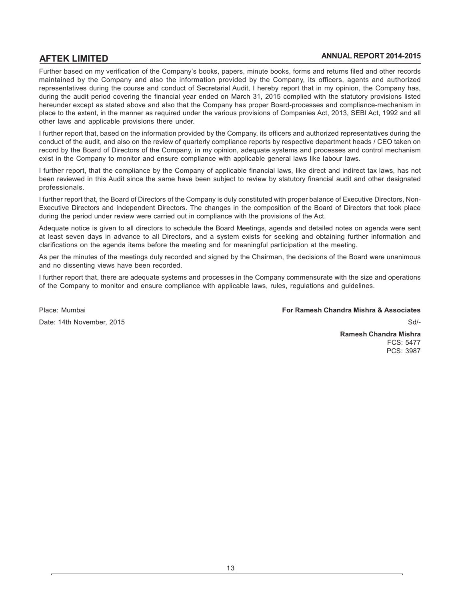Further based on my verification of the Companyís books, papers, minute books, forms and returns filed and other records maintained by the Company and also the information provided by the Company, its officers, agents and authorized representatives during the course and conduct of Secretarial Audit, I hereby report that in my opinion, the Company has, during the audit period covering the financial year ended on March 31, 2015 complied with the statutory provisions listed hereunder except as stated above and also that the Company has proper Board-processes and compliance-mechanism in place to the extent, in the manner as required under the various provisions of Companies Act, 2013, SEBI Act, 1992 and all other laws and applicable provisions there under.

I further report that, based on the information provided by the Company, its officers and authorized representatives during the conduct of the audit, and also on the review of quarterly compliance reports by respective department heads / CEO taken on record by the Board of Directors of the Company, in my opinion, adequate systems and processes and control mechanism exist in the Company to monitor and ensure compliance with applicable general laws like labour laws.

I further report, that the compliance by the Company of applicable financial laws, like direct and indirect tax laws, has not been reviewed in this Audit since the same have been subject to review by statutory financial audit and other designated professionals.

I further report that, the Board of Directors of the Company is duly constituted with proper balance of Executive Directors, Non-Executive Directors and Independent Directors. The changes in the composition of the Board of Directors that took place during the period under review were carried out in compliance with the provisions of the Act.

Adequate notice is given to all directors to schedule the Board Meetings, agenda and detailed notes on agenda were sent at least seven days in advance to all Directors, and a system exists for seeking and obtaining further information and clarifications on the agenda items before the meeting and for meaningful participation at the meeting.

As per the minutes of the meetings duly recorded and signed by the Chairman, the decisions of the Board were unanimous and no dissenting views have been recorded.

I further report that, there are adequate systems and processes in the Company commensurate with the size and operations of the Company to monitor and ensure compliance with applicable laws, rules, regulations and guidelines.

Date: 14th November, 2015 Sd/-

#### Place: Mumbai **For Ramesh Chandra Mishra & Associates**

**Ramesh Chandra Mishra** FCS: 5477 PCS: 3987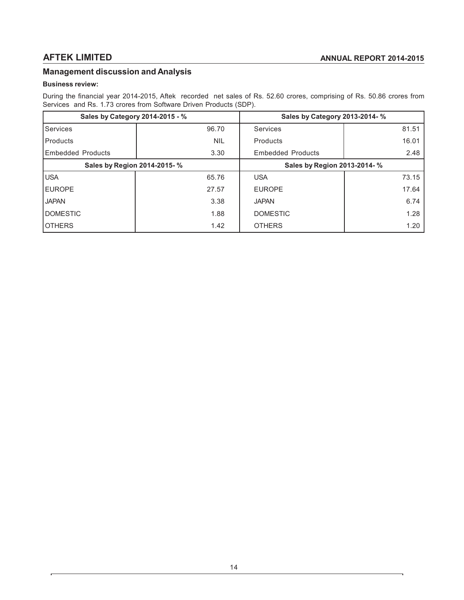# **Management discussion and Analysis**

# **Business review:**

During the financial year 2014-2015, Aftek recorded net sales of Rs. 52.60 crores, comprising of Rs. 50.86 crores from Services and Rs. 1.73 crores from Software Driven Products (SDP).

| Sales by Category 2014-2015 - %   |            | Sales by Category 2013-2014- % |       |
|-----------------------------------|------------|--------------------------------|-------|
| Services                          | 96.70      | Services                       | 81.51 |
| <b>Products</b>                   | <b>NIL</b> | Products                       | 16.01 |
| <b>IEmbedded Products</b><br>3.30 |            | <b>Embedded Products</b>       | 2.48  |
| Sales by Region 2014-2015- %      |            | Sales by Region 2013-2014- %   |       |
| <b>USA</b>                        | 65.76      | <b>USA</b>                     | 73.15 |
| <b>LEUROPE</b>                    | 27.57      | <b>EUROPE</b>                  | 17.64 |
| <b>JAPAN</b>                      | 3.38       | <b>JAPAN</b>                   | 6.74  |
| <b>DOMESTIC</b>                   | 1.88       | <b>DOMESTIC</b>                | 1.28  |
| IOTHERS                           | 1.42       | <b>OTHERS</b>                  | 1.20  |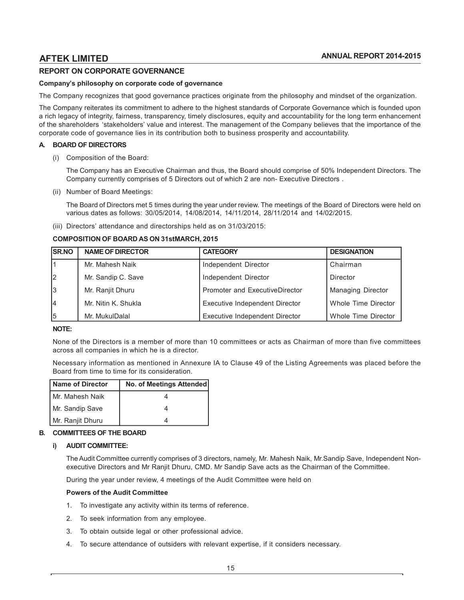# **REPORT ON CORPORATE GOVERNANCE**

### **Companyís philosophy on corporate code of governance**

The Company recognizes that good governance practices originate from the philosophy and mindset of the organization.

The Company reiterates its commitment to adhere to the highest standards of Corporate Governance which is founded upon a rich legacy of integrity, fairness, transparency, timely disclosures, equity and accountability for the long term enhancement of the shareholders ëstakeholdersí value and interest. The management of the Company believes that the importance of the corporate code of governance lies in its contribution both to business prosperity and accountability.

## **A. BOARD OF DIRECTORS**

(i) Composition of the Board:

The Company has an Executive Chairman and thus, the Board should comprise of 50% Independent Directors. The Company currently comprises of 5 Directors out of which 2 are non- Executive Directors .

(ii) Number of Board Meetings:

The Board of Directors met 5 times during the year under review. The meetings of the Board of Directors were held on various dates as follows: 30/05/2014, 14/08/2014, 14/11/2014, 28/11/2014 and 14/02/2015.

(iii) Directors' attendance and directorships held as on 31/03/2015:

## **COMPOSITION OF BOARD AS ON 31stMARCH, 2015**

| <b>SR.NO</b> | <b>NAME OF DIRECTOR</b> | <b>CATEGORY</b>                       | <b>DESIGNATION</b>  |
|--------------|-------------------------|---------------------------------------|---------------------|
|              | Mr. Mahesh Naik         | Independent Director                  | Chairman            |
| 12           | Mr. Sandip C. Save      | Independent Director                  | <b>Director</b>     |
| l3           | Mr. Ranjit Dhuru        | Promoter and ExecutiveDirector        | Managing Director   |
| l4           | Mr. Nitin K. Shukla     | Executive Independent Director        | Whole Time Director |
| 5            | Mr. MukulDalal          | <b>Executive Independent Director</b> | Whole Time Director |

### **NOTE:**

None of the Directors is a member of more than 10 committees or acts as Chairman of more than five committees across all companies in which he is a director.

Necessary information as mentioned in Annexure IA to Clause 49 of the Listing Agreements was placed before the Board from time to time for its consideration.

| <b>Name of Director</b> | No. of Meetings Attended |
|-------------------------|--------------------------|
| Mr. Mahesh Naik         |                          |
| Mr. Sandip Save         |                          |
| Mr. Ranjit Dhuru        |                          |

### **B. COMMITTEES OF THE BOARD**

### **i) AUDIT COMMITTEE:**

The Audit Committee currently comprises of 3 directors, namely, Mr. Mahesh Naik, Mr.Sandip Save, Independent Nonexecutive Directors and Mr Ranjit Dhuru, CMD. Mr Sandip Save acts as the Chairman of the Committee.

During the year under review, 4 meetings of the Audit Committee were held on

#### **Powers of the Audit Committee**

- 1. To investigate any activity within its terms of reference.
- 2. To seek information from any employee.
- 3. To obtain outside legal or other professional advice.
- 4. To secure attendance of outsiders with relevant expertise, if it considers necessary.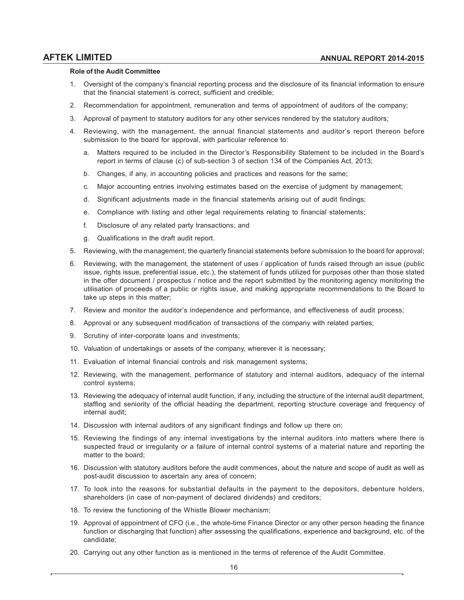### **Role of the Audit Committee**

- 1. Oversight of the companyís financial reporting process and the disclosure of its financial information to ensure that the financial statement is correct, sufficient and credible;
- 2. Recommendation for appointment, remuneration and terms of appointment of auditors of the company;
- 3. Approval of payment to statutory auditors for any other services rendered by the statutory auditors;
- 4. Reviewing, with the management, the annual financial statements and auditor's report thereon before submission to the board for approval, with particular reference to:
	- a. Matters required to be included in the Director's Responsibility Statement to be included in the Board's report in terms of clause (c) of sub-section 3 of section 134 of the Companies Act, 2013;
	- b. Changes, if any, in accounting policies and practices and reasons for the same;
	- c. Major accounting entries involving estimates based on the exercise of judgment by management;
	- d. Significant adjustments made in the financial statements arising out of audit findings;
	- e. Compliance with listing and other legal requirements relating to financial statements;
	- f. Disclosure of any related party transactions; and
	- g. Qualifications in the draft audit report.
- 5. Reviewing, with the management, the quarterly financial statements before submission to the board for approval;
- 6. Reviewing, with the management, the statement of uses / application of funds raised through an issue (public issue, rights issue, preferential issue, etc.), the statement of funds utilized for purposes other than those stated in the offer document / prospectus / notice and the report submitted by the monitoring agency monitoring the utilisation of proceeds of a public or rights issue, and making appropriate recommendations to the Board to take up steps in this matter;
- 7. Review and monitor the auditor's independence and performance, and effectiveness of audit process;
- 8. Approval or any subsequent modification of transactions of the company with related parties;
- 9. Scrutiny of inter-corporate loans and investments;
- 10. Valuation of undertakings or assets of the company, wherever it is necessary;
- 11. Evaluation of internal financial controls and risk management systems;
- 12. Reviewing, with the management, performance of statutory and internal auditors, adequacy of the internal control systems;
- 13. Reviewing the adequacy of internal audit function, if any, including the structure of the internal audit department, staffing and seniority of the official heading the department, reporting structure coverage and frequency of internal audit;
- 14. Discussion with internal auditors of any significant findings and follow up there on;
- 15. Reviewing the findings of any internal investigations by the internal auditors into matters where there is suspected fraud or irregularity or a failure of internal control systems of a material nature and reporting the matter to the board;
- 16. Discussion with statutory auditors before the audit commences, about the nature and scope of audit as well as post-audit discussion to ascertain any area of concern;
- 17. To look into the reasons for substantial defaults in the payment to the depositors, debenture holders, shareholders (in case of non-payment of declared dividends) and creditors;
- 18. To review the functioning of the Whistle Blower mechanism;
- 19. Approval of appointment of CFO (i.e., the whole-time Finance Director or any other person heading the finance function or discharging that function) after assessing the qualifications, experience and background, etc. of the candidate;
- 20. Carrying out any other function as is mentioned in the terms of reference of the Audit Committee.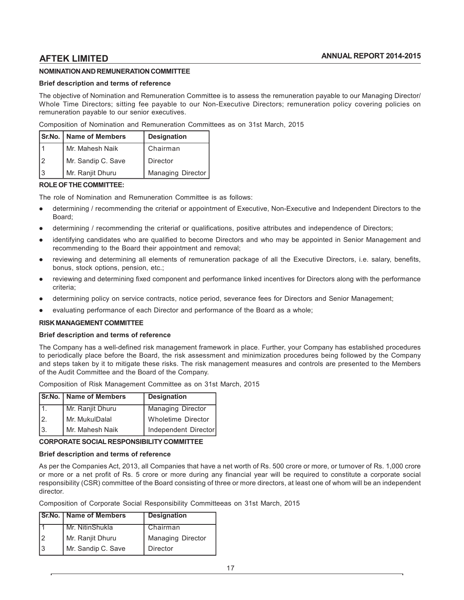# **NOMINATIONAND REMUNERATION COMMITTEE**

## **Brief description and terms of reference**

The objective of Nomination and Remuneration Committee is to assess the remuneration payable to our Managing Director/ Whole Time Directors; sitting fee payable to our Non-Executive Directors; remuneration policy covering policies on remuneration payable to our senior executives.

Composition of Nomination and Remuneration Committees as on 31st March, 2015

| l Sr.No. I | <b>Name of Members</b> | <b>Designation</b> |
|------------|------------------------|--------------------|
|            | Mr. Mahesh Naik        | Chairman           |
|            | Mr. Sandip C. Save     | <b>Director</b>    |
|            | Mr. Ranjit Dhuru       | Managing Director  |

### **ROLE OF THE COMMITTEE:**

The role of Nomination and Remuneration Committee is as follows:

- determining / recommending the criteriaf or appointment of Executive, Non-Executive and Independent Directors to the Board;
- determining / recommending the criteriaf or qualifications, positive attributes and independence of Directors;
- identifying candidates who are qualified to become Directors and who may be appointed in Senior Management and recommending to the Board their appointment and removal;
- reviewing and determining all elements of remuneration package of all the Executive Directors, i.e. salary, benefits, bonus, stock options, pension, etc.;
- reviewing and determining fixed component and performance linked incentives for Directors along with the performance criteria;
- ! determining policy on service contracts, notice period, severance fees for Directors and Senior Management;
- evaluating performance of each Director and performance of the Board as a whole;

## **RISK MANAGEMENT COMMITTEE**

### **Brief description and terms of reference**

The Company has a well-defined risk management framework in place. Further, your Company has established procedures to periodically place before the Board, the risk assessment and minimization procedures being followed by the Company and steps taken by it to mitigate these risks. The risk management measures and controls are presented to the Members of the Audit Committee and the Board of the Company.

Composition of Risk Management Committee as on 31st March, 2015

|                 | Sr.No.   Name of Members | <b>Designation</b>   |
|-----------------|--------------------------|----------------------|
|                 | Mr. Ranjit Dhuru         | Managing Director    |
| 12 <sup>2</sup> | Mr. MukulDalal           | Wholetime Director   |
|                 | Mr. Mahesh Naik          | Independent Director |

### **CORPORATE SOCIAL RESPONSIBILITY COMMITTEE**

### **Brief description and terms of reference**

As per the Companies Act, 2013, all Companies that have a net worth of Rs. 500 crore or more, or turnover of Rs. 1,000 crore or more or a net profit of Rs. 5 crore or more during any financial year will be required to constitute a corporate social responsibility (CSR) committee of the Board consisting of three or more directors, at least one of whom will be an independent director.

Composition of Corporate Social Responsibility Committeeas on 31st March, 2015

|    | <b>Sr.No.   Name of Members</b> | <b>Designation</b> |
|----|---------------------------------|--------------------|
|    | Mr. NitinShukla                 | Chairman           |
| 12 | Mr. Ranjit Dhuru                | Managing Director  |
| l3 | Mr. Sandip C. Save              | <b>Director</b>    |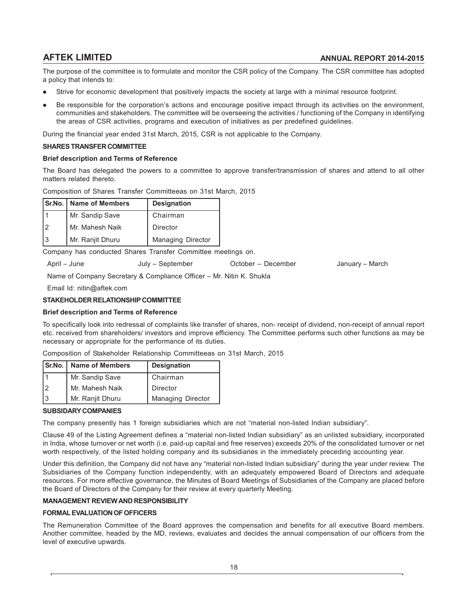The purpose of the committee is to formulate and monitor the CSR policy of the Company. The CSR committee has adopted a policy that intends to:

- Strive for economic development that positively impacts the society at large with a minimal resource footprint.
- Be responsible for the corporation's actions and encourage positive impact through its activities on the environment, communities and stakeholders. The committee will be overseeing the activities / functioning of the Company in identifying the areas of CSR activities, programs and execution of initiatives as per predefined guidelines.

During the financial year ended 31st March, 2015, CSR is not applicable to the Company.

## **SHARES TRANSFER COMMITTEE**

## **Brief description and Terms of Reference**

The Board has delegated the powers to a committee to approve transfer/transmission of shares and attend to all other matters related thereto.

Composition of Shares Transfer Committeeas on 31st March, 2015

| <b>Sr.No.   Name of Members</b> | <b>Designation</b>       |
|---------------------------------|--------------------------|
| Mr. Sandip Save                 | Chairman                 |
| Mr. Mahesh Naik                 | <b>Director</b>          |
| Mr. Ranjit Dhuru                | <b>Managing Director</b> |

Company has conducted Shares Transfer Committee meetings on.

April – June **July – September** Corober – December January – March

Name of Company Secretary & Compliance Officer – Mr. Nitin K. Shukla

Email Id: nitin@aftek.com

# **STAKEHOLDER RELATIONSHIP COMMITTEE**

### **Brief description and Terms of Reference**

To specifically look into redressal of complaints like transfer of shares, non- receipt of dividend, non-receipt of annual report etc. received from shareholders/ investors and improve efficiency. The Committee performs such other functions as may be necessary or appropriate for the performance of its duties.

Composition of Stakeholder Relationship Committeeas on 31st March, 2015

| Sr.No.   Name of Members |                  | <b>Designation</b> |
|--------------------------|------------------|--------------------|
|                          | Mr. Sandip Save  | Chairman           |
| ר ו                      | Mr. Mahesh Naik  | Director           |
| 3                        | Mr. Ranjit Dhuru | Managing Director  |

### **SUBSIDARY COMPANIES**

The company presently has 1 foreign subsidiaries which are not "material non-listed Indian subsidiary".

Clause 49 of the Listing Agreement defines a "material non-listed Indian subsidiary" as an unlisted subsidiary, incorporated in India, whose turnover or net worth (i.e. paid-up capital and free reserves) exceeds 20% of the consolidated turnover or net worth respectively, of the listed holding company and its subsidiaries in the immediately preceding accounting year.

Under this definition, the Company did not have any "material non-listed Indian subsidiary" during the year under review. The Subsidiaries of the Company function independently, with an adequately empowered Board of Directors and adequate resources. For more effective governance, the Minutes of Board Meetings of Subsidiaries of the Company are placed before the Board of Directors of the Company for their review at every quarterly Meeting.

# **MANAGEMENT REVIEW AND RESPONSIBILITY**

# **FORMAL EVALUATION OF OFFICERS**

The Remuneration Committee of the Board approves the compensation and benefits for all executive Board members. Another committee, headed by the MD, reviews, evaluates and decides the annual compensation of our officers from the level of executive upwards.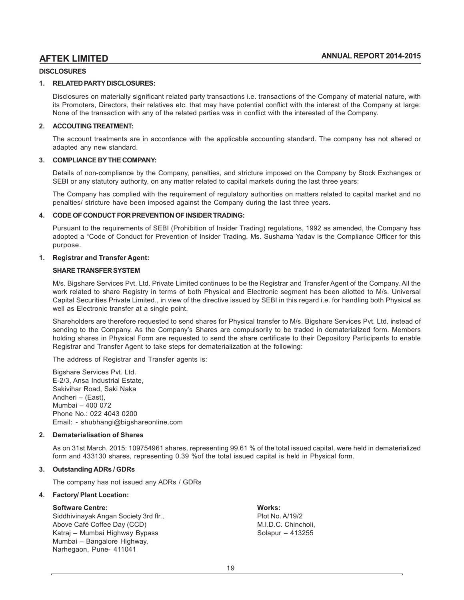## **DISCLOSURES**

## **1. RELATED PARTY DISCLOSURES:**

Disclosures on materially significant related party transactions i.e. transactions of the Company of material nature, with its Promoters, Directors, their relatives etc. that may have potential conflict with the interest of the Company at large: None of the transaction with any of the related parties was in conflict with the interested of the Company.

### **2. ACCOUTING TREATMENT:**

The account treatments are in accordance with the applicable accounting standard. The company has not altered or adapted any new standard.

### **3. COMPLIANCE BYTHE COMPANY:**

Details of non-compliance by the Company, penalties, and stricture imposed on the Company by Stock Exchanges or SEBI or any statutory authority, on any matter related to capital markets during the last three years:

The Company has complied with the requirement of regulatory authorities on matters related to capital market and no penalties/ stricture have been imposed against the Company during the last three years.

### **4. CODE OF CONDUCT FOR PREVENTION OF INSIDER TRADING:**

Pursuant to the requirements of SEBI (Prohibition of Insider Trading) regulations, 1992 as amended, the Company has adopted a "Code of Conduct for Prevention of Insider Trading. Ms. Sushama Yadav is the Compliance Officer for this purpose.

## **1. Registrar and Transfer Agent:**

### **SHARE TRANSFER SYSTEM**

M/s. Bigshare Services Pvt. Ltd. Private Limited continues to be the Registrar and Transfer Agent of the Company. All the work related to share Registry in terms of both Physical and Electronic segment has been allotted to M/s. Universal Capital Securities Private Limited., in view of the directive issued by SEBI in this regard i.e. for handling both Physical as well as Electronic transfer at a single point.

Shareholders are therefore requested to send shares for Physical transfer to M/s. Bigshare Services Pvt. Ltd. instead of sending to the Company. As the Company's Shares are compulsorily to be traded in dematerialized form. Members holding shares in Physical Form are requested to send the share certificate to their Depository Participants to enable Registrar and Transfer Agent to take steps for dematerialization at the following:

The address of Registrar and Transfer agents is:

Bigshare Services Pvt. Ltd. E-2/3, Ansa Industrial Estate, Sakivihar Road, Saki Naka Andheri - (East), Mumbai - 400 072 Phone No.: 022 4043 0200 Email: - shubhangi@bigshareonline.com

## **2. Dematerialisation of Shares**

As on 31st March, 2015: 109754961 shares, representing 99.61 % of the total issued capital, were held in dematerialized form and 433130 shares, representing 0.39 %of the total issued capital is held in Physical form.

### **3. Outstanding ADRs / GDRs**

The company has not issued any ADRs / GDRs

### **4. Factory/ Plant Location:**

### **Software Centre: Works:**

Siddhivinayak Angan Society 3rd flr., <br>Above Café Coffee Dav (CCD) Plot No. A/19/2 Above Café Coffee Day (CCD)<br>
Katraj – Mumbai Highway Bypass<br>
Solapur – 413255 Katraj – Mumbai Highway Bypass Mumbai - Bangalore Highway, Narhegaon, Pune- 411041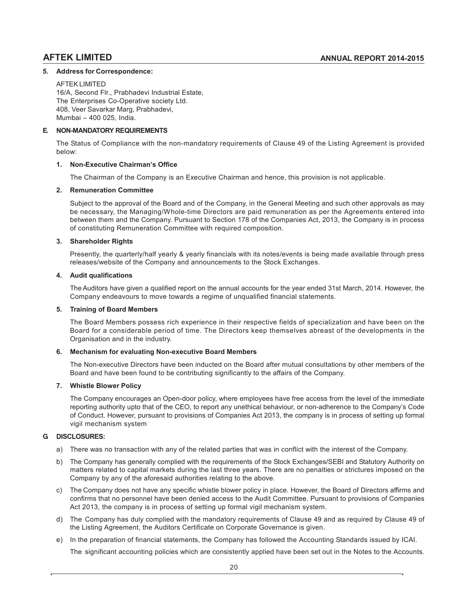## **5. Address for Correspondence:**

AFTEK LIMITED 16/A, Second Flr., Prabhadevi Industrial Estate, The Enterprises Co-Operative society Ltd. 408, Veer Savarkar Marg, Prabhadevi, Mumbai - 400 025, India.

## **E. NON-MANDATORY REQUIREMENTS**

The Status of Compliance with the non-mandatory requirements of Clause 49 of the Listing Agreement is provided below:

## **1. Non-Executive Chairmanís Office**

The Chairman of the Company is an Executive Chairman and hence, this provision is not applicable.

## **2. Remuneration Committee**

Subject to the approval of the Board and of the Company, in the General Meeting and such other approvals as may be necessary, the Managing/Whole-time Directors are paid remuneration as per the Agreements entered into between them and the Company. Pursuant to Section 178 of the Companies Act, 2013, the Company is in process of constituting Remuneration Committee with required composition.

## **3. Shareholder Rights**

Presently, the quarterly/half yearly & yearly financials with its notes/events is being made available through press releases/website of the Company and announcements to the Stock Exchanges.

## **4. Audit qualifications**

The Auditors have given a qualified report on the annual accounts for the year ended 31st March, 2014. However, the Company endeavours to move towards a regime of unqualified financial statements.

### **5. Training of Board Members**

The Board Members possess rich experience in their respective fields of specialization and have been on the Board for a considerable period of time. The Directors keep themselves abreast of the developments in the Organisation and in the industry.

### **6. Mechanism for evaluating Non-executive Board Members**

The Non-executive Directors have been inducted on the Board after mutual consultations by other members of the Board and have been found to be contributing significantly to the affairs of the Company.

# **7. Whistle Blower Policy**

The Company encourages an Open-door policy, where employees have free access from the level of the immediate reporting authority upto that of the CEO, to report any unethical behaviour, or non-adherence to the Companyís Code of Conduct. However, pursuant to provisions of Companies Act 2013, the company is in process of setting up formal vigil mechanism system

# **G. DISCLOSURES:**

- a) There was no transaction with any of the related parties that was in conflict with the interest of the Company.
- b) The Company has generally complied with the requirements of the Stock Exchanges/SEBI and Statutory Authority on matters related to capital markets during the last three years. There are no penalties or strictures imposed on the Company by any of the aforesaid authorities relating to the above.
- c) The Company does not have any specific whistle blower policy in place. However, the Board of Directors affirms and confirms that no personnel have been denied access to the Audit Committee. Pursuant to provisions of Companies Act 2013, the company is in process of setting up formal vigil mechanism system.
- d) The Company has duly complied with the mandatory requirements of Clause 49 and as required by Clause 49 of the Listing Agreement, the Auditors Certificate on Corporate Governance is given.
- e) In the preparation of financial statements, the Company has followed the Accounting Standards issued by ICAI.

The significant accounting policies which are consistently applied have been set out in the Notes to the Accounts.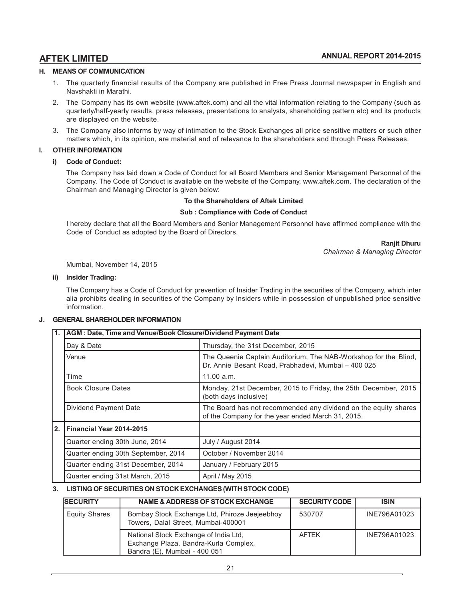# **H. MEANS OF COMMUNICATION**

- 1. The quarterly financial results of the Company are published in Free Press Journal newspaper in English and Navshakti in Marathi.
- 2. The Company has its own website (www.aftek.com) and all the vital information relating to the Company (such as quarterly/half-yearly results, press releases, presentations to analysts, shareholding pattern etc) and its products are displayed on the website.
- 3. The Company also informs by way of intimation to the Stock Exchanges all price sensitive matters or such other matters which, in its opinion, are material and of relevance to the shareholders and through Press Releases.

# **I. OTHER INFORMATION**

## **i) Code of Conduct:**

The Company has laid down a Code of Conduct for all Board Members and Senior Management Personnel of the Company. The Code of Conduct is available on the website of the Company, www.aftek.com. The declaration of the Chairman and Managing Director is given below:

# **To the Shareholders of Aftek Limited**

## **Sub : Compliance with Code of Conduct**

I hereby declare that all the Board Members and Senior Management Personnel have affirmed compliance with the Code of Conduct as adopted by the Board of Directors.

> **Ranjit Dhuru** *Chairman & Managing Director*

Mumbai, November 14, 2015

### **ii) Insider Trading:**

The Company has a Code of Conduct for prevention of Insider Trading in the securities of the Company, which inter alia prohibits dealing in securities of the Company by Insiders while in possession of unpublished price sensitive information.

# **J. GENERAL SHAREHOLDER INFORMATION**

#### **1. AGM : Date, Time and Venue/Book Closure/Dividend Payment Date**

|    | Day & Date                          | Thursday, the 31st December, 2015                                                                                      |
|----|-------------------------------------|------------------------------------------------------------------------------------------------------------------------|
|    | Venue                               | The Queenie Captain Auditorium, The NAB-Workshop for the Blind,<br>Dr. Annie Besant Road, Prabhadevi, Mumbai - 400 025 |
|    | Time                                | 11.00 a.m.                                                                                                             |
|    | <b>Book Closure Dates</b>           | Monday, 21st December, 2015 to Friday, the 25th December, 2015<br>(both days inclusive)                                |
|    | Dividend Payment Date               | The Board has not recommended any dividend on the equity shares<br>of the Company for the year ended March 31, 2015.   |
| 2. | <b>Financial Year 2014-2015</b>     |                                                                                                                        |
|    | Quarter ending 30th June, 2014      | July / August 2014                                                                                                     |
|    | Quarter ending 30th September, 2014 | October / November 2014                                                                                                |
|    | Quarter ending 31st December, 2014  | January / February 2015                                                                                                |
|    | Quarter ending 31st March, 2015     | April / May 2015                                                                                                       |

# **3. LISTING OF SECURITIES ON STOCK EXCHANGES (WITH STOCK CODE)**

| <b>ISECURITY</b>     | <b>NAME &amp; ADDRESS OF STOCK EXCHANGE</b>                                                                    | <b>SECURITY CODE</b> | <b>ISIN</b>  |
|----------------------|----------------------------------------------------------------------------------------------------------------|----------------------|--------------|
| <b>Equity Shares</b> | Bombay Stock Exchange Ltd, Phiroze Jeejeebhoy<br>Towers, Dalal Street, Mumbai-400001                           | 530707               | INE796A01023 |
|                      | National Stock Exchange of India Ltd,<br>Exchange Plaza, Bandra-Kurla Complex,<br>Bandra (E), Mumbai - 400 051 | <b>AFTEK</b>         | INE796A01023 |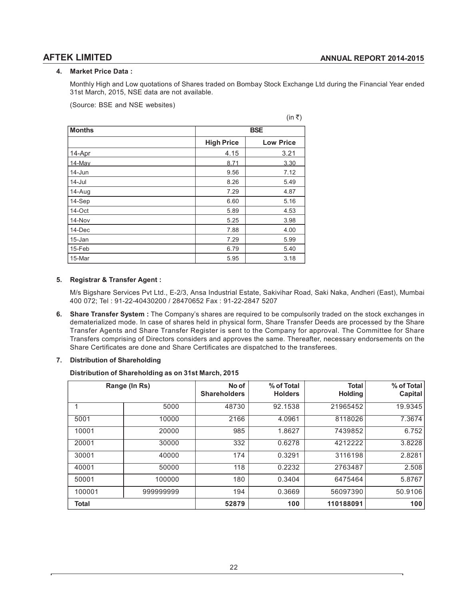# **4. Market Price Data :**

Monthly High and Low quotations of Shares traded on Bombay Stock Exchange Ltd during the Financial Year ended 31st March, 2015, NSE data are not available.

 $\mathbf{r}$   $\mathbf{r}$ 

(Source: BSE and NSE websites)

|               |                   | $($ In $\overline{\tau}$ ) |  |
|---------------|-------------------|----------------------------|--|
| <b>Months</b> | <b>BSE</b>        |                            |  |
|               | <b>High Price</b> | <b>Low Price</b>           |  |
| 14-Apr        | 4.15              | 3.21                       |  |
| 14-May        | 8.71              | 3.30                       |  |
| 14-Jun        | 9.56              | 7.12                       |  |
| 14-Jul        | 8.26              | 5.49                       |  |
| 14-Aug        | 7.29              | 4.87                       |  |
| 14-Sep        | 6.60              | 5.16                       |  |
| 14-Oct        | 5.89              | 4.53                       |  |
| 14-Nov        | 5.25              | 3.98                       |  |
| 14-Dec        | 7.88              | 4.00                       |  |
| 15-Jan        | 7.29              | 5.99                       |  |
| 15-Feb        | 6.79              | 5.40                       |  |
| 15-Mar        | 5.95              | 3.18                       |  |

# **5. Registrar & Transfer Agent :**

M/s Bigshare Services Pvt Ltd., E-2/3, Ansa Industrial Estate, Sakivihar Road, Saki Naka, Andheri (East), Mumbai 400 072; Tel : 91-22-40430200 / 28470652 Fax : 91-22-2847 5207

**6. Share Transfer System :** The Companyís shares are required to be compulsorily traded on the stock exchanges in dematerialized mode. In case of shares held in physical form, Share Transfer Deeds are processed by the Share Transfer Agents and Share Transfer Register is sent to the Company for approval. The Committee for Share Transfers comprising of Directors considers and approves the same. Thereafter, necessary endorsements on the Share Certificates are done and Share Certificates are dispatched to the transferees.

# **7. Distribution of Shareholding**

**Distribution of Shareholding as on 31st March, 2015**

|              | Range (In Rs) | No of<br><b>Shareholders</b> | % of Total<br><b>Holders</b> | <b>Total</b><br><b>Holding</b> | % of Total<br><b>Capital</b> |
|--------------|---------------|------------------------------|------------------------------|--------------------------------|------------------------------|
|              | 5000          | 48730                        | 92.1538                      | 21965452                       | 19.9345                      |
| 5001         | 10000         | 2166                         | 4.0961                       | 8118026                        | 7.3674                       |
| 10001        | 20000         | 985                          | 1.8627                       | 7439852                        | 6.752                        |
| 20001        | 30000         | 332                          | 0.6278                       | 4212222                        | 3.8228                       |
| 30001        | 40000         | 174                          | 0.3291                       | 3116198                        | 2.8281                       |
| 40001        | 50000         | 118                          | 0.2232                       | 2763487                        | 2.508                        |
| 50001        | 100000        | 180                          | 0.3404                       | 6475464                        | 5.8767                       |
| 100001       | 999999999     | 194                          | 0.3669                       | 56097390                       | 50.9106                      |
| <b>Total</b> |               | 52879                        | 100                          | 110188091                      | 100                          |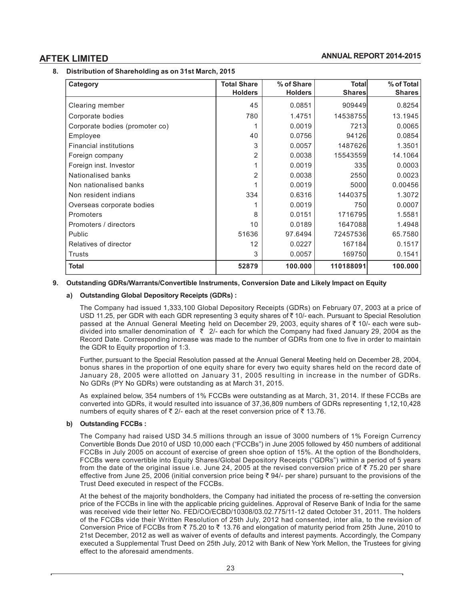**8. Distribution of Shareholding as on 31st March, 2015**

| Category                       | <b>Total Share</b><br><b>Holders</b> | % of Share<br><b>Holders</b> | <b>Total</b><br><b>Shares</b> | % of Total<br><b>Shares</b> |
|--------------------------------|--------------------------------------|------------------------------|-------------------------------|-----------------------------|
| Clearing member                | 45                                   | 0.0851                       | 909449                        | 0.8254                      |
| Corporate bodies               | 780                                  | 1.4751                       | 14538755                      | 13.1945                     |
| Corporate bodies (promoter co) | 1                                    | 0.0019                       | 7213                          | 0.0065                      |
| Employee                       | 40                                   | 0.0756                       | 94126                         | 0.0854                      |
| <b>Financial institutions</b>  | 3                                    | 0.0057                       | 1487626                       | 1.3501                      |
| Foreign company                | 2                                    | 0.0038                       | 15543559                      | 14.1064                     |
| Foreign inst. Investor         | 1                                    | 0.0019                       | 335                           | 0.0003                      |
| Nationalised banks             | 2                                    | 0.0038                       | 2550                          | 0.0023                      |
| Non nationalised banks         |                                      | 0.0019                       | 5000                          | 0.00456                     |
| Non resident indians           | 334                                  | 0.6316                       | 1440375                       | 1.3072                      |
| Overseas corporate bodies      |                                      | 0.0019                       | 750                           | 0.0007                      |
| Promoters                      | 8                                    | 0.0151                       | 1716795                       | 1.5581                      |
| Promoters / directors          | 10                                   | 0.0189                       | 1647088                       | 1.4948                      |
| Public                         | 51636                                | 97.6494                      | 72457536                      | 65.7580                     |
| Relatives of director          | 12                                   | 0.0227                       | 167184                        | 0.1517                      |
| Trusts                         | 3                                    | 0.0057                       | 169750                        | 0.1541                      |
| <b>Total</b>                   | 52879                                | 100.000                      | 110188091                     | 100.000                     |

## **9. Outstanding GDRs/Warrants/Convertible Instruments, Conversion Date and Likely Impact on Equity**

## **a) Outstanding Global Depository Receipts (GDRs) :**

The Company had issued 1,333,100 Global Depository Receipts (GDRs) on February 07, 2003 at a price of USD 11.25, per GDR with each GDR representing 3 equity shares of ` 10/- each. Pursuant to Special Resolution passed at the Annual General Meeting held on December 29, 2003, equity shares of  $\bar{\tau}$  10/- each were subdivided into smaller denomination of  $\overline{z}$  2/- each for which the Company had fixed January 29, 2004 as the Record Date. Corresponding increase was made to the number of GDRs from one to five in order to maintain the GDR to Equity proportion of 1:3.

Further, pursuant to the Special Resolution passed at the Annual General Meeting held on December 28, 2004, bonus shares in the proportion of one equity share for every two equity shares held on the record date of January 28, 2005 were allotted on January 31, 2005 resulting in increase in the number of GDRs. No GDRs (PY No GDRs) were outstanding as at March 31, 2015.

As explained below, 354 numbers of 1% FCCBs were outstanding as at March, 31, 2014. If these FCCBs are converted into GDRs, it would resulted into issuance of 37,36,809 numbers of GDRs representing 1,12,10,428 numbers of equity shares of  $\bar{\tau}$  2/- each at the reset conversion price of  $\bar{\tau}$  13.76.

### **b) Outstanding FCCBs :**

The Company had raised USD 34.5 millions through an issue of 3000 numbers of 1% Foreign Currency Convertible Bonds Due 2010 of USD 10,000 each ("FCCBs") in June 2005 followed by 450 numbers of additional FCCBs in July 2005 on account of exercise of green shoe option of 15%. At the option of the Bondholders, FCCBs were convertible into Equity Shares/Global Depository Receipts ("GDRs") within a period of 5 years from the date of the original issue i.e. June 24, 2005 at the revised conversion price of  $\bar{\tau}$  75.20 per share effective from June 25, 2006 (initial conversion price being  $\bar{\tau}$  94/- per share) pursuant to the provisions of the Trust Deed executed in respect of the FCCBs.

At the behest of the majority bondholders, the Company had initiated the process of re-setting the conversion price of the FCCBs in line with the applicable pricing guidelines. Approval of Reserve Bank of India for the same was received vide their letter No. FED/CO/ECBD/10308/03.02.775/11-12 dated October 31, 2011. The holders of the FCCBs vide their Written Resolution of 25th July, 2012 had consented, inter alia, to the revision of Conversion Price of FCCBs from  $\bar{\tau}$  75.20 to  $\bar{\tau}$  13.76 and elongation of maturity period from 25th June, 2010 to 21st December, 2012 as well as waiver of events of defaults and interest payments. Accordingly, the Company executed a Supplemental Trust Deed on 25th July, 2012 with Bank of New York Mellon, the Trustees for giving effect to the aforesaid amendments.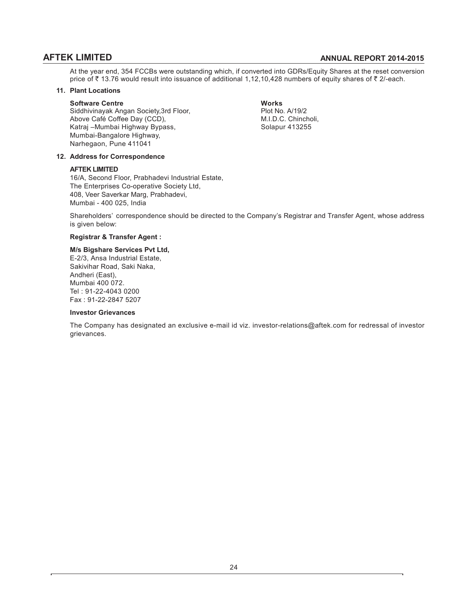At the year end, 354 FCCBs were outstanding which, if converted into GDRs/Equity Shares at the reset conversion price of  $\bar{\tau}$  13.76 would result into issuance of additional 1,12,10,428 numbers of equity shares of  $\bar{\tau}$  2/-each.

### **11. Plant Locations**

**Software Centre Centre Centre Centre Centre Works Controllering Controllering Controllering Controllering Controllering Controllering Controllering Controllering Controllering Controllering Controllering Contr** Siddhivinayak Angan Society,3rd Floor, Plot No. A/19/2<br>
Above Café Coffee Day (CCD), M.I.D.C. Chincholi, Above CafÈ Coffee Day (CCD), M.I.D.C. Chincholi, Katraj -Mumbai Highway Bypass, Mumbai-Bangalore Highway, Narhegaon, Pune 411041

# **12. Address for Correspondence**

### **AFTEK LIMITED**

16/A, Second Floor, Prabhadevi Industrial Estate, The Enterprises Co-operative Society Ltd, 408, Veer Saverkar Marg, Prabhadevi, Mumbai - 400 025, India

Shareholdersí correspondence should be directed to the Companyís Registrar and Transfer Agent, whose address is given below:

# **Registrar & Transfer Agent :**

# **M/s Bigshare Services Pvt Ltd,**

E-2/3, Ansa Industrial Estate, Sakivihar Road, Saki Naka, Andheri (East), Mumbai 400 072. Tel : 91-22-4043 0200 Fax : 91-22-2847 5207

## **Investor Grievances**

The Company has designated an exclusive e-mail id viz. investor-relations@aftek.com for redressal of investor grievances.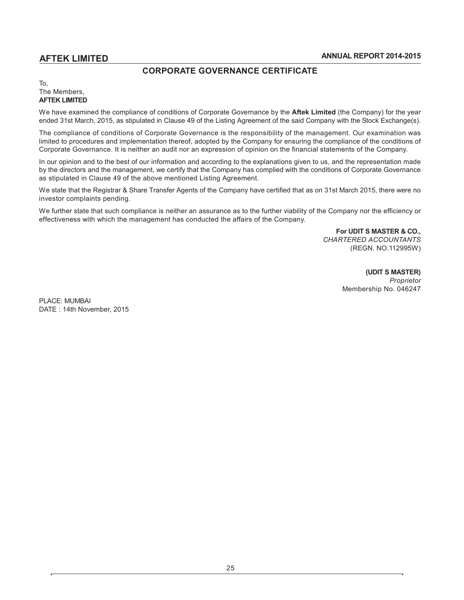# **CORPORATE GOVERNANCE CERTIFICATE**

### To, The Members, **AFTEK LIMITED**

We have examined the compliance of conditions of Corporate Governance by the **Aftek Limited** (the Company) for the year ended 31st March, 2015, as stipulated in Clause 49 of the Listing Agreement of the said Company with the Stock Exchange(s).

The compliance of conditions of Corporate Governance is the responsibility of the management. Our examination was limited to procedures and implementation thereof, adopted by the Company for ensuring the compliance of the conditions of Corporate Governance. It is neither an audit nor an expression of opinion on the financial statements of the Company.

In our opinion and to the best of our information and according to the explanations given to us, and the representation made by the directors and the management, we certify that the Company has complied with the conditions of Corporate Governance as stipulated in Clause 49 of the above mentioned Listing Agreement.

We state that the Registrar & Share Transfer Agents of the Company have certified that as on 31st March 2015, there were no investor complaints pending.

We further state that such compliance is neither an assurance as to the further viability of the Company nor the efficiency or effectiveness with which the management has conducted the affairs of the Company.

> **For UDIT S MASTER & CO.,** *CHARTERED ACCOUNTANTS* (REGN. NO.112995W)

> > **(UDIT S MASTER)** *Proprietor* Membership No. 046247

PLACE: MUMBAI DATE : 14th November, 2015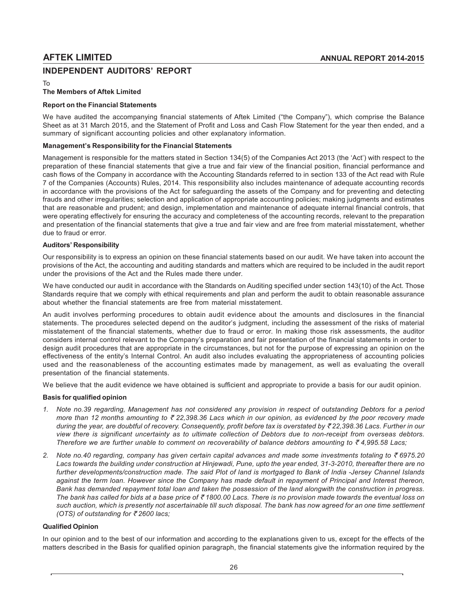# **INDEPENDENT AUDITORSí REPORT**

To

# **The Members of Aftek Limited**

## **Report on the Financial Statements**

We have audited the accompanying financial statements of Aftek Limited ("the Company"), which comprise the Balance Sheet as at 31 March 2015, and the Statement of Profit and Loss and Cash Flow Statement for the year then ended, and a summary of significant accounting policies and other explanatory information.

## **Managementís Responsibility for the Financial Statements**

Management is responsible for the matters stated in Section 134(5) of the Companies Act 2013 (the 'Act') with respect to the preparation of these financial statements that give a true and fair view of the financial position, financial performance and cash flows of the Company in accordance with the Accounting Standards referred to in section 133 of the Act read with Rule 7 of the Companies (Accounts) Rules, 2014. This responsibility also includes maintenance of adequate accounting records in accordance with the provisions of the Act for safeguarding the assets of the Company and for preventing and detecting frauds and other irregularities; selection and application of appropriate accounting policies; making judgments and estimates that are reasonable and prudent; and design, implementation and maintenance of adequate internal financial controls, that were operating effectively for ensuring the accuracy and completeness of the accounting records, relevant to the preparation and presentation of the financial statements that give a true and fair view and are free from material misstatement, whether due to fraud or error.

## **Auditorsí Responsibility**

Our responsibility is to express an opinion on these financial statements based on our audit. We have taken into account the provisions of the Act, the accounting and auditing standards and matters which are required to be included in the audit report under the provisions of the Act and the Rules made there under.

We have conducted our audit in accordance with the Standards on Auditing specified under section 143(10) of the Act. Those Standards require that we comply with ethical requirements and plan and perform the audit to obtain reasonable assurance about whether the financial statements are free from material misstatement.

An audit involves performing procedures to obtain audit evidence about the amounts and disclosures in the financial statements. The procedures selected depend on the auditor's judgment, including the assessment of the risks of material misstatement of the financial statements, whether due to fraud or error. In making those risk assessments, the auditor considers internal control relevant to the Companyís preparation and fair presentation of the financial statements in order to design audit procedures that are appropriate in the circumstances, but not for the purpose of expressing an opinion on the effectiveness of the entityís Internal Control. An audit also includes evaluating the appropriateness of accounting policies used and the reasonableness of the accounting estimates made by management, as well as evaluating the overall presentation of the financial statements.

We believe that the audit evidence we have obtained is sufficient and appropriate to provide a basis for our audit opinion.

# **Basis for qualified opinion**

- *1. Note no.39 regarding, Management has not considered any provision in respect of outstanding Debtors for a period more than 12 months amounting to* ` *22,398.36 Lacs which in our opinion, as evidenced by the poor recovery made during the year, are doubtful of recovery. Consequently, profit before tax is overstated by* ` *22,398.36 Lacs. Further in our view there is significant uncertainty as to ultimate collection of Debtors due to non-receipt from overseas debtors. Therefore we are further unable to comment on recoverability of balance debtors amounting to* ` *4,995.58 Lacs;*
- 2. Note no.40 regarding, company has given certain capital advances and made some investments totaling to ₹6975.20 *Lacs towards the building under construction at Hinjewadi, Pune, upto the year ended, 31-3-2010, thereafter there are no further developments/construction made. The said Plot of land is mortgaged to Bank of India -Jersey Channel Islands against the term loan. However since the Company has made default in repayment of Principal and Interest thereon, Bank has demanded repayment total loan and taken the possession of the land alongwith the construction in progress. The bank has called for bids at a base price of* ` *1800.00 Lacs. There is no provision made towards the eventual loss on such auction, which is presently not ascertainable till such disposal. The bank has now agreed for an one time settlement (OTS)* of outstanding for ₹2600 lacs;

### **Qualified Opinion**

In our opinion and to the best of our information and according to the explanations given to us, except for the effects of the matters described in the Basis for qualified opinion paragraph, the financial statements give the information required by the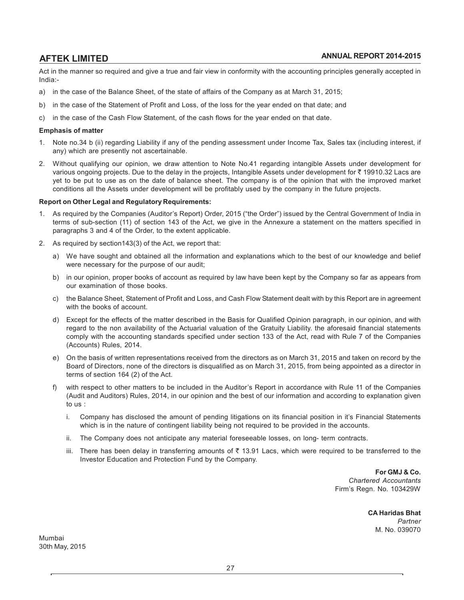Act in the manner so required and give a true and fair view in conformity with the accounting principles generally accepted in India:-

- a) in the case of the Balance Sheet, of the state of affairs of the Company as at March 31, 2015;
- b) in the case of the Statement of Profit and Loss, of the loss for the year ended on that date; and
- c) in the case of the Cash Flow Statement, of the cash flows for the year ended on that date.

#### **Emphasis of matter**

- 1. Note no.34 b (ii) regarding Liability if any of the pending assessment under Income Tax, Sales tax (including interest, if any) which are presently not ascertainable.
- 2. Without qualifying our opinion, we draw attention to Note No.41 regarding intangible Assets under development for various ongoing projects. Due to the delay in the projects, Intangible Assets under development for  $\bar{\tau}$  19910.32 Lacs are yet to be put to use as on the date of balance sheet. The company is of the opinion that with the improved market conditions all the Assets under development will be profitably used by the company in the future projects.

#### **Report on Other Legal and Regulatory Requirements:**

- 1. As required by the Companies (Auditor's Report) Order, 2015 ("the Order") issued by the Central Government of India in terms of sub-section (11) of section 143 of the Act, we give in the Annexure a statement on the matters specified in paragraphs 3 and 4 of the Order, to the extent applicable.
- 2. As required by section143(3) of the Act, we report that:
	- a) We have sought and obtained all the information and explanations which to the best of our knowledge and belief were necessary for the purpose of our audit;
	- b) in our opinion, proper books of account as required by law have been kept by the Company so far as appears from our examination of those books.
	- c) the Balance Sheet, Statement of Profit and Loss, and Cash Flow Statement dealt with by this Report are in agreement with the books of account.
	- d) Except for the effects of the matter described in the Basis for Qualified Opinion paragraph, in our opinion, and with regard to the non availability of the Actuarial valuation of the Gratuity Liability. the aforesaid financial statements comply with the accounting standards specified under section 133 of the Act, read with Rule 7 of the Companies (Accounts) Rules, 2014.
	- e) On the basis of written representations received from the directors as on March 31, 2015 and taken on record by the Board of Directors, none of the directors is disqualified as on March 31, 2015, from being appointed as a director in terms of section 164 (2) of the Act.
	- f) with respect to other matters to be included in the Auditor's Report in accordance with Rule 11 of the Companies (Audit and Auditors) Rules, 2014, in our opinion and the best of our information and according to explanation given to us :
		- i. Company has disclosed the amount of pending litigations on its financial position in it's Financial Statements which is in the nature of contingent liability being not required to be provided in the accounts.
		- ii. The Company does not anticipate any material foreseeable losses, on long- term contracts.
		- iii. There has been delay in transferring amounts of  $\bar{\tau}$  13.91 Lacs, which were required to be transferred to the Investor Education and Protection Fund by the Company.

**For GMJ & Co.** *Chartered Accountants* Firmís Regn. No. 103429W

> **CA Haridas Bhat** *Partner* M. No. 039070

Mumbai 30th May, 2015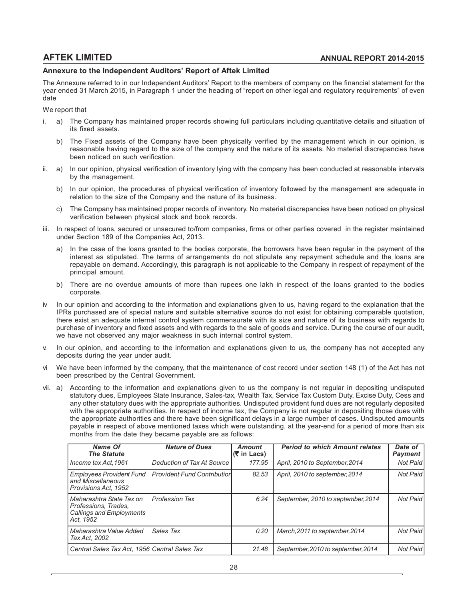## **Annexure to the Independent Auditorsí Report of Aftek Limited**

The Annexure referred to in our Independent Auditors' Report to the members of company on the financial statement for the year ended 31 March 2015, in Paragraph 1 under the heading of "report on other legal and regulatory requirements" of even date

We report that

- i. a) The Company has maintained proper records showing full particulars including quantitative details and situation of its fixed assets.
	- b) The Fixed assets of the Company have been physically verified by the management which in our opinion, is reasonable having regard to the size of the company and the nature of its assets. No material discrepancies have been noticed on such verification.
- ii. a) In our opinion, physical verification of inventory lying with the company has been conducted at reasonable intervals by the management.
	- b) In our opinion, the procedures of physical verification of inventory followed by the management are adequate in relation to the size of the Company and the nature of its business.
	- c) The Company has maintained proper records of inventory. No material discrepancies have been noticed on physical verification between physical stock and book records.
- iii. In respect of loans, secured or unsecured to/from companies, firms or other parties covered in the register maintained under Section 189 of the Companies Act, 2013.
	- a) In the case of the loans granted to the bodies corporate, the borrowers have been regular in the payment of the interest as stipulated. The terms of arrangements do not stipulate any repayment schedule and the loans are repayable on demand. Accordingly, this paragraph is not applicable to the Company in respect of repayment of the principal amount.
	- b) There are no overdue amounts of more than rupees one lakh in respect of the loans granted to the bodies corporate.
- iv In our opinion and according to the information and explanations given to us, having regard to the explanation that the IPRs purchased are of special nature and suitable alternative source do not exist for obtaining comparable quotation, there exist an adequate internal control system commensurate with its size and nature of its business with regards to purchase of inventory and fixed assets and with regards to the sale of goods and service. During the course of our audit, we have not observed any major weakness in such internal control system.
- In our opinion, and according to the information and explanations given to us, the company has not accepted any deposits during the year under audit.
- vi We have been informed by the company, that the maintenance of cost record under section 148 (1) of the Act has not been prescribed by the Central Government.
- vii. a) According to the information and explanations given to us the company is not regular in depositing undisputed statutory dues, Employees State Insurance, Sales-tax, Wealth Tax, Service Tax Custom Duty, Excise Duty, Cess and any other statutory dues with the appropriate authorities. Undisputed provident fund dues are not regularly deposited with the appropriate authorities. In respect of income tax, the Company is not regular in depositing those dues with the appropriate authorities and there have been significant delays in a large number of cases. Undisputed amounts payable in respect of above mentioned taxes which were outstanding, at the year-end for a period of more than six months from the date they became payable are as follows:

| Name Of<br><b>The Statute</b>                                                                             | <b>Nature of Dues</b>              | <b>Amount</b><br>(₹ in Lacs) | <b>Period to which Amount relates</b> | Date of<br>Payment |
|-----------------------------------------------------------------------------------------------------------|------------------------------------|------------------------------|---------------------------------------|--------------------|
| Income tax Act, 1961                                                                                      | Deduction of Tax At Source         | 177.95                       | April, 2010 to September, 2014        | Not Paid           |
| <b>Employees Provident Fund</b><br>and Miscellaneous<br>Provisions Act. 1952                              | <b>Provident Fund Contribution</b> | 82.53                        | April, 2010 to september, 2014        | Not Paid           |
| l Maharashtra State Tax on<br><i>Professions, Trades.</i><br><b>Callings and Employments</b><br>Act. 1952 | <b>Profession Tax</b>              | 6.24                         | September, 2010 to september, 2014    | <b>Not Paid</b>    |
| l Maharashtra Value Added<br>Tax Act. 2002                                                                | Sales Tax                          | 0.20                         | March, 2011 to september, 2014        | Not Paid           |
| Central Sales Tax Act, 1956 Central Sales Tax                                                             |                                    | 21.48                        | September, 2010 to september, 2014    | <b>Not Paid</b>    |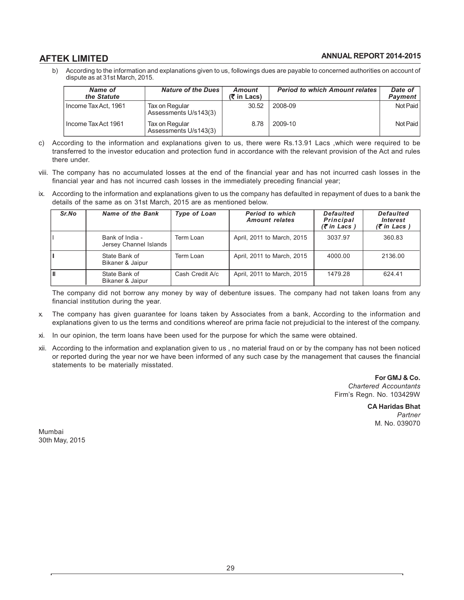b) According to the information and explanations given to us, followings dues are payable to concerned authorities on account of dispute as at 31st March, 2015.

| Name of<br>the Statute | <b>Nature of the Dues</b>               | <b>Amount</b><br>$(5 \in \mathsf{In}$ Lacs) | <b>Period to which Amount relates</b> | Date of<br><b>Payment</b> |
|------------------------|-----------------------------------------|---------------------------------------------|---------------------------------------|---------------------------|
| Income Tax Act, 1961   | Tax on Regular<br>Assessments U/s143(3) | 30.52                                       | 2008-09                               | Not Paid                  |
| Income Tax Act 1961    | Tax on Regular<br>Assessments U/s143(3) | 8.78                                        | 2009-10                               | Not Paid                  |

- c) According to the information and explanations given to us, there were Rs.13.91 Lacs ,which were required to be transferred to the investor education and protection fund in accordance with the relevant provision of the Act and rules there under.
- viii. The company has no accumulated losses at the end of the financial year and has not incurred cash losses in the financial year and has not incurred cash losses in the immediately preceding financial year;
- ix. According to the information and explanations given to us the company has defaulted in repayment of dues to a bank the details of the same as on 31st March, 2015 are as mentioned below.

| Sr.No | <b>Name of the Bank</b>                   | <b>Type of Loan</b> | <b>Period to which</b><br><b>Amount relates</b> | <b>Defaulted</b><br>Principal<br>$($ ₹ in Lacs) | <b>Defaulted</b><br><i><b>Interest</b></i><br>$($ ₹ in Lacs) |
|-------|-------------------------------------------|---------------------|-------------------------------------------------|-------------------------------------------------|--------------------------------------------------------------|
|       | Bank of India -<br>Jersey Channel Islands | Term Loan           | April, 2011 to March, 2015                      | 3037.97                                         | 360.83                                                       |
|       | State Bank of<br>Bikaner & Jaipur         | Term Loan           | April, 2011 to March, 2015                      | 4000.00                                         | 2136.00                                                      |
| Ⅲ     | State Bank of<br>Bikaner & Jaipur         | Cash Credit A/c     | April, 2011 to March, 2015                      | 1479.28                                         | 624.41                                                       |

The company did not borrow any money by way of debenture issues. The company had not taken loans from any financial institution during the year.

- x. The company has given guarantee for loans taken by Associates from a bank, According to the information and explanations given to us the terms and conditions whereof are prima facie not prejudicial to the interest of the company.
- xi. In our opinion, the term loans have been used for the purpose for which the same were obtained.
- xii. According to the information and explanation given to us , no material fraud on or by the company has not been noticed or reported during the year nor we have been informed of any such case by the management that causes the financial statements to be materially misstated.

**For GMJ & Co.** *Chartered Accountants* Firmís Regn. No. 103429W

> **CA Haridas Bhat** *Partner* M. No. 039070

Mumbai 30th May, 2015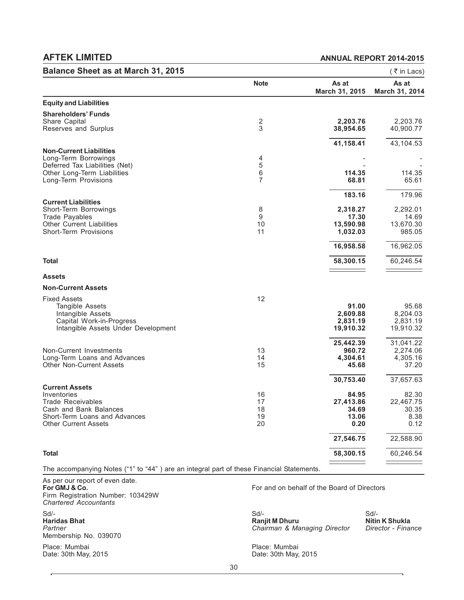| <b>Balance Sheet as at March 31, 2015</b>                                                |                |                         | (₹in Lacs)              |
|------------------------------------------------------------------------------------------|----------------|-------------------------|-------------------------|
|                                                                                          | <b>Note</b>    | As at<br>March 31, 2015 | As at<br>March 31, 2014 |
| <b>Equity and Liabilities</b>                                                            |                |                         |                         |
| <b>Shareholders' Funds</b>                                                               |                |                         |                         |
| Share Capital<br>Reserves and Surplus                                                    | $\frac{2}{3}$  | 2,203.76<br>38,954.65   | 2,203.76<br>40,900.77   |
|                                                                                          |                | 41,158.41               | 43,104.53               |
| <b>Non-Current Liabilities</b>                                                           |                |                         |                         |
| Long-Term Borrowings                                                                     | 4              |                         |                         |
| Deferred Tax Liabilities (Net)<br>Other Long-Term Liabilities                            | 5<br>$\,6\,$   | 114.35                  | 114.35                  |
| Long-Term Provisions                                                                     | $\overline{7}$ | 68.81                   | 65.61                   |
|                                                                                          |                | 183.16                  | 179.96                  |
| <b>Current Liabilities</b>                                                               |                |                         |                         |
| Short-Term Borrowings                                                                    | 8              | 2,318.27                | 2,292.01                |
| <b>Trade Payables</b>                                                                    | $9\,$          | 17.30                   | 14.69                   |
| <b>Other Current Liabilities</b><br>Short-Term Provisions                                | 10<br>11       | 13,590.98<br>1,032.03   | 13,670.30<br>985.05     |
|                                                                                          |                | 16,958.58               | 16,962.05               |
| <b>Total</b>                                                                             |                | 58,300.15               | 60,246.54               |
| <b>Assets</b>                                                                            |                |                         |                         |
| <b>Non-Current Assets</b>                                                                |                |                         |                         |
| <b>Fixed Assets</b>                                                                      | 12             |                         |                         |
| Tangible Assets                                                                          |                | 91.00                   | 95.68                   |
| Intangible Assets                                                                        |                | 2,609.88                | 8,204.03                |
| Capital Work-in-Progress                                                                 |                | 2,831.19                | 2,831.19                |
| Intangible Assets Under Development                                                      |                | 19,910.32               | 19,910.32               |
|                                                                                          |                | 25,442.39               | 31,041.22               |
| Non-Current Investments                                                                  | 13             | 960.72                  | 2,274.06                |
| Long-Term Loans and Advances                                                             | 14             | 4,304.61                | 4,305.16                |
| <b>Other Non-Current Assets</b>                                                          | 15             | 45.68                   | 37.20                   |
| <b>Current Assets</b>                                                                    |                | 30,753.40               | 37,657.63               |
| Inventories                                                                              | 16             | 84.95                   | 82.30                   |
| <b>Trade Receivables</b>                                                                 | 17             | 27,413.86               | 22,467.75               |
| Cash and Bank Balances                                                                   | 18             | 34.69                   | 30.35                   |
| Short-Term Loans and Advances                                                            | 19             | 13.06                   | 8.38                    |
| <b>Other Current Assets</b>                                                              | 20             | 0.20                    | 0.12                    |
|                                                                                          |                | 27,546.75               | 22,588.90               |
| <b>Total</b>                                                                             |                | 58,300.15               | 60,246.54               |
| The accompanying Notes ("1" to "44") are an integral part of these Financial Statements. |                |                         |                         |

As per our report of even date.<br>For GMJ & Co. Firm Registration Number: 103429W *Chartered Accountants*

Membership No. 039070

Date: 30th May, 2015

For and on behalf of the Board of Directors

Sd/- Sd/- Sd/- **Haridas Bhat Ranjit M Dhuru Nitin K Shukla**<br> *Partner Director - Finance Ranging Director Director - Finance Chairman & Managing Director* 

Place: Mumbai **Place: Mumbai Place: Mumbai Place: Mumbai** Place: Mumbai Place: Mumbai Place: 2015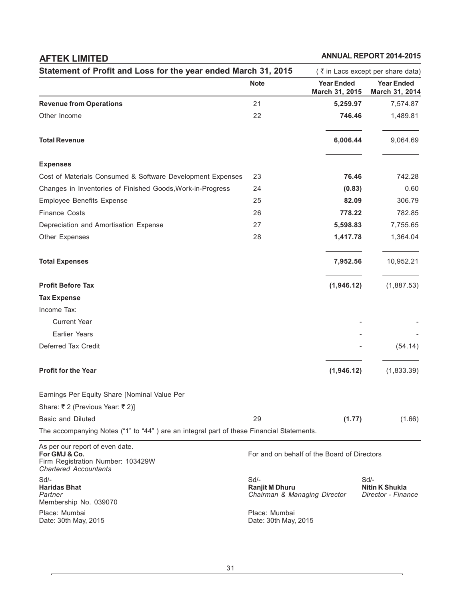L,

| Statement of Profit and Loss for the year ended March 31, 2015                                                        |                                                                 |                                             | (₹ in Lacs except per share data)                   |  |  |
|-----------------------------------------------------------------------------------------------------------------------|-----------------------------------------------------------------|---------------------------------------------|-----------------------------------------------------|--|--|
|                                                                                                                       | <b>Note</b>                                                     | <b>Year Ended</b><br>March 31, 2015         | <b>Year Ended</b><br>March 31, 2014                 |  |  |
| <b>Revenue from Operations</b>                                                                                        | 21                                                              | 5,259.97                                    | 7,574.87                                            |  |  |
| Other Income                                                                                                          | 22                                                              | 746.46                                      | 1,489.81                                            |  |  |
| <b>Total Revenue</b>                                                                                                  |                                                                 | 6,006.44                                    | 9,064.69                                            |  |  |
| <b>Expenses</b>                                                                                                       |                                                                 |                                             |                                                     |  |  |
| Cost of Materials Consumed & Software Development Expenses                                                            | 23                                                              | 76.46                                       | 742.28                                              |  |  |
| Changes in Inventories of Finished Goods, Work-in-Progress                                                            | 24                                                              | (0.83)                                      | 0.60                                                |  |  |
| <b>Employee Benefits Expense</b>                                                                                      | 25                                                              | 82.09                                       | 306.79                                              |  |  |
| <b>Finance Costs</b>                                                                                                  | 26                                                              | 778.22                                      | 782.85                                              |  |  |
| Depreciation and Amortisation Expense                                                                                 | 27                                                              | 5,598.83                                    | 7,755.65                                            |  |  |
| Other Expenses                                                                                                        | 28                                                              | 1,417.78                                    | 1,364.04                                            |  |  |
| <b>Total Expenses</b>                                                                                                 |                                                                 | 7,952.56                                    | 10,952.21                                           |  |  |
| <b>Profit Before Tax</b>                                                                                              |                                                                 | (1,946.12)                                  | (1,887.53)                                          |  |  |
| <b>Tax Expense</b>                                                                                                    |                                                                 |                                             |                                                     |  |  |
| Income Tax:                                                                                                           |                                                                 |                                             |                                                     |  |  |
| <b>Current Year</b>                                                                                                   |                                                                 |                                             |                                                     |  |  |
| Earlier Years                                                                                                         |                                                                 |                                             |                                                     |  |  |
| Deferred Tax Credit                                                                                                   |                                                                 |                                             | (54.14)                                             |  |  |
| <b>Profit for the Year</b>                                                                                            |                                                                 | (1,946.12)                                  | (1,833.39)                                          |  |  |
| Earnings Per Equity Share [Nominal Value Per                                                                          |                                                                 |                                             |                                                     |  |  |
| Share: ₹2 (Previous Year: ₹2)]                                                                                        |                                                                 |                                             |                                                     |  |  |
| <b>Basic and Diluted</b>                                                                                              | 29                                                              | (1.77)                                      | (1.66)                                              |  |  |
| The accompanying Notes ("1" to "44") are an integral part of these Financial Statements.                              |                                                                 |                                             |                                                     |  |  |
| As per our report of even date.<br>For GMJ & Co.<br>Firm Registration Number: 103429W<br><b>Chartered Accountants</b> |                                                                 | For and on behalf of the Board of Directors |                                                     |  |  |
| Sd/-<br><b>Haridas Bhat</b><br>Partner<br>Membership No. 039070                                                       | $Sd$ -<br><b>Ranjit M Dhuru</b><br>Chairman & Managing Director |                                             | Sd/-<br><b>Nitin K Shukla</b><br>Director - Finance |  |  |
| Place: Mumbai<br>Date: 30th May, 2015                                                                                 | Place: Mumbai<br>Date: 30th May, 2015                           |                                             |                                                     |  |  |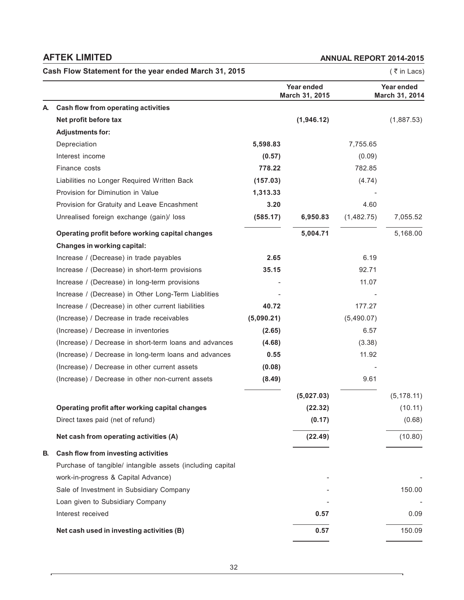# **Cash Flow Statement for the year ended March 31, 2015** (₹ in Lacs) (₹ in Lacs)

|    |                                                            |                | Year ended |                | Year ended  |
|----|------------------------------------------------------------|----------------|------------|----------------|-------------|
|    |                                                            | March 31, 2015 |            | March 31, 2014 |             |
| А. | Cash flow from operating activities                        |                |            |                |             |
|    | Net profit before tax                                      |                | (1,946.12) |                | (1,887.53)  |
|    | <b>Adjustments for:</b>                                    |                |            |                |             |
|    | Depreciation                                               | 5,598.83       |            | 7,755.65       |             |
|    | Interest income                                            | (0.57)         |            | (0.09)         |             |
|    | Finance costs                                              | 778.22         |            | 782.85         |             |
|    | Liabilities no Longer Required Written Back                | (157.03)       |            | (4.74)         |             |
|    | Provision for Diminution in Value                          | 1,313.33       |            |                |             |
|    | Provision for Gratuity and Leave Encashment                | 3.20           |            | 4.60           |             |
|    | Unrealised foreign exchange (gain)/ loss                   | (585.17)       | 6,950.83   | (1,482.75)     | 7,055.52    |
|    | Operating profit before working capital changes            |                | 5,004.71   |                | 5,168.00    |
|    | Changes in working capital:                                |                |            |                |             |
|    | Increase / (Decrease) in trade payables                    | 2.65           |            | 6.19           |             |
|    | Increase / (Decrease) in short-term provisions             | 35.15          |            | 92.71          |             |
|    | Increase / (Decrease) in long-term provisions              |                |            | 11.07          |             |
|    | Increase / (Decrease) in Other Long-Term Liablities        |                |            |                |             |
|    | Increase / (Decrease) in other current liabilities         | 40.72          |            | 177.27         |             |
|    | (Increase) / Decrease in trade receivables                 | (5,090.21)     |            | (5,490.07)     |             |
|    | (Increase) / Decrease in inventories                       | (2.65)         |            | 6.57           |             |
|    | (Increase) / Decrease in short-term loans and advances     | (4.68)         |            | (3.38)         |             |
|    | (Increase) / Decrease in long-term loans and advances      | 0.55           |            | 11.92          |             |
|    | (Increase) / Decrease in other current assets              | (0.08)         |            |                |             |
|    | (Increase) / Decrease in other non-current assets          | (8.49)         |            | 9.61           |             |
|    |                                                            |                | (5,027.03) |                | (5, 178.11) |
|    | Operating profit after working capital changes             |                | (22.32)    |                | (10.11)     |
|    | Direct taxes paid (net of refund)                          |                | (0.17)     |                | (0.68)      |
|    | Net cash from operating activities (A)                     |                | (22.49)    |                | (10.80)     |
| В. | Cash flow from investing activities                        |                |            |                |             |
|    | Purchase of tangible/ intangible assets (including capital |                |            |                |             |
|    | work-in-progress & Capital Advance)                        |                |            |                |             |
|    | Sale of Investment in Subsidiary Company                   |                |            |                | 150.00      |
|    | Loan given to Subsidiary Company                           |                |            |                |             |
|    | Interest received                                          |                | 0.57       |                | 0.09        |
|    | Net cash used in investing activities (B)                  |                | 0.57       |                | 150.09      |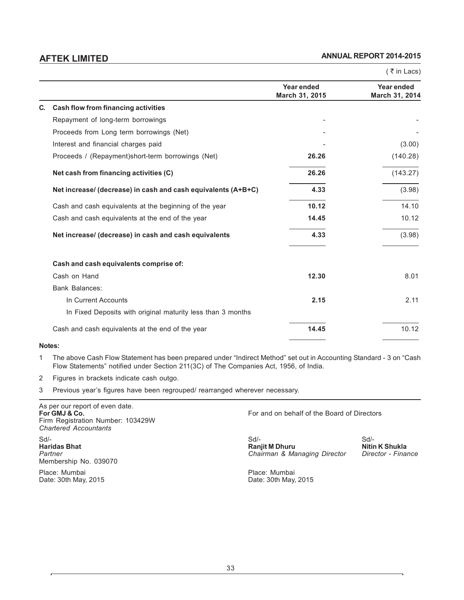|                                                               |                              | $($ ₹ in Lacs)               |
|---------------------------------------------------------------|------------------------------|------------------------------|
|                                                               | Year ended<br>March 31, 2015 | Year ended<br>March 31, 2014 |
| Cash flow from financing activities<br>C.                     |                              |                              |
| Repayment of long-term borrowings                             |                              |                              |
| Proceeds from Long term borrowings (Net)                      |                              |                              |
| Interest and financial charges paid                           |                              | (3.00)                       |
| Proceeds / (Repayment)short-term borrowings (Net)             | 26.26                        | (140.28)                     |
| Net cash from financing activities (C)                        | 26.26                        | (143.27)                     |
| Net increase/ (decrease) in cash and cash equivalents (A+B+C) | 4.33                         | (3.98)                       |
| Cash and cash equivalents at the beginning of the year        | 10.12                        | 14.10                        |
| Cash and cash equivalents at the end of the year              | 14.45                        | 10.12                        |
| Net increase/ (decrease) in cash and cash equivalents         | 4.33                         | (3.98)                       |
| Cash and cash equivalents comprise of:                        |                              |                              |
| Cash on Hand                                                  | 12.30                        | 8.01                         |
| <b>Bank Balances:</b>                                         |                              |                              |
| In Current Accounts                                           | 2.15                         | 2.11                         |
| In Fixed Deposits with original maturity less than 3 months   |                              |                              |
| Cash and cash equivalents at the end of the year              | 14.45                        | 10.12                        |

### **Notes:**

- 1 The above Cash Flow Statement has been prepared under "Indirect Method" set out in Accounting Standard 3 on "Cash Flow Statements" notified under Section 211(3C) of The Companies Act, 1956, of India.
- 2 Figures in brackets indicate cash outgo.
- 3 Previous yearís figures have been regrouped/ rearranged wherever necessary.

As per our report of even date.<br>For GMJ & Co. Firm Registration Number: 103429W *Chartered Accountants*

Membership No. 039070

Place: Mumbai <br>
Date: 30th May, 2015 <br>
Place: 30th May, 2015 <br>
Place: 30th May, 2015

For and on behalf of the Board of Directors

Sd/- Sd/- Sd/- **Haridas Bhat Ranjit M Dhuru Nitin K Shukla**<br> *Partner Director - Finance Ranging Director Director - Finance Chairman & Managing Director* 

Date: 30th May, 2015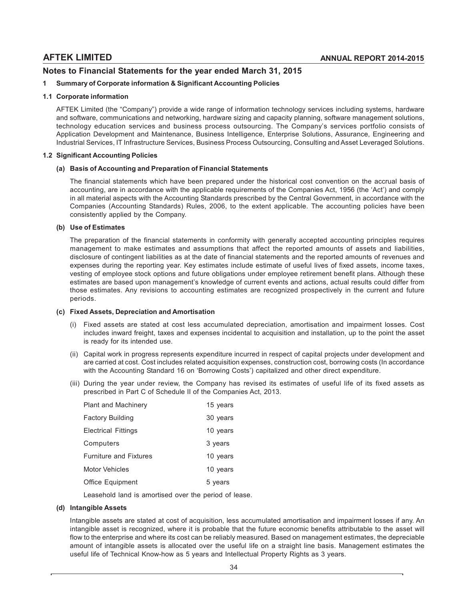## **Notes to Financial Statements for the year ended March 31, 2015**

### **1 Summary of Corporate information & Significant Accounting Policies**

### **1.1 Corporate information**

AFTEK Limited (the "Company") provide a wide range of information technology services including systems, hardware and software, communications and networking, hardware sizing and capacity planning, software management solutions, technology education services and business process outsourcing. The Company's services portfolio consists of Application Development and Maintenance, Business Intelligence, Enterprise Solutions, Assurance, Engineering and Industrial Services, IT Infrastructure Services, Business Process Outsourcing, Consulting and Asset Leveraged Solutions.

#### **1.2 Significant Accounting Policies**

#### **(a) Basis of Accounting and Preparation of Financial Statements**

The financial statements which have been prepared under the historical cost convention on the accrual basis of accounting, are in accordance with the applicable requirements of the Companies Act, 1956 (the 'Act') and comply in all material aspects with the Accounting Standards prescribed by the Central Government, in accordance with the Companies (Accounting Standards) Rules, 2006, to the extent applicable. The accounting policies have been consistently applied by the Company.

#### **(b) Use of Estimates**

The preparation of the financial statements in conformity with generally accepted accounting principles requires management to make estimates and assumptions that affect the reported amounts of assets and liabilities, disclosure of contingent liabilities as at the date of financial statements and the reported amounts of revenues and expenses during the reporting year. Key estimates include estimate of useful lives of fixed assets, income taxes, vesting of employee stock options and future obligations under employee retirement benefit plans. Although these estimates are based upon managementís knowledge of current events and actions, actual results could differ from those estimates. Any revisions to accounting estimates are recognized prospectively in the current and future periods.

### **(c) Fixed Assets, Depreciation and Amortisation**

- (i) Fixed assets are stated at cost less accumulated depreciation, amortisation and impairment losses. Cost includes inward freight, taxes and expenses incidental to acquisition and installation, up to the point the asset is ready for its intended use.
- (ii) Capital work in progress represents expenditure incurred in respect of capital projects under development and are carried at cost. Cost includes related acquisition expenses, construction cost, borrowing costs (In accordance with the Accounting Standard 16 on 'Borrowing Costs') capitalized and other direct expenditure.
- (iii) During the year under review, the Company has revised its estimates of useful life of its fixed assets as prescribed in Part C of Schedule II of the Companies Act, 2013.

| Plant and Machinery           | 15 years |
|-------------------------------|----------|
| <b>Factory Building</b>       | 30 years |
| <b>Electrical Fittings</b>    | 10 years |
| Computers                     | 3 years  |
| <b>Furniture and Fixtures</b> | 10 years |
| <b>Motor Vehicles</b>         | 10 years |
| Office Equipment              | 5 years  |

Leasehold land is amortised over the period of lease.

#### **(d) Intangible Assets**

Intangible assets are stated at cost of acquisition, less accumulated amortisation and impairment losses if any. An intangible asset is recognized, where it is probable that the future economic benefits attributable to the asset will flow to the enterprise and where its cost can be reliably measured. Based on management estimates, the depreciable amount of intangible assets is allocated over the useful life on a straight line basis. Management estimates the useful life of Technical Know-how as 5 years and Intellectual Property Rights as 3 years.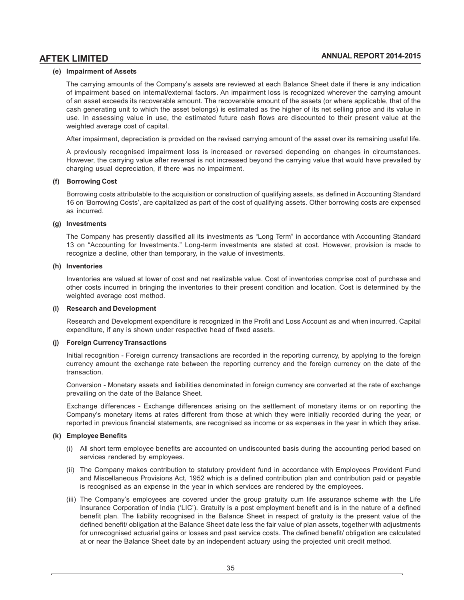#### **(e) Impairment of Assets**

The carrying amounts of the Companyís assets are reviewed at each Balance Sheet date if there is any indication of impairment based on internal/external factors. An impairment loss is recognized wherever the carrying amount of an asset exceeds its recoverable amount. The recoverable amount of the assets (or where applicable, that of the cash generating unit to which the asset belongs) is estimated as the higher of its net selling price and its value in use. In assessing value in use, the estimated future cash flows are discounted to their present value at the weighted average cost of capital.

After impairment, depreciation is provided on the revised carrying amount of the asset over its remaining useful life.

A previously recognised impairment loss is increased or reversed depending on changes in circumstances. However, the carrying value after reversal is not increased beyond the carrying value that would have prevailed by charging usual depreciation, if there was no impairment.

#### **(f) Borrowing Cost**

Borrowing costs attributable to the acquisition or construction of qualifying assets, as defined in Accounting Standard 16 on 'Borrowing Costs', are capitalized as part of the cost of qualifying assets. Other borrowing costs are expensed as incurred.

#### **(g) Investments**

The Company has presently classified all its investments as "Long Term" in accordance with Accounting Standard 13 on "Accounting for Investments." Long-term investments are stated at cost. However, provision is made to recognize a decline, other than temporary, in the value of investments.

#### **(h) Inventories**

Inventories are valued at lower of cost and net realizable value. Cost of inventories comprise cost of purchase and other costs incurred in bringing the inventories to their present condition and location. Cost is determined by the weighted average cost method.

#### **(i) Research and Development**

Research and Development expenditure is recognized in the Profit and Loss Account as and when incurred. Capital expenditure, if any is shown under respective head of fixed assets.

### **(j) Foreign Currency Transactions**

Initial recognition - Foreign currency transactions are recorded in the reporting currency, by applying to the foreign currency amount the exchange rate between the reporting currency and the foreign currency on the date of the transaction.

Conversion - Monetary assets and liabilities denominated in foreign currency are converted at the rate of exchange prevailing on the date of the Balance Sheet.

Exchange differences - Exchange differences arising on the settlement of monetary items or on reporting the Companyís monetary items at rates different from those at which they were initially recorded during the year, or reported in previous financial statements, are recognised as income or as expenses in the year in which they arise.

#### **(k) Employee Benefits**

- (i) All short term employee benefits are accounted on undiscounted basis during the accounting period based on services rendered by employees.
- (ii) The Company makes contribution to statutory provident fund in accordance with Employees Provident Fund and Miscellaneous Provisions Act, 1952 which is a defined contribution plan and contribution paid or payable is recognised as an expense in the year in which services are rendered by the employees.
- (iii) The Companyís employees are covered under the group gratuity cum life assurance scheme with the Life Insurance Corporation of India ('LIC'). Gratuity is a post employment benefit and is in the nature of a defined benefit plan. The liability recognised in the Balance Sheet in respect of gratuity is the present value of the defined benefit/ obligation at the Balance Sheet date less the fair value of plan assets, together with adjustments for unrecognised actuarial gains or losses and past service costs. The defined benefit/ obligation are calculated at or near the Balance Sheet date by an independent actuary using the projected unit credit method.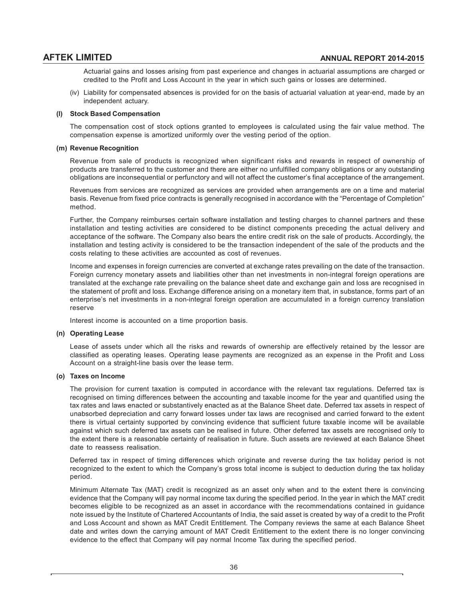Actuarial gains and losses arising from past experience and changes in actuarial assumptions are charged or credited to the Profit and Loss Account in the year in which such gains or losses are determined.

(iv) Liability for compensated absences is provided for on the basis of actuarial valuation at year-end, made by an independent actuary.

#### **(l) Stock Based Compensation**

The compensation cost of stock options granted to employees is calculated using the fair value method. The compensation expense is amortized uniformly over the vesting period of the option.

#### **(m) Revenue Recognition**

Revenue from sale of products is recognized when significant risks and rewards in respect of ownership of products are transferred to the customer and there are either no unfulfilled company obligations or any outstanding obligations are inconsequential or perfunctory and will not affect the customerís final acceptance of the arrangement.

Revenues from services are recognized as services are provided when arrangements are on a time and material basis. Revenue from fixed price contracts is generally recognised in accordance with the "Percentage of Completion" method.

Further, the Company reimburses certain software installation and testing charges to channel partners and these installation and testing activities are considered to be distinct components preceding the actual delivery and acceptance of the software. The Company also bears the entire credit risk on the sale of products. Accordingly, the installation and testing activity is considered to be the transaction independent of the sale of the products and the costs relating to these activities are accounted as cost of revenues.

Income and expenses in foreign currencies are converted at exchange rates prevailing on the date of the transaction. Foreign currency monetary assets and liabilities other than net investments in non-integral foreign operations are translated at the exchange rate prevailing on the balance sheet date and exchange gain and loss are recognised in the statement of profit and loss. Exchange difference arising on a monetary item that, in substance, forms part of an enterprise's net investments in a non-integral foreign operation are accumulated in a foreign currency translation reserve

Interest income is accounted on a time proportion basis.

#### **(n) Operating Lease**

Lease of assets under which all the risks and rewards of ownership are effectively retained by the lessor are classified as operating leases. Operating lease payments are recognized as an expense in the Profit and Loss Account on a straight-line basis over the lease term.

#### **(o) Taxes on Income**

The provision for current taxation is computed in accordance with the relevant tax regulations. Deferred tax is recognised on timing differences between the accounting and taxable income for the year and quantified using the tax rates and laws enacted or substantively enacted as at the Balance Sheet date. Deferred tax assets in respect of unabsorbed depreciation and carry forward losses under tax laws are recognised and carried forward to the extent there is virtual certainty supported by convincing evidence that sufficient future taxable income will be available against which such deferred tax assets can be realised in future. Other deferred tax assets are recognised only to the extent there is a reasonable certainty of realisation in future. Such assets are reviewed at each Balance Sheet date to reassess realisation.

Deferred tax in respect of timing differences which originate and reverse during the tax holiday period is not recognized to the extent to which the Companyís gross total income is subject to deduction during the tax holiday period.

Minimum Alternate Tax (MAT) credit is recognized as an asset only when and to the extent there is convincing evidence that the Company will pay normal income tax during the specified period. In the year in which the MAT credit becomes eligible to be recognized as an asset in accordance with the recommendations contained in guidance note issued by the Institute of Chartered Accountants of India, the said asset is created by way of a credit to the Profit and Loss Account and shown as MAT Credit Entitlement. The Company reviews the same at each Balance Sheet date and writes down the carrying amount of MAT Credit Entitlement to the extent there is no longer convincing evidence to the effect that Company will pay normal Income Tax during the specified period.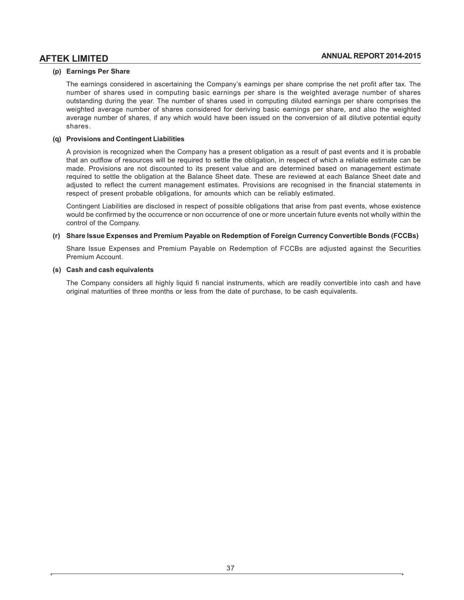## **(p) Earnings Per Share**

The earnings considered in ascertaining the Company's earnings per share comprise the net profit after tax. The number of shares used in computing basic earnings per share is the weighted average number of shares outstanding during the year. The number of shares used in computing diluted earnings per share comprises the weighted average number of shares considered for deriving basic earnings per share, and also the weighted average number of shares, if any which would have been issued on the conversion of all dilutive potential equity shares.

### **(q) Provisions and Contingent Liabilities**

A provision is recognized when the Company has a present obligation as a result of past events and it is probable that an outflow of resources will be required to settle the obligation, in respect of which a reliable estimate can be made. Provisions are not discounted to its present value and are determined based on management estimate required to settle the obligation at the Balance Sheet date. These are reviewed at each Balance Sheet date and adjusted to reflect the current management estimates. Provisions are recognised in the financial statements in respect of present probable obligations, for amounts which can be reliably estimated.

Contingent Liabilities are disclosed in respect of possible obligations that arise from past events, whose existence would be confirmed by the occurrence or non occurrence of one or more uncertain future events not wholly within the control of the Company.

### **(r) Share Issue Expenses and Premium Payable on Redemption of Foreign Currency Convertible Bonds (FCCBs)**

Share Issue Expenses and Premium Payable on Redemption of FCCBs are adjusted against the Securities Premium Account.

#### **(s) Cash and cash equivalents**

The Company considers all highly liquid fi nancial instruments, which are readily convertible into cash and have original maturities of three months or less from the date of purchase, to be cash equivalents.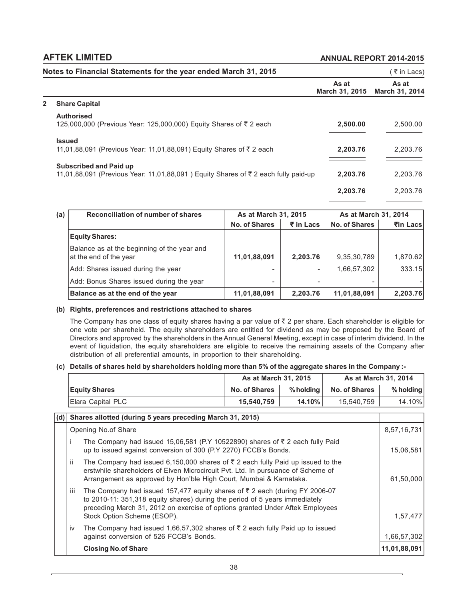|              | Notes to Financial Statements for the year ended March 31, 2015                                                                     |                         | ं ₹ in Lacs)                   |
|--------------|-------------------------------------------------------------------------------------------------------------------------------------|-------------------------|--------------------------------|
|              |                                                                                                                                     | As at<br>March 31, 2015 | As at<br><b>March 31, 2014</b> |
| $\mathbf{2}$ | <b>Share Capital</b>                                                                                                                |                         |                                |
|              | <b>Authorised</b><br>125,000,000 (Previous Year: 125,000,000) Equity Shares of ₹ 2 each                                             | 2,500.00                | 2,500.00                       |
|              | <b>Issued</b><br>11,01,88,091 (Previous Year: 11,01,88,091) Equity Shares of ₹ 2 each                                               | 2,203.76                | 2.203.76                       |
|              | <b>Subscribed and Paid up</b><br>11,01,88,091 (Previous Year: 11,01,88,091) Equity Shares of $\overline{\tau}$ 2 each fully paid-up | 2,203.76                | 2,203.76                       |
|              |                                                                                                                                     | 2,203.76                | 2.203.76                       |
|              |                                                                                                                                     |                         |                                |

| (a) | Reconciliation of number of shares                                    | As at March 31, 2015     |                      | As at March 31, 2014     |          |
|-----|-----------------------------------------------------------------------|--------------------------|----------------------|--------------------------|----------|
|     |                                                                       | No. of Shares            | $\bar{\tau}$ in Lacs | No. of Shares            | ₹in Lacs |
|     | <b>Equity Shares:</b>                                                 |                          |                      |                          |          |
|     | Balance as at the beginning of the year and<br>at the end of the year | 11,01,88,091             | 2,203.76             | 9,35,30,789              | 1,870.62 |
|     | Add: Shares issued during the year                                    |                          |                      | 1,66,57,302              | 333.15   |
|     | Add: Bonus Shares issued during the year                              | $\overline{\phantom{a}}$ |                      | $\overline{\phantom{0}}$ |          |
|     | Balance as at the end of the year                                     | 11,01,88,091             | 2.203.76             | 11,01,88,091             | 2,203.76 |

### **(b) Rights, preferences and restrictions attached to shares**

The Company has one class of equity shares having a par value of  $\bar{\tau}$  2 per share. Each shareholder is eligible for one vote per shareheld. The equity shareholders are entitled for dividend as may be proposed by the Board of Directors and approved by the shareholders in the Annual General Meeting, except in case of interim dividend. In the event of liquidation, the equity shareholders are eligible to receive the remaining assets of the Company after distribution of all preferential amounts, in proportion to their shareholding.

## **(c) Details of shares held by shareholders holding more than 5% of the aggregate shares in the Company :-**

|     |                                                                                                                                                                                                                                                                                                 |                                                                                                                                                                  | As at March 31, 2015 |           |                      | As at March 31, 2014 |
|-----|-------------------------------------------------------------------------------------------------------------------------------------------------------------------------------------------------------------------------------------------------------------------------------------------------|------------------------------------------------------------------------------------------------------------------------------------------------------------------|----------------------|-----------|----------------------|----------------------|
|     | <b>Equity Shares</b>                                                                                                                                                                                                                                                                            |                                                                                                                                                                  | No. of Shares        | % holding | <b>No. of Shares</b> | % holding            |
|     | Elara Capital PLC                                                                                                                                                                                                                                                                               |                                                                                                                                                                  | 15,540,759           | 14.10%    | 15,540,759           | 14.10%               |
| (d) |                                                                                                                                                                                                                                                                                                 | Shares allotted (during 5 years preceding March 31, 2015)                                                                                                        |                      |           |                      |                      |
|     | Opening No.of Share                                                                                                                                                                                                                                                                             |                                                                                                                                                                  |                      |           |                      | 8,57,16,731          |
|     |                                                                                                                                                                                                                                                                                                 | The Company had issued 15,06,581 (P.Y 10522890) shares of $\overline{\tau}$ 2 each fully Paid<br>up to issued against conversion of 300 (P.Y 2270) FCCB's Bonds. |                      |           |                      | 15,06,581            |
|     | ii.<br>The Company had issued 6,150,000 shares of ₹ 2 each fully Paid up issued to the<br>erstwhile shareholders of Elven Microcircuit Pvt. Ltd. In pursuance of Scheme of<br>Arrangement as approved by Hon'ble High Court, Mumbai & Karnataka.                                                |                                                                                                                                                                  |                      | 61,50,000 |                      |                      |
|     | The Company had issued 157,477 equity shares of $\overline{z}$ 2 each (during FY 2006-07<br>iii.<br>to 2010-11: 351,318 equity shares) during the period of 5 years immediately<br>preceding March 31, 2012 on exercise of options granted Under Aftek Employees<br>Stock Option Scheme (ESOP). |                                                                                                                                                                  |                      | 1,57,477  |                      |                      |
|     | İV.                                                                                                                                                                                                                                                                                             | The Company had issued 1,66,57,302 shares of $\bar{\tau}$ 2 each fully Paid up to issued<br>against conversion of 526 FCCB's Bonds.                              |                      |           |                      | 1,66,57,302          |
|     | <b>Closing No.of Share</b>                                                                                                                                                                                                                                                                      |                                                                                                                                                                  |                      |           |                      | 11,01,88,091         |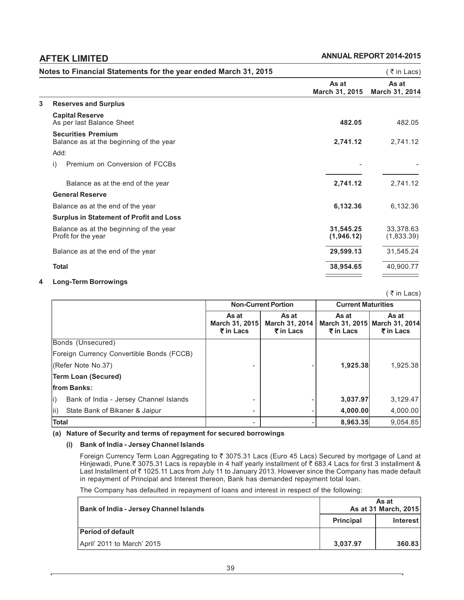| Notes to Financial Statements for the year ended March 31, 2015      |                         | (₹in Lacs)              |
|----------------------------------------------------------------------|-------------------------|-------------------------|
|                                                                      | As at<br>March 31, 2015 | As at<br>March 31, 2014 |
| 3<br><b>Reserves and Surplus</b>                                     |                         |                         |
| <b>Capital Reserve</b><br>As per last Balance Sheet                  | 482.05                  | 482.05                  |
| <b>Securities Premium</b><br>Balance as at the beginning of the year | 2,741.12                | 2,741.12                |
| Add:                                                                 |                         |                         |
| Premium on Conversion of FCCBs<br>i)                                 |                         |                         |
| Balance as at the end of the year                                    | 2,741.12                | 2,741.12                |
| <b>General Reserve</b>                                               |                         |                         |
| Balance as at the end of the year                                    | 6,132.36                | 6,132.36                |
| <b>Surplus in Statement of Profit and Loss</b>                       |                         |                         |
| Balance as at the beginning of the year<br>Profit for the year       | 31,545.25<br>(1,946.12) | 33,378.63<br>(1,833.39) |
| Balance as at the end of the year                                    | 29,599.13               | 31,545.24               |
| <b>Total</b>                                                         | 38,954.65               | 40,900.77               |

#### **4 Long-Term Borrowings**

( $\bar{\tau}$  in Lacs)

|                                                             | <b>Non-Current Portion</b>           |                                      | <b>Current Maturities</b>                 |                                                     |
|-------------------------------------------------------------|--------------------------------------|--------------------------------------|-------------------------------------------|-----------------------------------------------------|
|                                                             | As at<br>March 31, 2015<br>₹ in Lacs | As at<br>March 31, 2014<br>₹ in Lacs | As at<br>$\bar{\bar{\mathbf{z}}}$ in Lacs | As at<br>March 31, 2015 March 31, 2014<br>₹ in Lacs |
| Bonds (Unsecured)                                           |                                      |                                      |                                           |                                                     |
| Foreign Currency Convertible Bonds (FCCB)                   |                                      |                                      |                                           |                                                     |
| (Refer Note No.37)                                          |                                      |                                      | 1,925.38                                  | 1,925.38                                            |
| <b>Term Loan (Secured)</b>                                  |                                      |                                      |                                           |                                                     |
| from Banks:                                                 |                                      |                                      |                                           |                                                     |
| Bank of India - Jersey Channel Islands<br>$\vert i \rangle$ |                                      |                                      | 3,037.97                                  | 3,129.47                                            |
| $\vert$ ii)<br>State Bank of Bikaner & Jaipur               |                                      |                                      | 4,000.00                                  | 4,000.00                                            |
| <b>Total</b>                                                |                                      |                                      | 8,963.35                                  | 9,054.85                                            |

### **(a) Nature of Security and terms of repayment for secured borrowings**

### **(i) Bank of India - Jersey Channel Islands**

Foreign Currency Term Loan Aggregating to ₹ 3075.31 Lacs (Euro 45 Lacs) Secured by mortgage of Land at Hinjewadi, Pune.₹ 3075.31 Lacs is repayble in 4 half yearly installment of ₹ 683.4 Lacs for first 3 installment & Last Installment of ₹1025.11 Lacs from July 11 to January 2013. However since the Company has made default in repayment of Principal and Interest thereon, Bank has demanded repayment total loan.

The Company has defaulted in repayment of loans and interest in respect of the following:

| <b>Bank of India - Jersey Channel Islands</b> |                  | As at<br>As at 31 March, 2015 |
|-----------------------------------------------|------------------|-------------------------------|
|                                               | <b>Principal</b> | Interest                      |
| <b>Period of default</b>                      |                  |                               |
| April' 2011 to March' 2015                    | 3,037.97         | 360.83                        |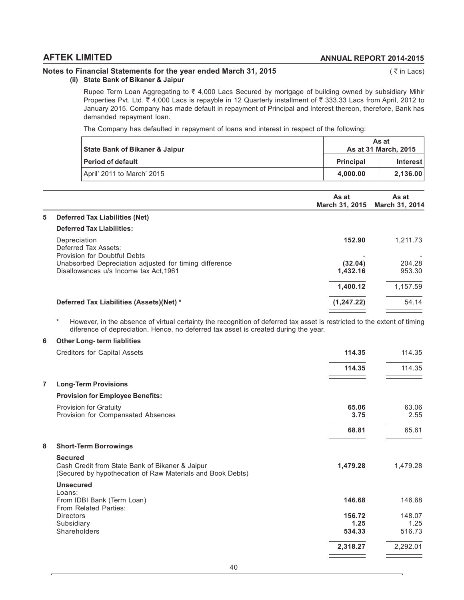# **Notes to Financial Statements for the year ended March 31, 2015** (₹ in Lacs)

## **(ii) State Bank of Bikaner & Jaipur**

Rupee Term Loan Aggregating to  $\bar{\tau}$  4,000 Lacs Secured by mortgage of building owned by subsidiary Mihir Properties Pvt. Ltd. ₹4,000 Lacs is repayble in 12 Quarterly installment of ₹333.33 Lacs from April, 2012 to January 2015. Company has made default in repayment of Principal and Interest thereon, therefore, Bank has demanded repayment loan.

The Company has defaulted in repayment of loans and interest in respect of the following:

| <b>State Bank of Bikaner &amp; Jaipur</b> |                  | As at<br>As at 31 March, 2015 |
|-------------------------------------------|------------------|-------------------------------|
| Period of default                         | <b>Principal</b> | <b>Interest</b>               |
| April' 2011 to March' 2015                | 4.000.00         | 2.136.00                      |

|   |                                                                                                                                                                          | As at<br>March 31, 2015       | As at<br><b>March 31, 2014</b> |
|---|--------------------------------------------------------------------------------------------------------------------------------------------------------------------------|-------------------------------|--------------------------------|
| 5 | Deferred Tax Liabilities (Net)                                                                                                                                           |                               |                                |
|   | <b>Deferred Tax Liabilities:</b>                                                                                                                                         |                               |                                |
|   | Depreciation<br>Deferred Tax Assets:<br>Provision for Doubtful Debts<br>Unabsorbed Depreciation adjusted for timing difference<br>Disallowances u/s Income tax Act. 1961 | 152.90<br>(32.04)<br>1,432.16 | 1.211.73<br>204.28<br>953.30   |
|   |                                                                                                                                                                          | 1,400.12                      | 1,157.59                       |
|   | Deferred Tax Liabilities (Assets)(Net) *                                                                                                                                 | (1, 247.22)                   | 54.14                          |
|   |                                                                                                                                                                          |                               |                                |

\* However, in the absence of virtual certainty the recognition of deferred tax asset is restricted to the extent of timing diference of depreciation. Hence, no deferred tax asset is created during the year.

### **6 Other Long- term liablities**

|   | Creditors for Capital Assets                                                                                                    | 114.35        | 114.35        |
|---|---------------------------------------------------------------------------------------------------------------------------------|---------------|---------------|
|   |                                                                                                                                 | 114.35        | 114.35        |
| 7 | <b>Long-Term Provisions</b>                                                                                                     |               |               |
|   | <b>Provision for Employee Benefits:</b>                                                                                         |               |               |
|   | <b>Provision for Gratuity</b><br>Provision for Compensated Absences                                                             | 65.06<br>3.75 | 63.06<br>2.55 |
|   |                                                                                                                                 | 68.81         | 65.61         |
| 8 | <b>Short-Term Borrowings</b>                                                                                                    |               |               |
|   | <b>Secured</b><br>Cash Credit from State Bank of Bikaner & Jaipur<br>(Secured by hypothecation of Raw Materials and Book Debts) | 1,479.28      | 1,479.28      |
|   | <b>Unsecured</b><br>Loans:<br>From IDBI Bank (Term Loan)<br>From Related Parties:                                               | 146.68        | 146.68        |
|   | <b>Directors</b>                                                                                                                | 156.72        | 148.07        |
|   | Subsidiary                                                                                                                      | 1.25          | 1.25          |
|   | Shareholders                                                                                                                    | 534.33        | 516.73        |
|   |                                                                                                                                 | 2,318.27      | 2,292.01      |
|   |                                                                                                                                 |               |               |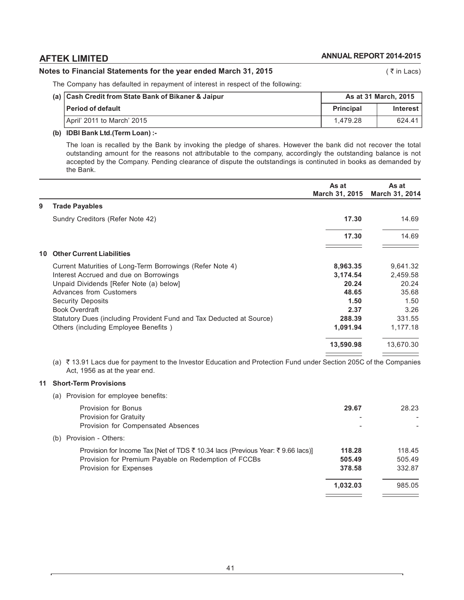### **Notes to Financial Statements for the year ended March 31, 2015** (₹ in Lacs)

The Company has defaulted in repayment of interest in respect of the following:

| (a) Cash Credit from State Bank of Bikaner & Jaipur | As at 31 March, 2015 |          |
|-----------------------------------------------------|----------------------|----------|
| Period of default                                   | <b>Principal</b>     | Interest |
| April' 2011 to March' 2015                          | 1.479.28             | 624.41   |

## **(b) IDBI Bank Ltd.(Term Loan) :-**

The loan is recalled by the Bank by invoking the pledge of shares. However the bank did not recover the total outstanding amount for the reasons not attributable to the company, accordingly the outstanding balance is not accepted by the Company. Pending clearance of dispute the outstandings is continuted in books as demanded by the Bank.

|    |                                                                                                                                                     | As at<br>March 31, 2015 | As at<br>March 31, 2014 |
|----|-----------------------------------------------------------------------------------------------------------------------------------------------------|-------------------------|-------------------------|
| 9  | <b>Trade Payables</b>                                                                                                                               |                         |                         |
|    | Sundry Creditors (Refer Note 42)                                                                                                                    | 17.30                   | 14.69                   |
|    |                                                                                                                                                     | 17.30                   | 14.69                   |
| 10 | <b>Other Current Liabilities</b>                                                                                                                    |                         |                         |
|    | Current Maturities of Long-Term Borrowings (Refer Note 4)                                                                                           | 8,963.35                | 9,641.32                |
|    | Interest Accrued and due on Borrowings                                                                                                              | 3,174.54                | 2,459.58                |
|    | Unpaid Dividends [Refer Note (a) below]                                                                                                             | 20.24                   | 20.24                   |
|    | Advances from Customers                                                                                                                             | 48.65                   | 35.68                   |
|    | <b>Security Deposits</b>                                                                                                                            | 1.50                    | 1.50                    |
|    | <b>Book Overdraft</b>                                                                                                                               | 2.37                    | 3.26                    |
|    | Statutory Dues (including Provident Fund and Tax Deducted at Source)                                                                                | 288.39                  | 331.55                  |
|    | Others (including Employee Benefits)                                                                                                                | 1,091.94                | 1,177.18                |
|    |                                                                                                                                                     | 13,590.98               | 13,670.30               |
|    | (a) ₹ 13.91 Lacs due for payment to the Investor Education and Protection Fund under Section 205C of the Companies<br>Act, 1956 as at the year end. |                         |                         |
| 11 | <b>Short-Term Provisions</b>                                                                                                                        |                         |                         |
|    | Provision for employee benefits:<br>(a)                                                                                                             |                         |                         |
|    | Provision for Bonus                                                                                                                                 | 29.67                   | 28.23                   |

| Provision for Bonus                                                             | 29.67    | 28.23  |
|---------------------------------------------------------------------------------|----------|--------|
| <b>Provision for Gratuity</b>                                                   |          |        |
| Provision for Compensated Absences                                              | -        |        |
| Provision - Others:<br>(b)                                                      |          |        |
| Provision for Income Tax [Net of TDS ₹ 10.34 lacs (Previous Year: ₹ 9.66 lacs)] | 118.28   | 118.45 |
| Provision for Premium Payable on Redemption of FCCBs                            | 505.49   | 505.49 |
| Provision for Expenses                                                          | 378.58   | 332.87 |
|                                                                                 | 1.032.03 | 985.05 |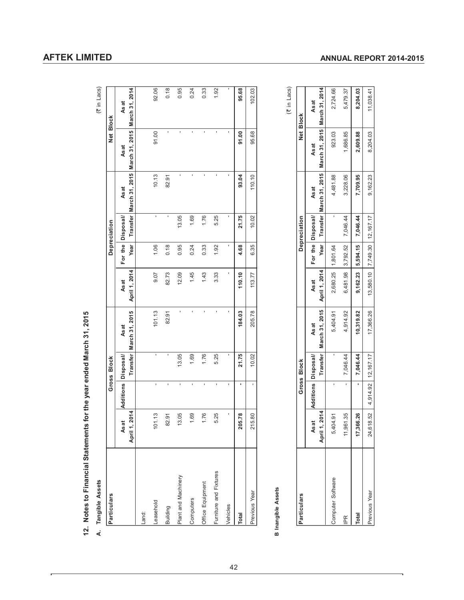| 12. Notes to Financial Statements for the year ended March 31, 2015 |                                      |                     |                       |                               |                              |                 |                |                                        |                               |                               |
|---------------------------------------------------------------------|--------------------------------------|---------------------|-----------------------|-------------------------------|------------------------------|-----------------|----------------|----------------------------------------|-------------------------------|-------------------------------|
| A. Tangible Assets                                                  |                                      |                     |                       |                               |                              |                 |                |                                        |                               |                               |
| Particulars                                                         |                                      | Gross               | <b>Block</b>          |                               |                              |                 | Depreciation   |                                        | Net Block                     |                               |
|                                                                     | 1,2014<br>$\vec{a}$<br>å<br>April 1, | Additions           | Transfer<br>Disposal/ | March 31, 2015<br><b>Asat</b> | April 1, 2014<br><b>Asat</b> | For the<br>Year | Disposal/      | Transfer March 31, 2015<br>Asat        | March 31, 2015<br><b>Asat</b> | March 31, 2014<br><b>Asat</b> |
| Land:                                                               |                                      |                     |                       |                               |                              |                 |                |                                        |                               |                               |
| easehold                                                            | 01.13                                | $\bar{\phantom{a}}$ | $\mathbf I$           | 101.13                        | 9.07                         | 1.06            | $\mathbf{I}$   | 10.13                                  | 91.00                         | 92.06                         |
| Building                                                            | 82.91                                | $\mathbf{I}$        | $\,$                  | 82.91                         | 82.73                        | 0.18            | $\blacksquare$ | 82.91                                  | $\mathbf{I}$                  | 0.18                          |
| Plant and Machinery                                                 | 13.05                                | $\mathbf{r}$        | 13.05                 | $\mathbf{r}$                  | 12.09                        | 0.95            | 13.05          | $\mathbf{r}$                           | $\,$                          | 0.95                          |
| Computers                                                           | 1.69                                 | $\bar{\phantom{a}}$ | 1.69                  | $\blacksquare$                | 1.45                         | 0.24            | 1.69           | $\bar{\phantom{a}}$                    | $\mathbf{r}$                  | 0.24                          |
| Office Equipment                                                    | 1.76                                 | $\mathbf{I}$        | 1.76                  | $\mathbf{I}$                  | 1.43                         | 0.33            | 1.76           | f,                                     | $\mathbf{I}$                  | 0.33                          |
| Furniture and Fixtures                                              | 5.25                                 | f,                  | 5.25                  | ٠                             | 3.33                         | 1.92            | 5.25           | f,                                     | f,                            | 1.92                          |
| Vehicles                                                            |                                      | í.                  |                       | f,                            |                              |                 | ٠              | $\mathbf{r}$                           | f,                            |                               |
| Total                                                               | 205.78                               | $\blacksquare$      | 21.75                 | 184.03                        | 110.10                       | 4.68            | 21.75          | 93.04                                  | 91.00                         | 95.68                         |
| Previous Year                                                       | 215.80                               | $\mathbf{I}$        | 10.02                 | 205.78                        | 113.77                       | 6.35            | 10.02          | 110.10                                 | 95.68                         | 102.03                        |
| <b>B</b> Inangible Assets                                           |                                      |                     |                       |                               |                              |                 |                |                                        |                               | $(35 \text{ in } 2)$          |
| Particulars                                                         |                                      |                     | Gross Block           |                               |                              |                 | Depreciation   |                                        |                               | Net Block                     |
|                                                                     | 2014<br>$\vec{a}$<br>4s<br>April 1,  | Additions           | Transfer<br>Disposal/ | March 31, 2015<br><b>Asat</b> | April 1, 2014<br><b>Asat</b> | For the<br>Year | Disposal/      | Transfer March 31, 2015<br><b>Asat</b> | March 31, 2015<br><b>Asat</b> | March 31, 2014<br><b>Asat</b> |
| Computer Software                                                   | 5,404.91                             | $\blacksquare$      | $\blacksquare$        | 5,404.91                      | 2,680.25                     | 1,801.64        | $\blacksquare$ | 4,481.88                               | 923.03                        | 2,724.66                      |
| ΙFΚ                                                                 | 11,961.35                            | $\blacksquare$      | 7,046.44              | 4,914.92                      | 6,481.98                     | 3,792.52        | 7,046.44       | 3,228.06                               | 1,686.85                      | 5,479.37                      |
| Total                                                               | 17,366.26                            | $\blacksquare$      | 7,046.44              | 10,319.82                     | 9,162.23                     | 5,594.15        | 7,046.44       | 7,709.95                               | 2,609.88                      | 8,204.03                      |
| Previous Year                                                       | 24,618.52                            | 4,914.92            | 12, 167. 17           | 17,366.26                     | 13,580.10                    | 7,749.30        | 12, 167. 17    | 9,162.23                               | 8,204.03                      | 11,038.41                     |

|                   |                           |                              |             |                                                            |                              |                              |                                                                                   |             | $(3 \nmid \mathsf{in} \mathsf{Lacs})$ |
|-------------------|---------------------------|------------------------------|-------------|------------------------------------------------------------|------------------------------|------------------------------|-----------------------------------------------------------------------------------|-------------|---------------------------------------|
| Particulars       |                           |                              | Gross Block |                                                            |                              | Depreciation                 |                                                                                   |             | Net Block                             |
|                   | 1, 2014<br>As at<br>April | Additions Disposal/          |             | Transfer   March 31, 2015   April 1, 2014  <br><b>Asat</b> | As at                        | For the Disposal/            | Year   Transfer   March 31, 2015   March 31, 2015   March 31, 2014<br><b>Asat</b> | <b>Asat</b> | <b>Asat</b>                           |
| Computer Software | ,404.91<br>ம              |                              |             | 5,404.91                                                   | 2,680.25   1,801.64          |                              | 4,481.88                                                                          | 923.03      | 2,724.66                              |
| ԲR<br>ա           | 11,961.35                 |                              | 7,046.44    | 4,914.92                                                   |                              | 6,481.98 3,792.52 7,046.44   | 3,228.06                                                                          | 1,686.85    | 5,479.37                              |
| <b>Total</b>      | 366.26                    |                              | 7,046.44    | 10,319.82                                                  |                              | $9,162.23$ 5,594.15 7,046.44 | 7,709.95                                                                          | 2,609.88    | 8,204.03                              |
| Previous Year     |                           | 24,618.52 4,914.92 12,167.17 |             | 17.366.26                                                  | 13,580.10 7,749.30 12,167.17 |                              | 9,162.23                                                                          | 8,204.03    | 11,038.41                             |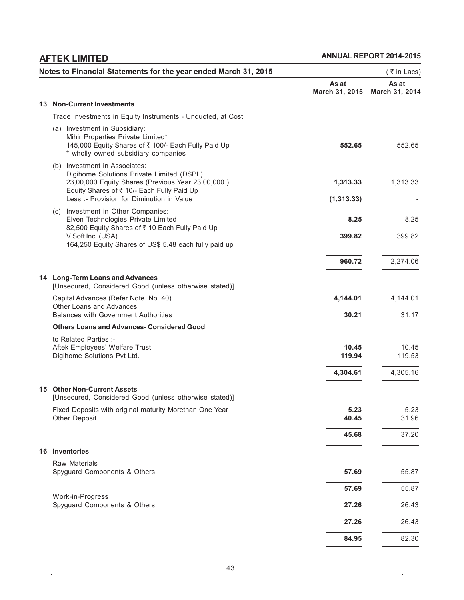| Notes to Financial Statements for the year ended March 31, 2015                                                                                                               |                         | $($ ₹ in Lacs)          |
|-------------------------------------------------------------------------------------------------------------------------------------------------------------------------------|-------------------------|-------------------------|
|                                                                                                                                                                               | As at<br>March 31, 2015 | As at<br>March 31, 2014 |
| 13 Non-Current Investments                                                                                                                                                    |                         |                         |
| Trade Investments in Equity Instruments - Unquoted, at Cost                                                                                                                   |                         |                         |
| (a) Investment in Subsidiary:<br>Mihir Properties Private Limited*<br>145,000 Equity Shares of ₹ 100/- Each Fully Paid Up<br>* wholly owned subsidiary companies              | 552.65                  | 552.65                  |
| (b) Investment in Associates:<br>Digihome Solutions Private Limited (DSPL)<br>23,00,000 Equity Shares (Previous Year 23,00,000)<br>Equity Shares of ₹ 10/- Each Fully Paid Up | 1,313.33                | 1,313.33                |
| Less :- Provision for Diminution in Value                                                                                                                                     | (1,313.33)              |                         |
| (c) Investment in Other Companies:<br>Elven Technologies Private Limited<br>82,500 Equity Shares of ₹10 Each Fully Paid Up                                                    | 8.25                    | 8.25                    |
| V Soft Inc. (USA)<br>164,250 Equity Shares of US\$ 5.48 each fully paid up                                                                                                    | 399.82                  | 399.82                  |
|                                                                                                                                                                               | 960.72                  | 2,274.06                |
| 14 Long-Term Loans and Advances<br>[Unsecured, Considered Good (unless otherwise stated)]                                                                                     |                         |                         |
| Capital Advances (Refer Note. No. 40)<br>Other Loans and Advances:<br><b>Balances with Government Authorities</b>                                                             | 4,144.01<br>30.21       | 4,144.01<br>31.17       |
| <b>Others Loans and Advances- Considered Good</b>                                                                                                                             |                         |                         |
| to Related Parties :-                                                                                                                                                         |                         |                         |
| Aftek Employees' Welfare Trust<br>Digihome Solutions Pvt Ltd.                                                                                                                 | 10.45<br>119.94         | 10.45<br>119.53         |
|                                                                                                                                                                               | 4,304.61                | 4,305.16                |
| 15 Other Non-Current Assets<br>[Unsecured, Considered Good (unless otherwise stated)]                                                                                         |                         |                         |
| Fixed Deposits with original maturity Morethan One Year<br>Other Deposit                                                                                                      | 5.23<br>40.45           | 5.23<br>31.96           |
|                                                                                                                                                                               | 45.68                   | 37.20                   |
| 16 Inventories                                                                                                                                                                |                         |                         |
| <b>Raw Materials</b>                                                                                                                                                          |                         |                         |
| Spyguard Components & Others                                                                                                                                                  | 57.69                   | 55.87                   |
| Work-in-Progress                                                                                                                                                              | 57.69                   | 55.87                   |
| Spyguard Components & Others                                                                                                                                                  | 27.26                   | 26.43                   |
|                                                                                                                                                                               | 27.26                   | 26.43                   |
|                                                                                                                                                                               | 84.95                   | 82.30                   |

÷

 $\equiv$ 

 $\equiv$ 

÷.

ц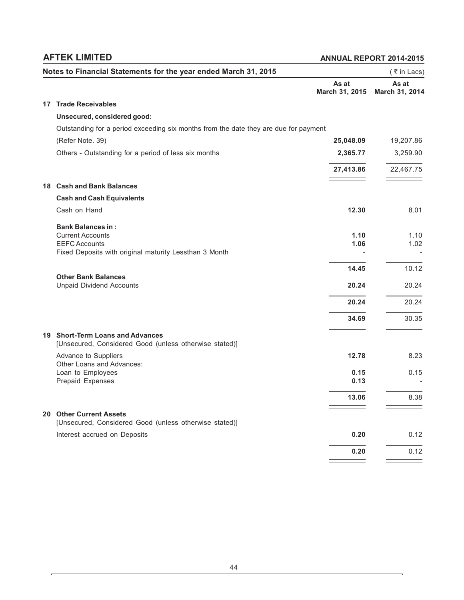# **AFTEK LIMITED ANNUAL REPORT 2014-2015 Notes to Financial Statements for the year ended March 31, 2015** (₹ in Lacs) (₹ in Lacs) **As at As at March 31, 2015 March 31, 2014 17 Trade Receivables Unsecured, considered good:** Outstanding for a period exceeding six months from the date they are due for payment (Refer Note. 39) **25,048.09** 19,207.86 Others - Outstanding for a period of less six months **2,365.77** 3,259.90 **27,413.86** 22,467.75 **18 Cash and Bank Balances Cash and Cash Equivalents** Cash on Hand **12.30** 8.01 **Bank Balances in : Current Accounts** 1.10 1.10 1.10 **EEFC Accounts 1.02 1.06 1.02** Fixed Deposits with original maturity Lessthan 3 Month **14.45** 10.12 **Other Bank Balances** Unpaid Dividend Accounts **20.24** 20.24 **20.24** 20.24 **34.69** 30.35 **19 Short-Term Loans and Advances** [Unsecured, Considered Good (unless otherwise stated)] Advance to Suppliers **12.78** 8.23 Other Loans and Advances: Loan to Employees **0.15** 0.15 Prepaid Expenses **0.13** - **13.06** 8.38 **20 Other Current Assets** [Unsecured, Considered Good (unless otherwise stated)] Interest accrued on Deposits **0.20** 0.12 **0.20** 0.12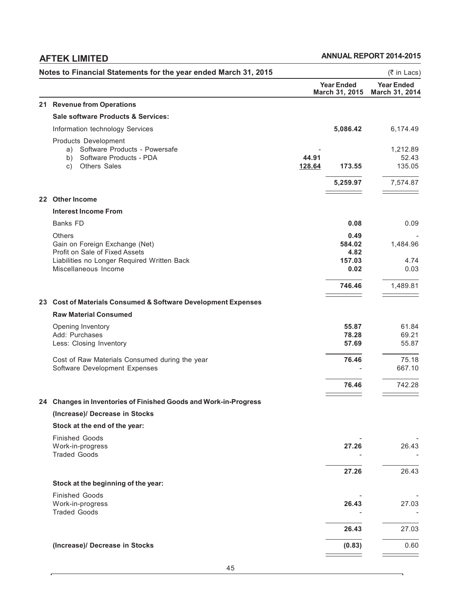| Notes to Financial Statements for the year ended March 31, 2015                                                                    |                 |                                     | $(5 \in \text{In}$ Lacs)            |
|------------------------------------------------------------------------------------------------------------------------------------|-----------------|-------------------------------------|-------------------------------------|
|                                                                                                                                    |                 | <b>Year Ended</b><br>March 31, 2015 | <b>Year Ended</b><br>March 31, 2014 |
| 21 Revenue from Operations                                                                                                         |                 |                                     |                                     |
| Sale software Products & Services:                                                                                                 |                 |                                     |                                     |
| Information technology Services                                                                                                    |                 | 5,086.42                            | 6,174.49                            |
| Products Development<br>a) Software Products - Powersafe<br>Software Products - PDA<br>b)<br><b>Others Sales</b><br>$\mathsf{C}$ ) | 44.91<br>128.64 | 173.55                              | 1,212.89<br>52.43<br>135.05         |
|                                                                                                                                    |                 | 5,259.97                            | 7,574.87                            |
|                                                                                                                                    |                 |                                     |                                     |
| 22 Other Income                                                                                                                    |                 |                                     |                                     |
| <b>Interest Income From</b>                                                                                                        |                 |                                     |                                     |
| Banks FD                                                                                                                           |                 | 0.08                                | 0.09                                |
| <b>Others</b>                                                                                                                      |                 | 0.49                                |                                     |
| Gain on Foreign Exchange (Net)<br>Profit on Sale of Fixed Assets                                                                   |                 | 584.02<br>4.82                      | 1,484.96                            |
| Liabilities no Longer Required Written Back                                                                                        |                 | 157.03                              | 4.74                                |
| Miscellaneous Income                                                                                                               |                 | 0.02                                | 0.03                                |
|                                                                                                                                    |                 | 746.46                              | 1,489.81                            |
| 23 Cost of Materials Consumed & Software Development Expenses                                                                      |                 |                                     |                                     |
| <b>Raw Material Consumed</b>                                                                                                       |                 |                                     |                                     |
| Opening Inventory                                                                                                                  |                 | 55.87                               | 61.84                               |
| Add: Purchases                                                                                                                     |                 | 78.28                               | 69.21                               |
| Less: Closing Inventory                                                                                                            |                 | 57.69                               | 55.87                               |
| Cost of Raw Materials Consumed during the year                                                                                     |                 | 76.46                               | 75.18                               |
| Software Development Expenses                                                                                                      |                 |                                     | 667.10                              |
|                                                                                                                                    |                 | 76.46                               | 742.28                              |
| 24 Changes in Inventories of Finished Goods and Work-in-Progress                                                                   |                 |                                     |                                     |
| (Increase)/ Decrease in Stocks                                                                                                     |                 |                                     |                                     |
| Stock at the end of the year:                                                                                                      |                 |                                     |                                     |
| <b>Finished Goods</b><br>Work-in-progress<br><b>Traded Goods</b>                                                                   |                 | 27.26                               | 26.43                               |
|                                                                                                                                    |                 | 27.26                               | 26.43                               |
| Stock at the beginning of the year:                                                                                                |                 |                                     |                                     |
| <b>Finished Goods</b><br>Work-in-progress<br><b>Traded Goods</b>                                                                   |                 | 26.43                               | 27.03                               |
|                                                                                                                                    |                 | 26.43                               | 27.03                               |
| (Increase)/ Decrease in Stocks                                                                                                     |                 | (0.83)                              | 0.60                                |
|                                                                                                                                    |                 |                                     |                                     |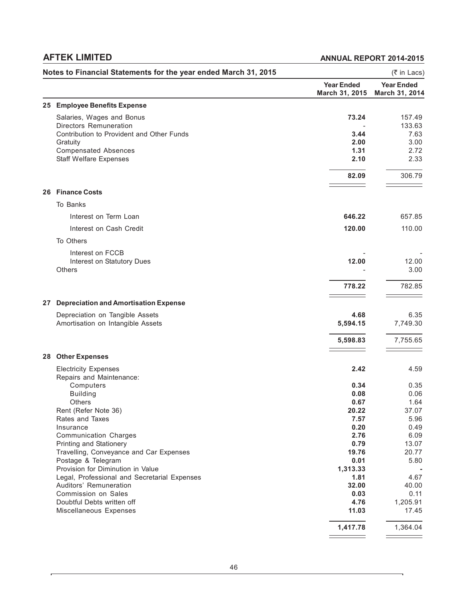|    | <b>AFTEK LIMITED</b>                                                 | ANNUAL REPORT 2014-2015             |                                     |
|----|----------------------------------------------------------------------|-------------------------------------|-------------------------------------|
|    | Notes to Financial Statements for the year ended March 31, 2015      |                                     | (₹ in Lacs)                         |
|    |                                                                      | <b>Year Ended</b><br>March 31, 2015 | <b>Year Ended</b><br>March 31, 2014 |
| 25 | <b>Employee Benefits Expense</b>                                     |                                     |                                     |
|    | Salaries, Wages and Bonus<br>Directors Remuneration                  | 73.24                               | 157.49<br>133.63                    |
|    | Contribution to Provident and Other Funds<br>Gratuity                | 3.44<br>2.00                        | 7.63<br>3.00                        |
|    | <b>Compensated Absences</b>                                          | 1.31                                | 2.72                                |
|    | <b>Staff Welfare Expenses</b>                                        | 2.10                                | 2.33                                |
|    |                                                                      | 82.09                               | 306.79                              |
| 26 | <b>Finance Costs</b>                                                 |                                     |                                     |
|    | To Banks                                                             |                                     |                                     |
|    | Interest on Term Loan                                                | 646.22                              | 657.85                              |
|    | Interest on Cash Credit                                              | 120.00                              | 110.00                              |
|    | To Others                                                            |                                     |                                     |
|    | Interest on FCCB<br>Interest on Statutory Dues<br>Others             | 12.00                               | 12.00<br>3.00                       |
|    |                                                                      |                                     |                                     |
|    |                                                                      | 778.22                              | 782.85                              |
| 27 | <b>Depreciation and Amortisation Expense</b>                         |                                     |                                     |
|    | Depreciation on Tangible Assets<br>Amortisation on Intangible Assets | 4.68<br>5,594.15                    | 6.35<br>7,749.30                    |
|    |                                                                      | 5,598.83                            | 7,755.65                            |
| 28 | <b>Other Expenses</b>                                                |                                     |                                     |
|    | <b>Electricity Expenses</b><br>Repairs and Maintenance:              | 2.42                                | 4.59                                |
|    | Computers                                                            | 0.34                                | 0.35                                |
|    | <b>Building</b>                                                      | 0.08                                | 0.06                                |
|    | <b>Others</b><br>Rent (Refer Note 36)                                | 0.67<br>20.22                       | 1.64<br>37.07                       |
|    | Rates and Taxes                                                      | 7.57                                | 5.96                                |
|    | Insurance                                                            | 0.20                                | 0.49                                |
|    | <b>Communication Charges</b>                                         | 2.76                                | 6.09                                |
|    | Printing and Stationery<br>Travelling, Conveyance and Car Expenses   | 0.79<br>19.76                       | 13.07<br>20.77                      |
|    | Postage & Telegram                                                   | 0.01                                | 5.80                                |
|    | Provision for Diminution in Value                                    | 1,313.33                            |                                     |
|    | Legal, Professional and Secretarial Expenses                         | 1.81                                | 4.67                                |
|    | Auditors' Remuneration                                               | 32.00                               | 40.00                               |
|    | Commission on Sales<br>Doubtful Debts written off                    | 0.03<br>4.76                        | 0.11<br>1,205.91                    |
|    | Miscellaneous Expenses                                               | 11.03                               | 17.45                               |
|    |                                                                      | 1,417.78                            | 1,364.04                            |
|    |                                                                      |                                     |                                     |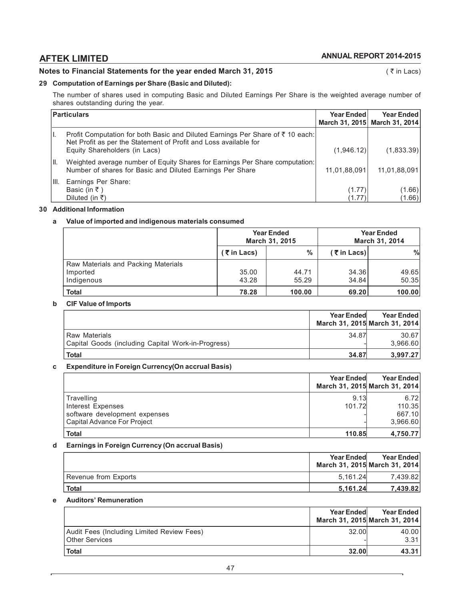### **Notes to Financial Statements for the year ended March 31, 2015** (₹ in Lacs)

### **29 Computation of Earnings per Share (Basic and Diluted):**

The number of shares used in computing Basic and Diluted Earnings Per Share is the weighted average number of shares outstanding during the year.

| <b>Particulars</b>                                                                                                                                                                             | Year Ended       | Year Ended<br>March 31, 2015 March 31, 2014 |
|------------------------------------------------------------------------------------------------------------------------------------------------------------------------------------------------|------------------|---------------------------------------------|
| Profit Computation for both Basic and Diluted Earnings Per Share of $\bar{\tau}$ 10 each:<br>Net Profit as per the Statement of Profit and Loss available for<br>Equity Shareholders (in Lacs) | (1,946.12)       | (1,833.39)                                  |
| Weighted average number of Equity Shares for Earnings Per Share computation:<br>III.<br>Number of shares for Basic and Diluted Earnings Per Share                                              | 11,01,88,091     | 11,01,88,091                                |
| Earnings Per Share:<br>HII.<br>Basic (in ₹)<br>Diluted (in ₹)                                                                                                                                  | (1.77)<br>(1.77) | (1.66)<br>(1.66)                            |

### **30 Additional Information**

#### **a Value of imported and indigenous materials consumed**

|                                                               |                | <b>Year Ended</b><br>March 31, 2015 |                | <b>Year Ended</b><br>March 31, 2014 |
|---------------------------------------------------------------|----------------|-------------------------------------|----------------|-------------------------------------|
|                                                               | (₹in Lacs)     | $\%$                                | $(5 \times 1)$ | %                                   |
| Raw Materials and Packing Materials<br>Imported<br>Indigenous | 35.00<br>43.28 | 44.71<br>55.29                      | 34.36<br>34.84 | 49.65<br>50.35                      |
| <b>Total</b>                                                  | 78.28          | 100.00                              | 69.20          | 100.00                              |

#### **b CIF Value of Imports**

|                                                                     | <b>Year Ended</b> | Year Ended<br>March 31, 2015 March 31, 2014 |
|---------------------------------------------------------------------|-------------------|---------------------------------------------|
| Raw Materials<br>Capital Goods (including Capital Work-in-Progress) | 34.87             | 30.67<br>3.966.60                           |
| Total                                                               | 34.87             | 3,997.27                                    |

### **c Expenditure in Foreign Currency(On accrual Basis)**

|                                                                                                 | <b>Year Ended</b> | Year Ended I<br>March 31, 2015 March 31, 2014 |
|-------------------------------------------------------------------------------------------------|-------------------|-----------------------------------------------|
| Travelling<br>Interest Expenses<br>software development expenses<br>Capital Advance For Project | 9.13<br>101.72    | 6.72<br>110.35<br>667.10<br>3,966.60          |
| <b>Total</b>                                                                                    | 110.85            | 4,750.77                                      |

### **d Earnings in Foreign Currency (On accrual Basis)**

|                      | <b>Year Ended</b> | Year Ended<br>March 31, 2015 March 31, 2014 |
|----------------------|-------------------|---------------------------------------------|
| Revenue from Exports | 5.161.24          | 7.439.82                                    |
| <b>Total</b>         | 5.161.24          | 7.439.82                                    |

#### **e Auditorsí Remuneration**

|                                                              | <b>Year Ended</b> | Year Ended<br>March 31, 2015 March 31, 2014 |
|--------------------------------------------------------------|-------------------|---------------------------------------------|
| Audit Fees (Including Limited Review Fees)<br>Other Services | 32.00             | 40.00<br>3.31                               |
| <b>Total</b>                                                 | 32.00             | 43.31                                       |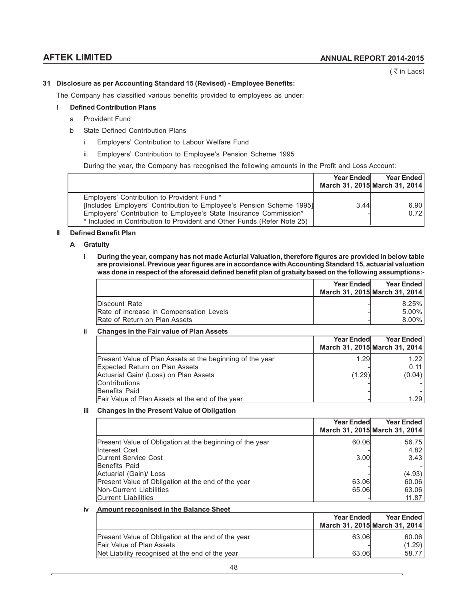### $($  ₹ in Lacs)

#### **31 Disclosure as per Accounting Standard 15 (Revised) - Employee Benefits:**

The Company has classified various benefits provided to employees as under:

### **I Defined Contribution Plans**

- a Provident Fund
- b State Defined Contribution Plans
	- i. Employers' Contribution to Labour Welfare Fund
	- ii. Employers' Contribution to Employee's Pension Scheme 1995

During the year, the Company has recognised the following amounts in the Profit and Loss Account:

|                                                                         | <b>Year Endedl</b> | Year Ended<br>March 31, 2015 March 31, 2014 |
|-------------------------------------------------------------------------|--------------------|---------------------------------------------|
| Employers' Contribution to Provident Fund *                             |                    |                                             |
| [Includes Employers' Contribution to Employee's Pension Scheme 1995]    | 3.44               | 6.90                                        |
| Employers' Contribution to Employee's State Insurance Commission*       |                    | 0.72                                        |
| * Included in Contribution to Provident and Other Funds (Refer Note 25) |                    |                                             |

#### **II Defined Benefit Plan**

#### **A Gratuity**

**i During the year, company has not made Acturial Valuation, therefore figures are provided in below table are provisional. Previous year figures are in accordance with Accounting Standard 15, actuarial valuation was done in respect of the aforesaid defined benefit plan of gratuity based on the following assumptions:-**

|                                         | <b>Year Ended</b> | Year Ended<br>March 31, 2015 March 31, 2014 |
|-----------------------------------------|-------------------|---------------------------------------------|
| Discount Rate                           |                   | $8.25\%$                                    |
| Rate of increase in Compensation Levels |                   | $5.00\%$                                    |
| Rate of Return on Plan Assets           |                   | $8.00\%$                                    |

#### **ii Changes in the Fair value of Plan Assets**

|                                                           | <b>Year Ended</b> | Year Ended I                  |
|-----------------------------------------------------------|-------------------|-------------------------------|
|                                                           |                   | March 31, 2015 March 31, 2014 |
| Present Value of Plan Assets at the beginning of the year | 1.29              | 1.22                          |
| Expected Return on Plan Assets                            |                   | 0.11                          |
| Actuarial Gain/ (Loss) on Plan Assets                     | (1.29)            | (0.04)                        |
| <b>Contributions</b>                                      |                   |                               |
| Benefits Paid                                             |                   |                               |
| Fair Value of Plan Assets at the end of the year          |                   | 1.291                         |

#### **iii Changes in the Present Value of Obligation**

|                                                          | <b>Year Endedl</b> | Year Ended<br>March 31, 2015 March 31, 2014 |
|----------------------------------------------------------|--------------------|---------------------------------------------|
| Present Value of Obligation at the beginning of the year | 60.06              | 56.75                                       |
| Interest Cost                                            |                    | 4.82                                        |
| Current Service Cost                                     | 3.00               | 3.43                                        |
| Benefits Paid                                            |                    |                                             |
| Actuarial (Gain)/ Loss                                   |                    | (4.93)                                      |
| Present Value of Obligation at the end of the year       | 63.06              | 60.06                                       |
| <b>Non-Current Liabilities</b>                           | 65.06              | 63.06                                       |
| Current Liabilities                                      |                    | 11.87                                       |

#### **iv Amount recognised in the Balance Sheet**

|                                                    | <b>Year Ended</b> | <b>Year Ended</b>             |
|----------------------------------------------------|-------------------|-------------------------------|
|                                                    |                   | March 31, 2015 March 31, 2014 |
| Present Value of Obligation at the end of the year | 63.06             | 60.06                         |
| Fair Value of Plan Assets                          |                   | (1.29)                        |
| Net Liability recognised at the end of the year    | 63.06             | 58.77                         |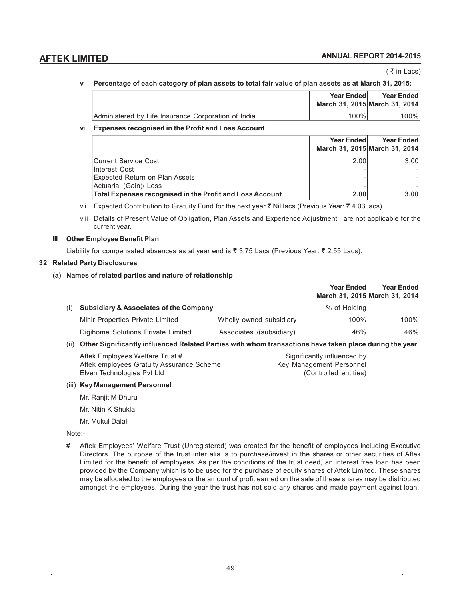$($   $\overline{z}$  in Lacs)

#### **v Percentage of each category of plan assets to total fair value of plan assets as at March 31, 2015:**

|                                                     | Year Ended<br>March 31, 2015 March 31, 2014 | Year Ended |
|-----------------------------------------------------|---------------------------------------------|------------|
| Administered by Life Insurance Corporation of India | 100%                                        | 100%l      |

#### **vi Expenses recognised in the Profit and Loss Account**

|                                                          | <b>Year Ended</b> | Year Ended                    |  |
|----------------------------------------------------------|-------------------|-------------------------------|--|
|                                                          |                   | March 31, 2015 March 31, 2014 |  |
| Current Service Cost                                     | 2.00              | 3.001                         |  |
| Interest Cost                                            |                   |                               |  |
| <b>Expected Return on Plan Assets</b>                    |                   |                               |  |
| Actuarial (Gain)/ Loss                                   |                   |                               |  |
| Total Expenses recognised in the Profit and Loss Account | 2.00              | 3.00                          |  |

vii Expected Contribution to Gratuity Fund for the next year  $\bar{\tau}$  Nil lacs (Previous Year:  $\bar{\tau}$  4.03 lacs).

viii Details of Present Value of Obligation, Plan Assets and Experience Adjustment are not applicable for the current year.

#### **III Other Employee Benefit Plan**

Liability for compensated absences as at year end is  $\bar{\tau}$  3.75 Lacs (Previous Year:  $\bar{\tau}$  2.55 Lacs).

### **32 Related Party Disclosures**

#### **(a) Names of related parties and nature of relationship**

|                                                                                                                             | March 31, 2015 March 31, 2014 | <b>Year Ended</b> |
|-----------------------------------------------------------------------------------------------------------------------------|-------------------------------|-------------------|
|                                                                                                                             | % of Holding                  |                   |
| Wholly owned subsidiary                                                                                                     | 100%                          | 100%              |
| Associates /(subsidiary)                                                                                                    | 46%                           | 46%               |
| <b>Subsidiary &amp; Associates of the Company</b><br>Mihir Properties Private Limited<br>Digihome Solutions Private Limited |                               | <b>Year Ended</b> |

#### (ii) **Other Significantly influenced Related Parties with whom transactions have taken place during the year**

Aftek Employees Welfare Trust # Significantly influenced by Aftek employees Gratuity Assurance Scheme Key Management Personnel Elven Technologies Pvt Ltd (Controlled entities)

#### (iii) **Key Management Personnel**

Mr. Ranjit M Dhuru

Mr. Nitin K Shukla

Mr. Mukul Dalal

Note:-

# Aftek Employeesí Welfare Trust (Unregistered) was created for the benefit of employees including Executive Directors. The purpose of the trust inter alia is to purchase/invest in the shares or other securities of Aftek Limited for the benefit of employees. As per the conditions of the trust deed, an interest free loan has been provided by the Company which is to be used for the purchase of equity shares of Aftek Limited. These shares may be allocated to the employees or the amount of profit earned on the sale of these shares may be distributed amongst the employees. During the year the trust has not sold any shares and made payment against loan.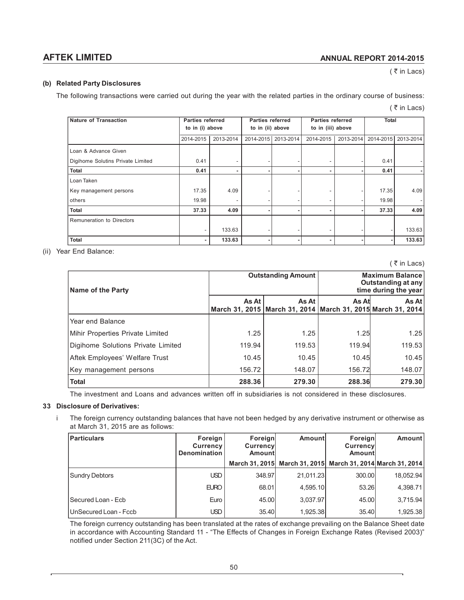### $($  ₹ in Lacs)

### **(b) Related Party Disclosures**

The following transactions were carried out during the year with the related parties in the ordinary course of business:  $($   $\overline{z}$  in Lacs)

| <b>Nature of Transaction</b>      | <b>Parties referred</b>  |           |                         |           | <b>Parties referred</b> |           |           |                          |
|-----------------------------------|--------------------------|-----------|-------------------------|-----------|-------------------------|-----------|-----------|--------------------------|
|                                   |                          |           | <b>Parties referred</b> |           |                         |           | Total     |                          |
|                                   | to in (i) above          |           | to in (ii) above        |           | to in (iii) above       |           |           |                          |
|                                   | 2014-2015                | 2013-2014 | 2014-2015               | 2013-2014 | 2014-2015               | 2013-2014 | 2014-2015 | 2013-2014                |
| Loan & Advance Given              |                          |           |                         |           |                         |           |           |                          |
| Digihome Solutins Private Limited | 0.41                     | ۰         |                         |           |                         |           | 0.41      |                          |
| Total                             | 0.41                     | ۰         |                         |           |                         |           | 0.41      | ۰.                       |
| Loan Taken                        |                          |           |                         |           |                         |           |           |                          |
| Key management persons            | 17.35                    | 4.09      |                         |           |                         |           | 17.35     | 4.09                     |
| others                            | 19.98                    | ۰         |                         | ۰.        |                         |           | 19.98     | $\overline{\phantom{0}}$ |
| <b>Total</b>                      | 37.33                    | 4.09      |                         |           |                         |           | 37.33     | 4.09                     |
| Remuneration to Directors         |                          |           |                         |           |                         |           |           |                          |
|                                   | ۰                        | 133.63    |                         |           |                         |           |           | 133.63                   |
| <b>Total</b>                      | $\overline{\phantom{a}}$ | 133.63    |                         | ۰         |                         |           |           | 133.63                   |

(ii) Year End Balance:

 $($  ₹ in Lacs)

| Name of the Party                  | <b>Outstanding Amount</b> |                                                                          |        | <b>Maximum Balance</b><br>Outstanding at any<br>time during the year |  |  |
|------------------------------------|---------------------------|--------------------------------------------------------------------------|--------|----------------------------------------------------------------------|--|--|
|                                    | As At                     | As At<br>March 31, 2015   March 31, 2014   March 31, 2015 March 31, 2014 | As At  | As At                                                                |  |  |
| Year end Balance                   |                           |                                                                          |        |                                                                      |  |  |
| Mihir Properties Private Limited   | 1.25                      | 1.25                                                                     | 1.25   | 1.25                                                                 |  |  |
| Digihome Solutions Private Limited | 119.94                    | 119.53                                                                   | 119.94 | 119.53                                                               |  |  |
| Aftek Employees' Welfare Trust     | 10.45                     | 10.45                                                                    | 10.45  | 10.45                                                                |  |  |
| Key management persons             | 156.72                    | 148.07                                                                   | 156.72 | 148.07                                                               |  |  |
| <b>Total</b>                       | 288.36                    | 279.30                                                                   | 288.36 | 279.30                                                               |  |  |

The investment and Loans and advances written off in subsidiaries is not considered in these disclosures.

### **33 Disclosure of Derivatives:**

i The foreign currency outstanding balances that have not been hedged by any derivative instrument or otherwise as at March 31, 2015 are as follows:

| <b>Particulars</b>    | Foreign<br><b>Currency</b><br><b>Denomination</b> | Foreign<br>Currency<br>Amount | Amount                                                      | Foreign<br><b>Currency</b><br>Amountl | Amount    |
|-----------------------|---------------------------------------------------|-------------------------------|-------------------------------------------------------------|---------------------------------------|-----------|
|                       |                                                   |                               | March 31, 2015 March 31, 2015 March 31, 2014 March 31, 2014 |                                       |           |
| <b>Sundry Debtors</b> | <b>USD</b>                                        | 348.97                        | 21.011.23                                                   | 300.00                                | 18.052.94 |
|                       | <b>EURO</b>                                       | 68.01                         | 4.595.10                                                    | 53.26                                 | 4,398.71  |
| l Secured Loan - Ecb  | Euro                                              | 45.00                         | 3.037.97                                                    | 45.00                                 | 3.715.94  |
| UnSecured Loan - Fccb | USD                                               | 35.40                         | 1.925.38                                                    | 35.40                                 | 1,925.38  |

The foreign currency outstanding has been translated at the rates of exchange prevailing on the Balance Sheet date in accordance with Accounting Standard 11 - "The Effects of Changes in Foreign Exchange Rates (Revised 2003)" notified under Section 211(3C) of the Act.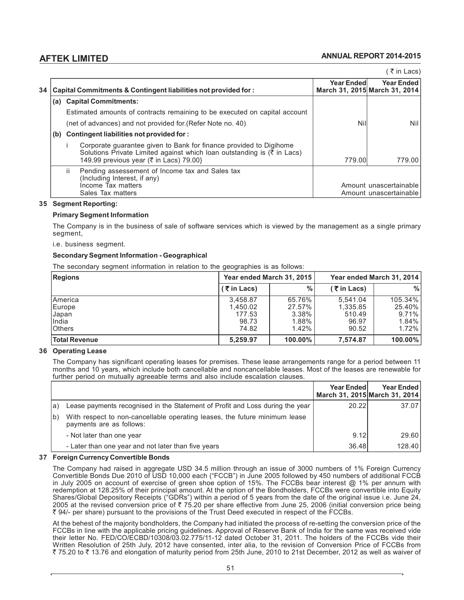$\ell = \ell_{\min} + \ell_{\max}$ 

|    |                                         |     |                                                                                                                                                                  |                    | K In Lacs)                                       |
|----|-----------------------------------------|-----|------------------------------------------------------------------------------------------------------------------------------------------------------------------|--------------------|--------------------------------------------------|
| 34 |                                         |     | Capital Commitments & Contingent liabilities not provided for:                                                                                                   | <b>Year Endedl</b> | Year Ended<br>March 31, 2015 March 31, 2014      |
|    |                                         |     | (a) Capital Commitments:                                                                                                                                         |                    |                                                  |
|    |                                         |     | Estimated amounts of contracts remaining to be executed on capital account                                                                                       |                    |                                                  |
|    |                                         |     | (net of advances) and not provided for (Refer Note no. 40)                                                                                                       | Nil                | Nil                                              |
|    | (b)                                     |     | Contingent liabilities not provided for:                                                                                                                         |                    |                                                  |
|    | 149.99 previous year (₹ in Lacs) 79.00} |     | Corporate guarantee given to Bank for finance provided to Digihome<br>Solutions Private Limited against which loan outstanding is $(\bar{\bar{\zeta}})$ in Lacs) | 779.00             | 779.00                                           |
|    |                                         | ii. | Pending assessement of Income tax and Sales tax<br>(Including Interest, if any)<br>Income Tax matters<br>Sales Tax matters                                       |                    | Amount unascertainable<br>Amount unascertainable |

#### **35 Segment Reporting:**

### **Primary Segment Information**

The Company is in the business of sale of software services which is viewed by the management as a single primary segment,

i.e. business segment.

#### **Secondary Segment Information - Geographical**

The secondary segment information in relation to the geographies is as follows:

| <b>Regions</b>       | Year ended March 31, 2015<br>Year ended March 31, 2014 |         |                             |         |
|----------------------|--------------------------------------------------------|---------|-----------------------------|---------|
|                      | (₹in Lacs)                                             | %       | $(5 \nvert \text{Im}$ Lacs) | %       |
| America              | 3.458.87                                               | 65.76%  | 5.541.04                    | 105.34% |
| Europe               | 1.450.02                                               | 27.57%  | 1,335.85                    | 25.40%  |
| <b>Japan</b>         | 177.53                                                 | 3.38%   | 510.49                      | 9.71%   |
| IIndia               | 98.73                                                  | 1.88%   | 96.97                       | 1.84%   |
| <b>Others</b>        | 74.82                                                  | 1.42%   | 90.52                       | 1.72%   |
| <b>Total Revenue</b> | 5,259.97                                               | 100.00% | 7,574.87                    | 100.00% |

#### **36 Operating Lease**

The Company has significant operating leases for premises. These lease arrangements range for a period between 11 months and 10 years, which include both cancellable and noncancellable leases. Most of the leases are renewable for further period on mutually agreeable terms and also include escalation clauses.

|     |                                                                                                        | <b>Year Endedl</b> | Year Ended<br>March 31, 2015 March 31, 2014 |
|-----|--------------------------------------------------------------------------------------------------------|--------------------|---------------------------------------------|
| la) | Lease payments recognised in the Statement of Profit and Loss during the year                          | 20.22              | 37.07                                       |
| lb) | With respect to non-cancellable operating leases, the future minimum lease<br>payments are as follows: |                    |                                             |
|     | - Not later than one year                                                                              | 9.12               | 29.60                                       |
|     | - Later than one year and not later than five years                                                    | 36.48              | 128.40                                      |

#### **37 Foreign Currency Convertible Bonds**

The Company had raised in aggregate USD 34.5 million through an issue of 3000 numbers of 1% Foreign Currency Convertible Bonds Due 2010 of USD 10,000 each ("FCCB") in June 2005 followed by 450 numbers of additional FCCB in July 2005 on account of exercise of green shoe option of 15%. The FCCBs bear interest @ 1% per annum with redemption at 128.25% of their principal amount. At the option of the Bondholders, FCCBs were convertible into Equity Shares/Global Depository Receipts ("GDRs") within a period of 5 years from the date of the original issue i.e. June 24, 2005 at the revised conversion price of  $\bar{z}$  75.20 per share effective from June 25, 2006 (initial conversion price being  $\bar{\tau}$  94/- per share) pursuant to the provisions of the Trust Deed executed in respect of the FCCBs.

At the behest of the majority bondholders, the Company had initiated the process of re-setting the conversion price of the FCCBs in line with the applicable pricing guidelines. Approval of Reserve Bank of India for the same was received vide their letter No. FED/CO/ECBD/10308/03.02.775/11-12 dated October 31, 2011. The holders of the FCCBs vide their Written Resolution of 25th July, 2012 have consented, inter alia, to the revision of Conversion Price of FCCBs from ₹ 75.20 to ₹ 13.76 and elongation of maturity period from 25th June, 2010 to 21st December, 2012 as well as waiver of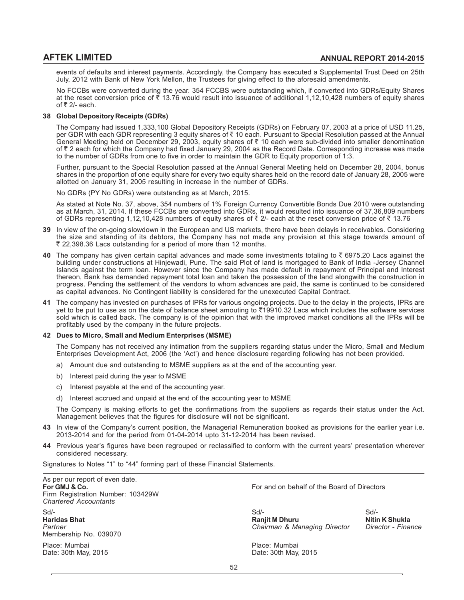events of defaults and interest payments. Accordingly, the Company has executed a Supplemental Trust Deed on 25th July, 2012 with Bank of New York Mellon, the Trustees for giving effect to the aforesaid amendments.

No FCCBs were converted during the year. 354 FCCBS were outstanding which, if converted into GDRs/Equity Shares at the reset conversion price of  $\bar{\tau}$  13.76 would result into issuance of additional 1,12,10,428 numbers of equity shares of  $\overline{z}$  2/- each.

#### **38 Global Depository Receipts (GDRs)**

The Company had issued 1,333,100 Global Depository Receipts (GDRs) on February 07, 2003 at a price of USD 11.25, per GDR with each GDR representing 3 equity shares of ₹ 10 each. Pursuant to Special Resolution passed at the Annual General Meeting held on December 29, 2003, equity shares of  $\bar{\tau}$  10 each were sub-divided into smaller denomination of ` 2 each for which the Company had fixed January 29, 2004 as the Record Date. Corresponding increase was made to the number of GDRs from one to five in order to maintain the GDR to Equity proportion of 1:3.

Further, pursuant to the Special Resolution passed at the Annual General Meeting held on December 28, 2004, bonus shares in the proportion of one equity share for every two equity shares held on the record date of January 28, 2005 were allotted on January 31, 2005 resulting in increase in the number of GDRs.

No GDRs (PY No GDRs) were outstanding as at March, 2015.

As stated at Note No. 37, above, 354 numbers of 1% Foreign Currency Convertible Bonds Due 2010 were outstanding as at March, 31, 2014. If these FCCBs are converted into GDRs, it would resulted into issuance of 37,36,809 numbers of GDRs representing 1,12,10,428 numbers of equity shares of  $\bar{\tau}$  2/- each at the reset conversion price of  $\bar{\tau}$  13.76

- **39** In view of the on-going slowdown in the European and US markets, there have been delayis in receivables. Considering the size and standing of its debtors, the Company has not made any provision at this stage towards amount of  $\bar{\tau}$  22,398.36 Lacs outstanding for a period of more than 12 months.
- **40** The company has given certain capital advances and made some investments totaling to ` 6975.20 Lacs against the building under constructions at Hinjewadi, Pune. The said Plot of land is mortgaged to Bank of India -Jersey Channel Islands against the term loan. However since the Company has made default in repayment of Principal and Interest thereon, Bank has demanded repayment total loan and taken the possession of the land alongwith the construction in progress. Pending the settlement of the vendors to whom advances are paid, the same is continued to be considered as capital advances. No Contingent liability is considered for the unexecuted Capital Contract.
- **41** The company has invested on purchases of IPRs for various ongoing projects. Due to the delay in the projects, IPRs are yet to be put to use as on the date of balance sheet amouting to  $\bar{\tau}$ 19910.32 Lacs which includes the software services sold which is called back. The company is of the opinion that with the improved market conditions all the IPRs will be profitably used by the company in the future projects.

#### **42 Dues to Micro, Small and Medium Enterprises (MSME)**

The Company has not received any intimation from the suppliers regarding status under the Micro, Small and Medium Enterprises Development Act, 2006 (the 'Act') and hence disclosure regarding following has not been provided.

- a) Amount due and outstanding to MSME suppliers as at the end of the accounting year.
- b) Interest paid during the year to MSME
- c) Interest payable at the end of the accounting year.
- d) Interest accrued and unpaid at the end of the accounting year to MSME

The Company is making efforts to get the confirmations from the suppliers as regards their status under the Act. Management believes that the figures for disclosure will not be significant.

- **43** In view of the Companyís current position, the Managerial Remuneration booked as provisions for the earlier year i.e. 2013-2014 and for the period from 01-04-2014 upto 31-12-2014 has been revised.
- **44** Previous year's figures have been regrouped or reclassified to conform with the current years' presentation wherever considered necessary.

Signatures to Notes "1" to "44" forming part of these Financial Statements.

As per our report of even date.<br>For GMJ & Co. For and on behalf of the Board of Directors Firm Registration Number: 103429W *Chartered Accountants* Sd/- Sd/- Sd/- **Haridas Bhat Ranjit M Dhuru Nitin K Shukla**<br> *Partner Director - Finance Ranging Director <i>Director - Finance Chairman & Managing Director* Membership No. 039070 Place: Mumbai **Place: Mumbai Place: Mumbai Place: Mumbai** Place: Mumbai Place: Mumbai Place: 2015 Date: 30th May, 2015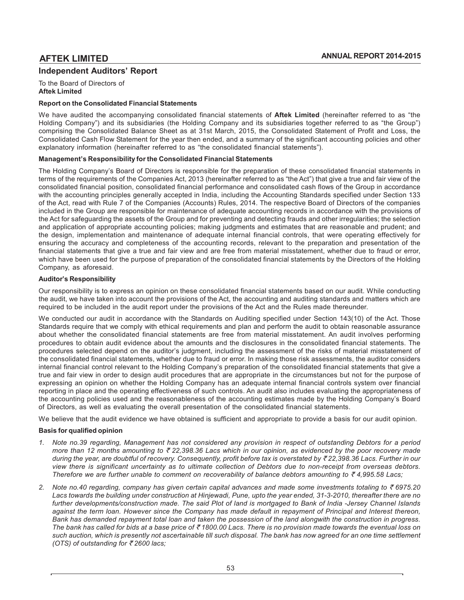## **Independent Auditorsí Report**

To the Board of Directors of **Aftek Limited**

#### **Report on the Consolidated Financial Statements**

We have audited the accompanying consolidated financial statements of **Aftek Limited** (hereinafter referred to as "the Holding Company") and its subsidiaries (the Holding Company and its subsidiaries together referred to as "the Group") comprising the Consolidated Balance Sheet as at 31st March, 2015, the Consolidated Statement of Profit and Loss, the Consolidated Cash Flow Statement for the year then ended, and a summary of the significant accounting policies and other explanatory information (hereinafter referred to as "the consolidated financial statements").

### **Managementís Responsibility for the Consolidated Financial Statements**

The Holding Companyís Board of Directors is responsible for the preparation of these consolidated financial statements in terms of the requirements of the Companies Act, 2013 (hereinafter referred to as "the Act") that give a true and fair view of the consolidated financial position, consolidated financial performance and consolidated cash flows of the Group in accordance with the accounting principles generally accepted in India, including the Accounting Standards specified under Section 133 of the Act, read with Rule 7 of the Companies (Accounts) Rules, 2014. The respective Board of Directors of the companies included in the Group are responsible for maintenance of adequate accounting records in accordance with the provisions of the Act for safeguarding the assets of the Group and for preventing and detecting frauds and other irregularities; the selection and application of appropriate accounting policies; making judgments and estimates that are reasonable and prudent; and the design, implementation and maintenance of adequate internal financial controls, that were operating effectively for ensuring the accuracy and completeness of the accounting records, relevant to the preparation and presentation of the financial statements that give a true and fair view and are free from material misstatement, whether due to fraud or error, which have been used for the purpose of preparation of the consolidated financial statements by the Directors of the Holding Company, as aforesaid.

#### **Auditorís Responsibility**

Our responsibility is to express an opinion on these consolidated financial statements based on our audit. While conducting the audit, we have taken into account the provisions of the Act, the accounting and auditing standards and matters which are required to be included in the audit report under the provisions of the Act and the Rules made thereunder.

We conducted our audit in accordance with the Standards on Auditing specified under Section 143(10) of the Act. Those Standards require that we comply with ethical requirements and plan and perform the audit to obtain reasonable assurance about whether the consolidated financial statements are free from material misstatement. An audit involves performing procedures to obtain audit evidence about the amounts and the disclosures in the consolidated financial statements. The procedures selected depend on the auditor's judgment, including the assessment of the risks of material misstatement of the consolidated financial statements, whether due to fraud or error. In making those risk assessments, the auditor considers internal financial control relevant to the Holding Company's preparation of the consolidated financial statements that give a true and fair view in order to design audit procedures that are appropriate in the circumstances but not for the purpose of expressing an opinion on whether the Holding Company has an adequate internal financial controls system over financial reporting in place and the operating effectiveness of such controls. An audit also includes evaluating the appropriateness of the accounting policies used and the reasonableness of the accounting estimates made by the Holding Companyís Board of Directors, as well as evaluating the overall presentation of the consolidated financial statements.

We believe that the audit evidence we have obtained is sufficient and appropriate to provide a basis for our audit opinion.

#### **Basis for qualified opinion**

- *1. Note no.39 regarding, Management has not considered any provision in respect of outstanding Debtors for a period more than 12 months amounting to* ₹ 22,398.36 Lacs which in our opinion, as evidenced by the poor recovery made *during the year, are doubtful of recovery. Consequently, profit before tax is overstated by* ` *22,398.36 Lacs. Further in our view there is significant uncertainty as to ultimate collection of Debtors due to non-receipt from overseas debtors. Therefore we are further unable to comment on recoverability of balance debtors amounting to* ` *4,995.58 Lacs;*
- 2. Note no.40 regarding, company has given certain capital advances and made some investments totaling to ₹6975.20 *Lacs towards the building under construction at Hinjewadi, Pune, upto the year ended, 31-3-2010, thereafter there are no further developments/construction made. The said Plot of land is mortgaged to Bank of India -Jersey Channel Islands against the term loan. However since the Company has made default in repayment of Principal and Interest thereon, Bank has demanded repayment total loan and taken the possession of the land alongwith the construction in progress. The bank has called for bids at a base price of* ` *1800.00 Lacs. There is no provision made towards the eventual loss on such auction, which is presently not ascertainable till such disposal. The bank has now agreed for an one time settlement (OTS)* of outstanding for ₹2600 lacs;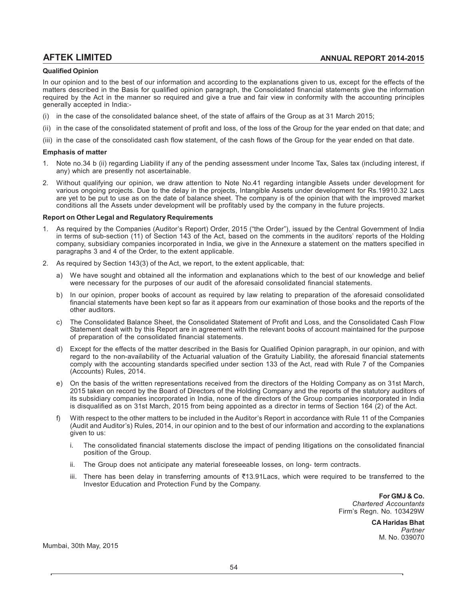#### **Qualified Opinion**

In our opinion and to the best of our information and according to the explanations given to us, except for the effects of the matters described in the Basis for qualified opinion paragraph, the Consolidated financial statements give the information required by the Act in the manner so required and give a true and fair view in conformity with the accounting principles generally accepted in India:-

- (i) in the case of the consolidated balance sheet, of the state of affairs of the Group as at 31 March 2015;
- (ii) in the case of the consolidated statement of profit and loss, of the loss of the Group for the year ended on that date; and
- (iii) in the case of the consolidated cash flow statement, of the cash flows of the Group for the year ended on that date.

#### **Emphasis of matter**

- 1. Note no.34 b (ii) regarding Liability if any of the pending assessment under Income Tax, Sales tax (including interest, if any) which are presently not ascertainable.
- 2. Without qualifying our opinion, we draw attention to Note No.41 regarding intangible Assets under development for various ongoing projects. Due to the delay in the projects, Intangible Assets under development for Rs.19910.32 Lacs are yet to be put to use as on the date of balance sheet. The company is of the opinion that with the improved market conditions all the Assets under development will be profitably used by the company in the future projects.

#### **Report on Other Legal and Regulatory Requirements**

- 1. As required by the Companies (Auditor's Report) Order, 2015 ("the Order"), issued by the Central Government of India in terms of sub-section (11) of Section 143 of the Act, based on the comments in the auditorsí reports of the Holding company, subsidiary companies incorporated in India, we give in the Annexure a statement on the matters specified in paragraphs 3 and 4 of the Order, to the extent applicable.
- 2. As required by Section 143(3) of the Act, we report, to the extent applicable, that:
	- a) We have sought and obtained all the information and explanations which to the best of our knowledge and belief were necessary for the purposes of our audit of the aforesaid consolidated financial statements.
	- b) In our opinion, proper books of account as required by law relating to preparation of the aforesaid consolidated financial statements have been kept so far as it appears from our examination of those books and the reports of the other auditors.
	- c) The Consolidated Balance Sheet, the Consolidated Statement of Profit and Loss, and the Consolidated Cash Flow Statement dealt with by this Report are in agreement with the relevant books of account maintained for the purpose of preparation of the consolidated financial statements.
	- d) Except for the effects of the matter described in the Basis for Qualified Opinion paragraph, in our opinion, and with regard to the non-availability of the Actuarial valuation of the Gratuity Liability, the aforesaid financial statements comply with the accounting standards specified under section 133 of the Act, read with Rule 7 of the Companies (Accounts) Rules, 2014.
	- e) On the basis of the written representations received from the directors of the Holding Company as on 31st March, 2015 taken on record by the Board of Directors of the Holding Company and the reports of the statutory auditors of its subsidiary companies incorporated in India, none of the directors of the Group companies incorporated in India is disqualified as on 31st March, 2015 from being appointed as a director in terms of Section 164 (2) of the Act.
	- f) With respect to the other matters to be included in the Auditor's Report in accordance with Rule 11 of the Companies (Audit and Auditorís) Rules, 2014, in our opinion and to the best of our information and according to the explanations given to us:
		- i. The consolidated financial statements disclose the impact of pending litigations on the consolidated financial position of the Group.
		- ii. The Group does not anticipate any material foreseeable losses, on long- term contracts.
		- iii. There has been delay in transferring amounts of  $\bar{\tau}$ 13.91 Lacs, which were required to be transferred to the Investor Education and Protection Fund by the Company.

**For GMJ & Co.** *Chartered Accountants* Firmís Regn. No. 103429W

> **CA Haridas Bhat** *Partner* M. No. 039070

Mumbai, 30th May, 2015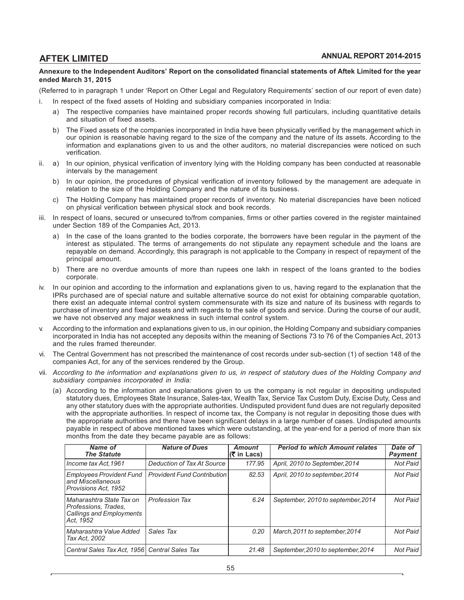### **Annexure to the Independent Auditorsí Report on the consolidated financial statements of Aftek Limited for the year ended March 31, 2015**

(Referred to in paragraph 1 under 'Report on Other Legal and Regulatory Requirements' section of our report of even date)

- i. In respect of the fixed assets of Holding and subsidiary companies incorporated in India:
	- a) The respective companies have maintained proper records showing full particulars, including quantitative details and situation of fixed assets.
	- b) The Fixed assets of the companies incorporated in India have been physically verified by the management which in our opinion is reasonable having regard to the size of the company and the nature of its assets. According to the information and explanations given to us and the other auditors, no material discrepancies were noticed on such verification.
- ii. a) In our opinion, physical verification of inventory lying with the Holding company has been conducted at reasonable intervals by the management
	- b) In our opinion, the procedures of physical verification of inventory followed by the management are adequate in relation to the size of the Holding Company and the nature of its business.
	- c) The Holding Company has maintained proper records of inventory. No material discrepancies have been noticed on physical verification between physical stock and book records.
- iii. In respect of loans, secured or unsecured to/from companies, firms or other parties covered in the register maintained under Section 189 of the Companies Act, 2013.
	- a) In the case of the loans granted to the bodies corporate, the borrowers have been regular in the payment of the interest as stipulated. The terms of arrangements do not stipulate any repayment schedule and the loans are repayable on demand. Accordingly, this paragraph is not applicable to the Company in respect of repayment of the principal amount.
	- b) There are no overdue amounts of more than rupees one lakh in respect of the loans granted to the bodies corporate.
- iv. In our opinion and according to the information and explanations given to us, having regard to the explanation that the IPRs purchased are of special nature and suitable alternative source do not exist for obtaining comparable quotation, there exist an adequate internal control system commensurate with its size and nature of its business with regards to purchase of inventory and fixed assets and with regards to the sale of goods and service. During the course of our audit, we have not observed any major weakness in such internal control system.
- v. According to the information and explanations given to us, in our opinion, the Holding Company and subsidiary companies incorporated in India has not accepted any deposits within the meaning of Sections 73 to 76 of the Companies Act, 2013 and the rules framed thereunder.
- vi. The Central Government has not prescribed the maintenance of cost records under sub-section (1) of section 148 of the companies Act, for any of the services rendered by the Group.
- vii. *According to the information and explanations given to us, in respect of statutory dues of the Holding Company and subsidiary companies incorporated in India:*
	- (a) According to the information and explanations given to us the company is not regular in depositing undisputed statutory dues, Employees State Insurance, Sales-tax, Wealth Tax, Service Tax Custom Duty, Excise Duty, Cess and any other statutory dues with the appropriate authorities. Undisputed provident fund dues are not regularly deposited with the appropriate authorities. In respect of income tax, the Company is not regular in depositing those dues with the appropriate authorities and there have been significant delays in a large number of cases. Undisputed amounts payable in respect of above mentioned taxes which were outstanding, at the year-end for a period of more than six months from the date they became payable are as follows:

| Name of<br><b>The Statute</b>                                                                        | <b>Nature of Dues</b>              | <b>Amount</b><br>$(5 \in \mathsf{In}$ Lacs) | <b>Period to which Amount relates</b> | Date of<br>Payment |
|------------------------------------------------------------------------------------------------------|------------------------------------|---------------------------------------------|---------------------------------------|--------------------|
| Income tax Act.1961                                                                                  | Deduction of Tax At Source         | 177.95                                      | April, 2010 to September, 2014        | Not Paid           |
| <b>Employees Provident Fund</b><br>and Miscellaneous<br>Provisions Act. 1952                         | <b>Provident Fund Contribution</b> | 82.53                                       | April, 2010 to september, 2014        | Not Paid           |
| l Maharashtra State Tax on<br> Professions. Trades.<br><b>Callings and Employments</b><br> Act. 1952 | <b>Profession Tax</b>              | 6.24                                        | September, 2010 to september, 2014    | Not Paid           |
| l Maharashtra Value Added<br>Tax Act. 2002                                                           | Sales Tax                          | 0.20                                        | March, 2011 to september, 2014        | Not Paid           |
| Central Sales Tax Act, 1956  Central Sales Tax                                                       |                                    | 21.48                                       | September, 2010 to september, 2014    | Not Paid           |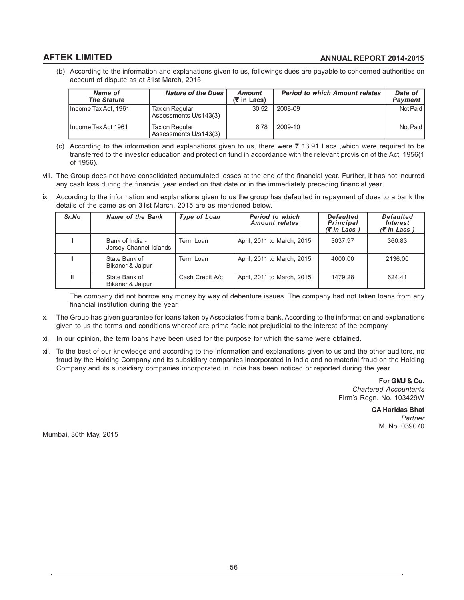(b) According to the information and explanations given to us, followings dues are payable to concerned authorities on account of dispute as at 31st March, 2015.

| Name of<br><b>The Statute</b> | <b>Nature of the Dues</b>               | <b>Amount</b><br>$(5 \in \mathsf{In}$ Lacs) | <b>Period to which Amount relates</b> | Date of<br>Payment |
|-------------------------------|-----------------------------------------|---------------------------------------------|---------------------------------------|--------------------|
| Income Tax Act, 1961          | Tax on Regular<br>Assessments U/s143(3) | 30.52                                       | 2008-09                               | Not Paid           |
| Income Tax Act 1961           | Tax on Regular<br>Assessments U/s143(3) | 8.78                                        | 2009-10                               | Not Paid           |

- (c) According to the information and explanations given to us, there were  $\bar{\tau}$  13.91 Lacs ,which were required to be transferred to the investor education and protection fund in accordance with the relevant provision of the Act, 1956(1 of 1956).
- viii. The Group does not have consolidated accumulated losses at the end of the financial year. Further, it has not incurred any cash loss during the financial year ended on that date or in the immediately preceding financial year.
- ix. According to the information and explanations given to us the group has defaulted in repayment of dues to a bank the details of the same as on 31st March, 2015 are as mentioned below.

| Sr.No | <b>Name of the Bank</b>                   | <b>Type of Loan</b> | <b>Period to which</b><br><b>Amount relates</b> | <b>Defaulted</b><br>Principal<br>$($ ₹ in Lacs) | <b>Defaulted</b><br><i><b>Interest</b></i><br>$($ ₹ in Lacs) |
|-------|-------------------------------------------|---------------------|-------------------------------------------------|-------------------------------------------------|--------------------------------------------------------------|
|       | Bank of India -<br>Jersey Channel Islands | Term Loan           | April, 2011 to March, 2015                      | 3037.97                                         | 360.83                                                       |
|       | State Bank of<br>Bikaner & Jaipur         | Term Loan           | April, 2011 to March, 2015                      | 4000.00                                         | 2136.00                                                      |
|       | State Bank of<br>Bikaner & Jaipur         | Cash Credit A/c     | April, 2011 to March, 2015                      | 1479.28                                         | 624.41                                                       |

The company did not borrow any money by way of debenture issues. The company had not taken loans from any financial institution during the year.

- x. The Group has given guarantee for loans taken by Associates from a bank, According to the information and explanations given to us the terms and conditions whereof are prima facie not prejudicial to the interest of the company
- xi. In our opinion, the term loans have been used for the purpose for which the same were obtained.
- xii. To the best of our knowledge and according to the information and explanations given to us and the other auditors, no fraud by the Holding Company and its subsidiary companies incorporated in India and no material fraud on the Holding Company and its subsidiary companies incorporated in India has been noticed or reported during the year.

**For GMJ & Co.** *Chartered Accountants* Firmís Regn. No. 103429W

#### **CA Haridas Bhat** *Partner* M. No. 039070

Mumbai, 30th May, 2015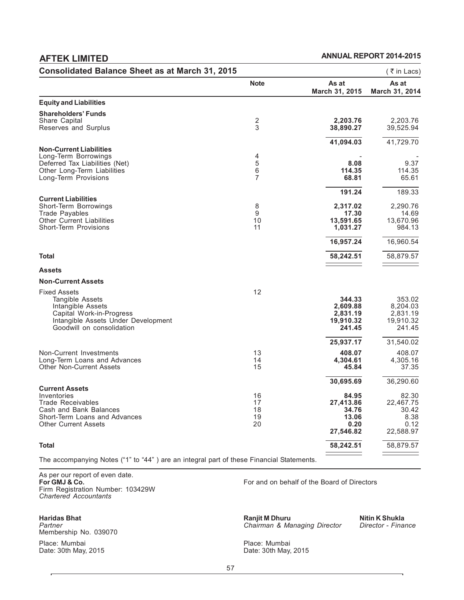| <b>Consolidated Balance Sheet as at March 31, 2015</b>                                                                                                      |                               |                                                           | (₹in Lacs)                                               |
|-------------------------------------------------------------------------------------------------------------------------------------------------------------|-------------------------------|-----------------------------------------------------------|----------------------------------------------------------|
|                                                                                                                                                             | <b>Note</b>                   | As at<br>March 31, 2015                                   | As at<br>March 31, 2014                                  |
| <b>Equity and Liabilities</b>                                                                                                                               |                               |                                                           |                                                          |
| <b>Shareholders' Funds</b><br>Share Capital<br>Reserves and Surplus                                                                                         | $\sqrt{2}$<br>3               | 2,203.76<br>38,890.27                                     | 2,203.76<br>39,525.94                                    |
|                                                                                                                                                             |                               | 41,094.03                                                 | 41,729.70                                                |
| <b>Non-Current Liabilities</b><br>Long-Term Borrowings<br>Deferred Tax Liabilities (Net)<br>Other Long-Term Liabilities<br>Long-Term Provisions             | 4<br>5<br>6<br>$\overline{7}$ | 8.08<br>114.35<br>68.81                                   | 9.37<br>114.35<br>65.61                                  |
|                                                                                                                                                             |                               | 191.24                                                    | 189.33                                                   |
| <b>Current Liabilities</b><br>Short-Term Borrowings<br><b>Trade Payables</b><br><b>Other Current Liabilities</b><br>Short-Term Provisions                   | 8<br>9<br>10<br>11            | 2,317.02<br>17.30<br>13,591.65<br>1,031.27                | 2,290.76<br>14.69<br>13,670.96<br>984.13                 |
|                                                                                                                                                             |                               | 16,957.24                                                 | 16,960.54                                                |
| <b>Total</b>                                                                                                                                                |                               | 58,242.51                                                 | 58,879.57                                                |
| <b>Assets</b>                                                                                                                                               |                               |                                                           |                                                          |
| <b>Non-Current Assets</b>                                                                                                                                   |                               |                                                           |                                                          |
| <b>Fixed Assets</b><br>Tangible Assets<br>Intangible Assets<br>Capital Work-in-Progress<br>Intangible Assets Under Development<br>Goodwill on consolidation | 12                            | 344.33<br>2,609.88<br>2,831.19<br>19,910.32<br>241.45     | 353.02<br>8,204.03<br>2,831.19<br>19,910.32<br>241.45    |
|                                                                                                                                                             |                               | 25,937.17                                                 | 31,540.02                                                |
| Non-Current Investments<br>Long-Term Loans and Advances<br><b>Other Non-Current Assets</b>                                                                  | 13<br>14<br>15                | 408.07<br>4,304.61<br>45.84                               | 408.07<br>4,305.16<br>37.35                              |
|                                                                                                                                                             |                               | 30,695.69                                                 | 36,290.60                                                |
| <b>Current Assets</b><br>Inventories<br><b>Trade Receivables</b><br>Cash and Bank Balances<br>Short-Term Loans and Advances<br><b>Other Current Assets</b>  | 16<br>17<br>18<br>19<br>20    | 84.95<br>27,413.86<br>34.76<br>13.06<br>0.20<br>27,546.82 | 82.30<br>22,467.75<br>30.42<br>8.38<br>0.12<br>22,588.97 |
| <b>Total</b>                                                                                                                                                |                               | 58,242.51                                                 | 58,879.57                                                |
|                                                                                                                                                             |                               |                                                           |                                                          |

The accompanying Notes ("1" to "44") are an integral part of these Financial Statements.

As per our report of even date.<br>For GMJ & Co. Firm Registration Number: 103429W *Chartered Accountants*

Membership No. 039070

Place: Mumbai <br>
Date: 30th May, 2015 <br>
Date: 30th May, 2015

For and on behalf of the Board of Directors

**Haridas Bhat Ranjit M Dhuru Nitin K Shukla**<br> *Partner Director - Finance Ratner Chairman & Managing Director Director - Finance Partner Pinance <b>Partner Chairman & Managing Director* 

Date: 30th May, 2015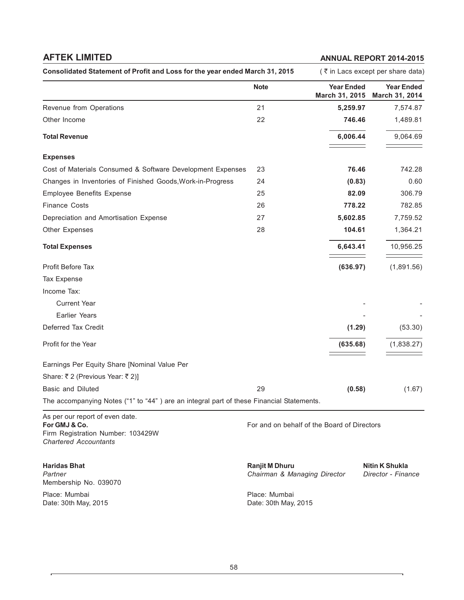| <b>AFTEK LIMITED</b>                                                                                                  |                                                       |                                             | ANNUAL REPORT 2014-2015                     |
|-----------------------------------------------------------------------------------------------------------------------|-------------------------------------------------------|---------------------------------------------|---------------------------------------------|
| Consolidated Statement of Profit and Loss for the year ended March 31, 2015                                           |                                                       |                                             | (₹ in Lacs except per share data)           |
|                                                                                                                       | <b>Note</b>                                           | <b>Year Ended</b><br>March 31, 2015         | <b>Year Ended</b><br>March 31, 2014         |
| Revenue from Operations                                                                                               | 21                                                    | 5,259.97                                    | 7,574.87                                    |
| Other Income                                                                                                          | 22                                                    | 746.46                                      | 1,489.81                                    |
| <b>Total Revenue</b>                                                                                                  |                                                       | 6,006.44                                    | 9,064.69                                    |
| <b>Expenses</b>                                                                                                       |                                                       |                                             |                                             |
| Cost of Materials Consumed & Software Development Expenses                                                            | 23                                                    | 76.46                                       | 742.28                                      |
| Changes in Inventories of Finished Goods, Work-in-Progress                                                            | 24                                                    | (0.83)                                      | 0.60                                        |
| <b>Employee Benefits Expense</b>                                                                                      | 25                                                    | 82.09                                       | 306.79                                      |
| <b>Finance Costs</b>                                                                                                  | 26                                                    | 778.22                                      | 782.85                                      |
| Depreciation and Amortisation Expense                                                                                 | 27                                                    | 5,602.85                                    | 7,759.52                                    |
| Other Expenses                                                                                                        | 28                                                    | 104.61                                      | 1,364.21                                    |
| <b>Total Expenses</b>                                                                                                 |                                                       | 6,643.41                                    | 10,956.25                                   |
| Profit Before Tax                                                                                                     |                                                       | (636.97)                                    | (1,891.56)                                  |
| Tax Expense                                                                                                           |                                                       |                                             |                                             |
| Income Tax:                                                                                                           |                                                       |                                             |                                             |
| <b>Current Year</b>                                                                                                   |                                                       |                                             |                                             |
| Earlier Years                                                                                                         |                                                       |                                             |                                             |
| Deferred Tax Credit                                                                                                   |                                                       | (1.29)                                      | (53.30)                                     |
| Profit for the Year                                                                                                   |                                                       | (635.68)                                    | (1,838.27)                                  |
| Earnings Per Equity Share [Nominal Value Per                                                                          |                                                       |                                             |                                             |
| Share: ₹2 (Previous Year: ₹2)]                                                                                        |                                                       |                                             |                                             |
| Basic and Diluted                                                                                                     | 29                                                    | (0.58)                                      | (1.67)                                      |
| The accompanying Notes ("1" to "44") are an integral part of these Financial Statements.                              |                                                       |                                             |                                             |
| As per our report of even date.<br>For GMJ & Co.<br>Firm Registration Number: 103429W<br><b>Chartered Accountants</b> |                                                       | For and on behalf of the Board of Directors |                                             |
| <b>Haridas Bhat</b><br>Partner<br>Membership No. 039070                                                               | <b>Ranjit M Dhuru</b><br>Chairman & Managing Director |                                             | <b>Nitin K Shukla</b><br>Director - Finance |
| Place: Mumbai<br>Date: 30th May, 2015                                                                                 | Place: Mumbai<br>Date: 30th May, 2015                 |                                             |                                             |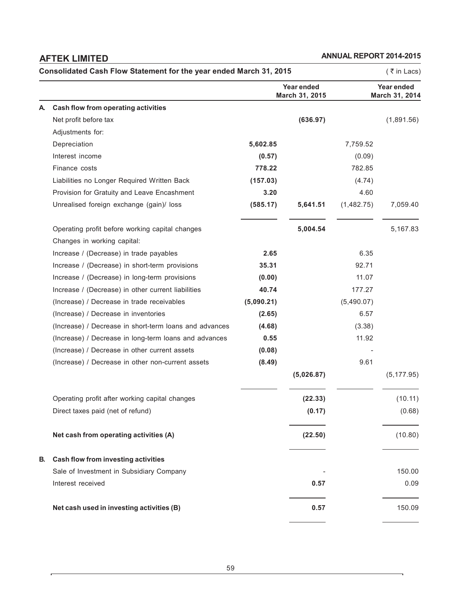|    | Consolidated Cash Flow Statement for the year ended March 31, 2015 |            | $($ ₹ in Lacs)               |            |                              |
|----|--------------------------------------------------------------------|------------|------------------------------|------------|------------------------------|
|    |                                                                    |            | Year ended<br>March 31, 2015 |            | Year ended<br>March 31, 2014 |
| А. | Cash flow from operating activities                                |            |                              |            |                              |
|    | Net profit before tax                                              |            | (636.97)                     |            | (1,891.56)                   |
|    | Adjustments for:                                                   |            |                              |            |                              |
|    | Depreciation                                                       | 5,602.85   |                              | 7,759.52   |                              |
|    | Interest income                                                    | (0.57)     |                              | (0.09)     |                              |
|    | Finance costs                                                      | 778.22     |                              | 782.85     |                              |
|    | Liabilities no Longer Required Written Back                        | (157.03)   |                              | (4.74)     |                              |
|    | Provision for Gratuity and Leave Encashment                        | 3.20       |                              | 4.60       |                              |
|    | Unrealised foreign exchange (gain)/ loss                           | (585.17)   | 5,641.51                     | (1,482.75) | 7,059.40                     |
|    | Operating profit before working capital changes                    |            | 5,004.54                     |            | 5,167.83                     |
|    | Changes in working capital:                                        |            |                              |            |                              |
|    | Increase / (Decrease) in trade payables                            | 2.65       |                              | 6.35       |                              |
|    | Increase / (Decrease) in short-term provisions                     | 35.31      |                              | 92.71      |                              |
|    | Increase / (Decrease) in long-term provisions                      | (0.00)     |                              | 11.07      |                              |
|    | Increase / (Decrease) in other current liabilities                 | 40.74      |                              | 177.27     |                              |
|    | (Increase) / Decrease in trade receivables                         | (5,090.21) |                              | (5,490.07) |                              |
|    | (Increase) / Decrease in inventories                               | (2.65)     |                              | 6.57       |                              |
|    | (Increase) / Decrease in short-term loans and advances             | (4.68)     |                              | (3.38)     |                              |
|    | (Increase) / Decrease in long-term loans and advances              | 0.55       |                              | 11.92      |                              |
|    | (Increase) / Decrease in other current assets                      | (0.08)     |                              |            |                              |
|    | (Increase) / Decrease in other non-current assets                  | (8.49)     |                              | 9.61       |                              |
|    |                                                                    |            | (5,026.87)                   |            | (5, 177.95)                  |
|    | Operating profit after working capital changes                     |            | (22.33)                      |            | (10.11)                      |
|    | Direct taxes paid (net of refund)                                  |            | (0.17)                       |            | (0.68)                       |
|    | Net cash from operating activities (A)                             |            | (22.50)                      |            | (10.80)                      |
| В. | Cash flow from investing activities                                |            |                              |            |                              |
|    | Sale of Investment in Subsidiary Company                           |            |                              |            | 150.00                       |
|    | Interest received                                                  |            | 0.57                         |            | 0.09                         |
|    | Net cash used in investing activities (B)                          |            | 0.57                         |            | 150.09                       |

 $\overline{\phantom{0}}$ 

 $\overline{\phantom{0}}$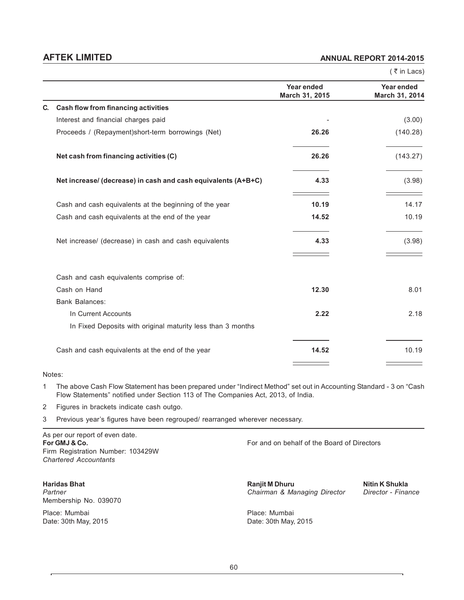|                                                               |                              | (₹in Lacs)                   |
|---------------------------------------------------------------|------------------------------|------------------------------|
|                                                               | Year ended<br>March 31, 2015 | Year ended<br>March 31, 2014 |
| C. Cash flow from financing activities                        |                              |                              |
| Interest and financial charges paid                           |                              | (3.00)                       |
| Proceeds / (Repayment)short-term borrowings (Net)             | 26.26                        | (140.28)                     |
| Net cash from financing activities (C)                        | 26.26                        | (143.27)                     |
| Net increase/ (decrease) in cash and cash equivalents (A+B+C) | 4.33                         | (3.98)                       |
| Cash and cash equivalents at the beginning of the year        | 10.19                        | 14.17                        |
| Cash and cash equivalents at the end of the year              | 14.52                        | 10.19                        |
| Net increase/ (decrease) in cash and cash equivalents         | 4.33                         | (3.98)                       |
| Cash and cash equivalents comprise of:                        |                              |                              |
| Cash on Hand                                                  | 12.30                        | 8.01                         |
| Bank Balances:                                                |                              |                              |
| In Current Accounts                                           | 2.22                         | 2.18                         |
| In Fixed Deposits with original maturity less than 3 months   |                              |                              |
| Cash and cash equivalents at the end of the year              | 14.52                        | 10.19                        |
|                                                               |                              |                              |

### Notes:

1 The above Cash Flow Statement has been prepared under "Indirect Method" set out in Accounting Standard - 3 on "Cash Flow Statements" notified under Section 113 of The Companies Act, 2013, of India.

2 Figures in brackets indicate cash outgo.

3 Previous year's figures have been regrouped/ rearranged wherever necessary.

As per our report of even date.<br>For GMJ & Co. For and on behalf of the Board of Directors Firm Registration Number: 103429W *Chartered Accountants* **Haridas Bhat Ranjit M Dhuru Ranjit M Dhuru Nitin K Shukla** *Partner Chairman & Managing Director Director - Finance* Membership No. 039070 Place: Mumbai Place: Mumbai

Date: 30th May, 2015 Date: 30th May, 2015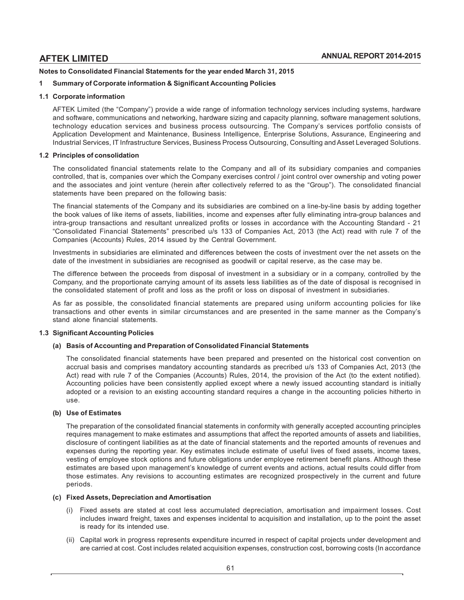### **Notes to Consolidated Financial Statements for the year ended March 31, 2015**

### **1 Summary of Corporate information & Significant Accounting Policies**

#### **1.1 Corporate information**

AFTEK Limited (the "Company") provide a wide range of information technology services including systems, hardware and software, communications and networking, hardware sizing and capacity planning, software management solutions, technology education services and business process outsourcing. The Company's services portfolio consists of Application Development and Maintenance, Business Intelligence, Enterprise Solutions, Assurance, Engineering and Industrial Services, IT Infrastructure Services, Business Process Outsourcing, Consulting and Asset Leveraged Solutions.

#### **1.2 Principles of consolidation**

The consolidated financial statements relate to the Company and all of its subsidiary companies and companies controlled, that is, companies over which the Company exercises control / joint control over ownership and voting power and the associates and joint venture (herein after collectively referred to as the "Group"). The consolidated financial statements have been prepared on the following basis:

The financial statements of the Company and its subsidiaries are combined on a line-by-line basis by adding together the book values of like items of assets, liabilities, income and expenses after fully eliminating intra-group balances and intra-group transactions and resultant unrealized profits or losses in accordance with the Accounting Standard - 21 ìConsolidated Financial Statementsî prescribed u/s 133 of Companies Act, 2013 (the Act) read with rule 7 of the Companies (Accounts) Rules, 2014 issued by the Central Government.

Investments in subsidiaries are eliminated and differences between the costs of investment over the net assets on the date of the investment in subsidiaries are recognised as goodwill or capital reserve, as the case may be.

The difference between the proceeds from disposal of investment in a subsidiary or in a company, controlled by the Company, and the proportionate carrying amount of its assets less liabilities as of the date of disposal is recognised in the consolidated statement of profit and loss as the profit or loss on disposal of investment in subsidiaries.

As far as possible, the consolidated financial statements are prepared using uniform accounting policies for like transactions and other events in similar circumstances and are presented in the same manner as the Companyís stand alone financial statements.

#### **1.3 Significant Accounting Policies**

#### **(a) Basis of Accounting and Preparation of Consolidated Financial Statements**

The consolidated financial statements have been prepared and presented on the historical cost convention on accrual basis and comprises mandatory accounting standards as precribed u/s 133 of Companies Act, 2013 (the Act) read with rule 7 of the Companies (Accounts) Rules, 2014, the provision of the Act (to the extent notified). Accounting policies have been consistently applied except where a newly issued accounting standard is initially adopted or a revision to an existing accounting standard requires a change in the accounting policies hitherto in use.

### **(b) Use of Estimates**

The preparation of the consolidated financial statements in conformity with generally accepted accounting principles requires management to make estimates and assumptions that affect the reported amounts of assets and liabilities, disclosure of contingent liabilities as at the date of financial statements and the reported amounts of revenues and expenses during the reporting year. Key estimates include estimate of useful lives of fixed assets, income taxes, vesting of employee stock options and future obligations under employee retirement benefit plans. Although these estimates are based upon management's knowledge of current events and actions, actual results could differ from those estimates. Any revisions to accounting estimates are recognized prospectively in the current and future periods.

#### **(c) Fixed Assets, Depreciation and Amortisation**

- (i) Fixed assets are stated at cost less accumulated depreciation, amortisation and impairment losses. Cost includes inward freight, taxes and expenses incidental to acquisition and installation, up to the point the asset is ready for its intended use.
- (ii) Capital work in progress represents expenditure incurred in respect of capital projects under development and are carried at cost. Cost includes related acquisition expenses, construction cost, borrowing costs (In accordance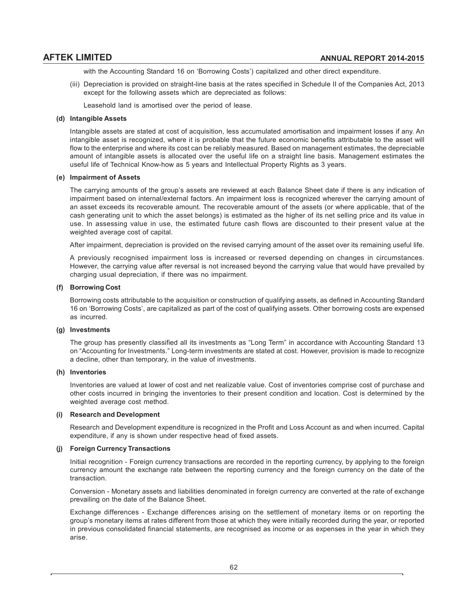with the Accounting Standard 16 on 'Borrowing Costs') capitalized and other direct expenditure.

(iii) Depreciation is provided on straight-line basis at the rates specified in Schedule II of the Companies Act, 2013 except for the following assets which are depreciated as follows:

Leasehold land is amortised over the period of lease.

#### **(d) Intangible Assets**

Intangible assets are stated at cost of acquisition, less accumulated amortisation and impairment losses if any. An intangible asset is recognized, where it is probable that the future economic benefits attributable to the asset will flow to the enterprise and where its cost can be reliably measured. Based on management estimates, the depreciable amount of intangible assets is allocated over the useful life on a straight line basis. Management estimates the useful life of Technical Know-how as 5 years and Intellectual Property Rights as 3 years.

#### **(e) Impairment of Assets**

The carrying amounts of the group's assets are reviewed at each Balance Sheet date if there is any indication of impairment based on internal/external factors. An impairment loss is recognized wherever the carrying amount of an asset exceeds its recoverable amount. The recoverable amount of the assets (or where applicable, that of the cash generating unit to which the asset belongs) is estimated as the higher of its net selling price and its value in use. In assessing value in use, the estimated future cash flows are discounted to their present value at the weighted average cost of capital.

After impairment, depreciation is provided on the revised carrying amount of the asset over its remaining useful life.

A previously recognised impairment loss is increased or reversed depending on changes in circumstances. However, the carrying value after reversal is not increased beyond the carrying value that would have prevailed by charging usual depreciation, if there was no impairment.

#### **(f) Borrowing Cost**

Borrowing costs attributable to the acquisition or construction of qualifying assets, as defined in Accounting Standard 16 on 'Borrowing Costs', are capitalized as part of the cost of qualifying assets. Other borrowing costs are expensed as incurred.

#### **(g) Investments**

The group has presently classified all its investments as "Long Term" in accordance with Accounting Standard 13 on "Accounting for Investments." Long-term investments are stated at cost. However, provision is made to recognize a decline, other than temporary, in the value of investments.

#### **(h) Inventories**

Inventories are valued at lower of cost and net realizable value. Cost of inventories comprise cost of purchase and other costs incurred in bringing the inventories to their present condition and location. Cost is determined by the weighted average cost method.

#### **(i) Research and Development**

Research and Development expenditure is recognized in the Profit and Loss Account as and when incurred. Capital expenditure, if any is shown under respective head of fixed assets.

#### **(j) Foreign Currency Transactions**

Initial recognition - Foreign currency transactions are recorded in the reporting currency, by applying to the foreign currency amount the exchange rate between the reporting currency and the foreign currency on the date of the transaction.

Conversion - Monetary assets and liabilities denominated in foreign currency are converted at the rate of exchange prevailing on the date of the Balance Sheet.

Exchange differences - Exchange differences arising on the settlement of monetary items or on reporting the group's monetary items at rates different from those at which they were initially recorded during the year, or reported in previous consolidated financial statements, are recognised as income or as expenses in the year in which they arise.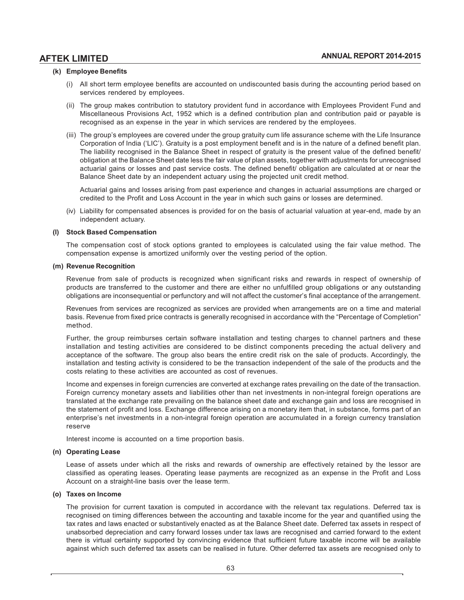### **(k) Employee Benefits**

- (i) All short term employee benefits are accounted on undiscounted basis during the accounting period based on services rendered by employees.
- (ii) The group makes contribution to statutory provident fund in accordance with Employees Provident Fund and Miscellaneous Provisions Act, 1952 which is a defined contribution plan and contribution paid or payable is recognised as an expense in the year in which services are rendered by the employees.
- (iii) The groupís employees are covered under the group gratuity cum life assurance scheme with the Life Insurance Corporation of India ('LIC'). Gratuity is a post employment benefit and is in the nature of a defined benefit plan. The liability recognised in the Balance Sheet in respect of gratuity is the present value of the defined benefit/ obligation at the Balance Sheet date less the fair value of plan assets, together with adjustments for unrecognised actuarial gains or losses and past service costs. The defined benefit/ obligation are calculated at or near the Balance Sheet date by an independent actuary using the projected unit credit method.

Actuarial gains and losses arising from past experience and changes in actuarial assumptions are charged or credited to the Profit and Loss Account in the year in which such gains or losses are determined.

(iv) Liability for compensated absences is provided for on the basis of actuarial valuation at year-end, made by an independent actuary.

#### **(l) Stock Based Compensation**

The compensation cost of stock options granted to employees is calculated using the fair value method. The compensation expense is amortized uniformly over the vesting period of the option.

#### **(m) Revenue Recognition**

Revenue from sale of products is recognized when significant risks and rewards in respect of ownership of products are transferred to the customer and there are either no unfulfilled group obligations or any outstanding obligations are inconsequential or perfunctory and will not affect the customer's final acceptance of the arrangement.

Revenues from services are recognized as services are provided when arrangements are on a time and material basis. Revenue from fixed price contracts is generally recognised in accordance with the "Percentage of Completion" method.

Further, the group reimburses certain software installation and testing charges to channel partners and these installation and testing activities are considered to be distinct components preceding the actual delivery and acceptance of the software. The group also bears the entire credit risk on the sale of products. Accordingly, the installation and testing activity is considered to be the transaction independent of the sale of the products and the costs relating to these activities are accounted as cost of revenues.

Income and expenses in foreign currencies are converted at exchange rates prevailing on the date of the transaction. Foreign currency monetary assets and liabilities other than net investments in non-integral foreign operations are translated at the exchange rate prevailing on the balance sheet date and exchange gain and loss are recognised in the statement of profit and loss. Exchange difference arising on a monetary item that, in substance, forms part of an enterpriseís net investments in a non-integral foreign operation are accumulated in a foreign currency translation reserve

Interest income is accounted on a time proportion basis.

### **(n) Operating Lease**

Lease of assets under which all the risks and rewards of ownership are effectively retained by the lessor are classified as operating leases. Operating lease payments are recognized as an expense in the Profit and Loss Account on a straight-line basis over the lease term.

### **(o) Taxes on Income**

The provision for current taxation is computed in accordance with the relevant tax regulations. Deferred tax is recognised on timing differences between the accounting and taxable income for the year and quantified using the tax rates and laws enacted or substantively enacted as at the Balance Sheet date. Deferred tax assets in respect of unabsorbed depreciation and carry forward losses under tax laws are recognised and carried forward to the extent there is virtual certainty supported by convincing evidence that sufficient future taxable income will be available against which such deferred tax assets can be realised in future. Other deferred tax assets are recognised only to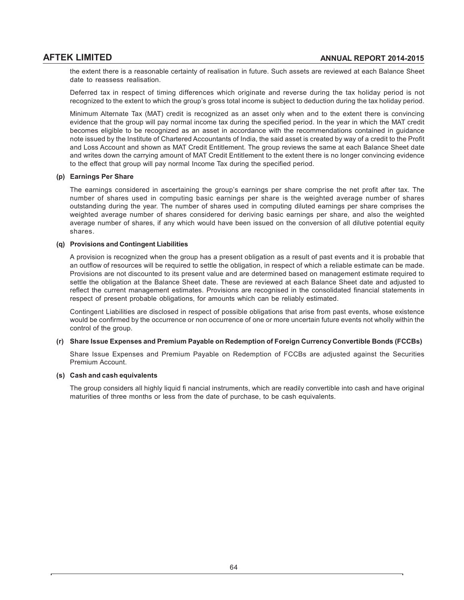the extent there is a reasonable certainty of realisation in future. Such assets are reviewed at each Balance Sheet date to reassess realisation.

Deferred tax in respect of timing differences which originate and reverse during the tax holiday period is not recognized to the extent to which the group's gross total income is subject to deduction during the tax holiday period.

Minimum Alternate Tax (MAT) credit is recognized as an asset only when and to the extent there is convincing evidence that the group will pay normal income tax during the specified period. In the year in which the MAT credit becomes eligible to be recognized as an asset in accordance with the recommendations contained in guidance note issued by the Institute of Chartered Accountants of India, the said asset is created by way of a credit to the Profit and Loss Account and shown as MAT Credit Entitlement. The group reviews the same at each Balance Sheet date and writes down the carrying amount of MAT Credit Entitlement to the extent there is no longer convincing evidence to the effect that group will pay normal Income Tax during the specified period.

#### **(p) Earnings Per Share**

The earnings considered in ascertaining the group's earnings per share comprise the net profit after tax. The number of shares used in computing basic earnings per share is the weighted average number of shares outstanding during the year. The number of shares used in computing diluted earnings per share comprises the weighted average number of shares considered for deriving basic earnings per share, and also the weighted average number of shares, if any which would have been issued on the conversion of all dilutive potential equity shares.

#### **(q) Provisions and Contingent Liabilities**

A provision is recognized when the group has a present obligation as a result of past events and it is probable that an outflow of resources will be required to settle the obligation, in respect of which a reliable estimate can be made. Provisions are not discounted to its present value and are determined based on management estimate required to settle the obligation at the Balance Sheet date. These are reviewed at each Balance Sheet date and adjusted to reflect the current management estimates. Provisions are recognised in the consolidated financial statements in respect of present probable obligations, for amounts which can be reliably estimated.

Contingent Liabilities are disclosed in respect of possible obligations that arise from past events, whose existence would be confirmed by the occurrence or non occurrence of one or more uncertain future events not wholly within the control of the group.

#### **(r) Share Issue Expenses and Premium Payable on Redemption of Foreign Currency Convertible Bonds (FCCBs)**

Share Issue Expenses and Premium Payable on Redemption of FCCBs are adjusted against the Securities Premium Account.

#### **(s) Cash and cash equivalents**

The group considers all highly liquid fi nancial instruments, which are readily convertible into cash and have original maturities of three months or less from the date of purchase, to be cash equivalents.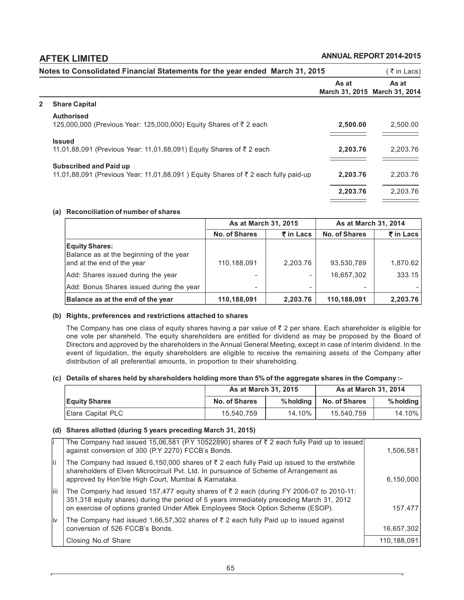|   | Notes to Consolidated Financial Statements for the year ended March 31, 2015                                       |          | ₹ in Lacs)                             |
|---|--------------------------------------------------------------------------------------------------------------------|----------|----------------------------------------|
|   |                                                                                                                    | As at    | As at<br>March 31, 2015 March 31, 2014 |
| 2 | <b>Share Capital</b>                                                                                               |          |                                        |
|   | <b>Authorised</b><br>125,000,000 (Previous Year: 125,000,000) Equity Shares of ₹ 2 each                            | 2.500.00 | 2.500.00                               |
|   | <b>Issued</b><br>11,01,88,091 (Previous Year: 11,01,88,091) Equity Shares of ₹2 each                               | 2.203.76 | 2.203.76                               |
|   | <b>Subscribed and Paid up</b><br>11,01,88,091 (Previous Year: 11,01,88,091) Equity Shares of ₹2 each fully paid-up | 2.203.76 | 2.203.76                               |
|   |                                                                                                                    | 2,203.76 | 2,203.76                               |

### **(a) Reconciliation of number of shares**

|                                                                                                |                          | As at March 31, 2015 |                      | As at March 31, 2014 |  |
|------------------------------------------------------------------------------------------------|--------------------------|----------------------|----------------------|----------------------|--|
|                                                                                                | No. of Shares            | ₹ in Lacs            | <b>No. of Shares</b> | ₹ in Lacs            |  |
| <b>Equity Shares:</b><br>Balance as at the beginning of the year<br>and at the end of the year | 110,188,091              | 2,203.76             | 93,530,789           | 1,870.62             |  |
| Add: Shares issued during the year                                                             | -                        |                      | 16,657,302           | 333.15               |  |
| Add: Bonus Shares issued during the year                                                       | $\overline{\phantom{a}}$ |                      |                      |                      |  |
| Balance as at the end of the year                                                              | 110,188,091              | 2,203.76             | 110,188,091          | 2,203.76             |  |

### **(b) Rights, preferences and restrictions attached to shares**

The Company has one class of equity shares having a par value of  $\bar{\tau}$  2 per share. Each shareholder is eligible for one vote per shareheld. The equity shareholders are entitled for dividend as may be proposed by the Board of Directors and approved by the shareholders in the Annual General Meeting, except in case of interim dividend. In the event of liquidation, the equity shareholders are eligible to receive the remaining assets of the Company after distribution of all preferential amounts, in proportion to their shareholding.

#### **(c) Details of shares held by shareholders holding more than 5% of the aggregate shares in the Company :-**

|                      | As at March 31, 2015 |           | <b>As at March 31, 2014</b> |           |
|----------------------|----------------------|-----------|-----------------------------|-----------|
| <b>Equity Shares</b> | No. of Shares        | % holding | <b>No. of Shares</b>        | % holding |
| Elara Capital PLC    | 15.540.759           | 14.10%    | 15.540.759                  | 14.10%    |

### **(d) Shares allotted (during 5 years preceding March 31, 2015)**

|      | The Company had issued 15,06,581 (P.Y 10522890) shares of $\overline{\tau}$ 2 each fully Paid up to issued<br>against conversion of 300 (P.Y 2270) FCCB's Bonds.                                                                                                                        | 1,506,581   |
|------|-----------------------------------------------------------------------------------------------------------------------------------------------------------------------------------------------------------------------------------------------------------------------------------------|-------------|
| lii. | The Company had issued 6,150,000 shares of $\bar{\tau}$ 2 each fully Paid up issued to the erstwhile<br>shareholders of Elven Microcircuit Pvt. Ltd. In pursuance of Scheme of Arrangement as<br>approved by Hon'ble High Court, Mumbai & Karnataka.                                    | 6,150,000   |
| liii | The Company had issued 157,477 equity shares of $\overline{\tau}$ 2 each (during FY 2006-07 to 2010-11:<br>351,318 equity shares) during the period of 5 years immediately preceding March 31, 2012<br>on exercise of options granted Under Aftek Employees Stock Option Scheme (ESOP). | 157,477     |
| liv  | The Company had issued 1,66,57,302 shares of $\bar{\tau}$ 2 each fully Paid up to issued against<br>conversion of 526 FCCB's Bonds.                                                                                                                                                     | 16,657,302  |
|      | Closing No.of Share                                                                                                                                                                                                                                                                     | 110,188,091 |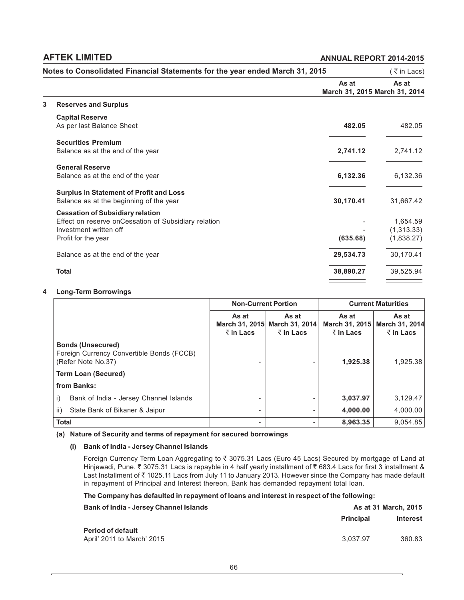|   | <b>AFTEK LIMITED</b>                                                         | <b>ANNUAL REPORT 2014-2015</b>         |              |
|---|------------------------------------------------------------------------------|----------------------------------------|--------------|
|   | Notes to Consolidated Financial Statements for the year ended March 31, 2015 |                                        | ্ ₹ in Lacs) |
|   |                                                                              | As at<br>March 31, 2015 March 31, 2014 | As at        |
| 3 | <b>Reserves and Surplus</b>                                                  |                                        |              |
|   | <b>Capital Reserve</b><br>As per last Balance Sheet                          | 482.05                                 | 482.05       |
|   | <b>Securities Premium</b><br>Balance as at the end of the year               | 2,741.12                               | 2,741.12     |
|   | <b>General Reserve</b><br>Balance as at the end of the year                  | 6,132.36                               | 6.132.36     |

| <b>Surplus in Statement of Profit and Loss</b><br>Balance as at the beginning of the year                                                         | 30,170.41 | 31,667.42                            |
|---------------------------------------------------------------------------------------------------------------------------------------------------|-----------|--------------------------------------|
| <b>Cessation of Subsidiary relation</b><br>Effect on reserve on Cessation of Subsidiary relation<br>Investment written off<br>Profit for the year | (635.68)  | 1.654.59<br>(1,313.33)<br>(1,838.27) |
| Balance as at the end of the year                                                                                                                 | 29,534.73 | 30,170.41                            |
| Total                                                                                                                                             | 38,890.27 | 39.525.94                            |
|                                                                                                                                                   |           |                                      |

#### **4 Long-Term Borrowings**

|                                                                                             | <b>Non-Current Portion</b>    |                                                                |                                                 | <b>Current Maturities</b>                       |
|---------------------------------------------------------------------------------------------|-------------------------------|----------------------------------------------------------------|-------------------------------------------------|-------------------------------------------------|
|                                                                                             | As at<br>$\bar{\tau}$ in Lacs | As at<br>March 31, 2015 March 31, 2014<br>$\bar{\tau}$ in Lacs | As at<br>March 31, 2015<br>$\bar{\tau}$ in Lacs | As at<br>March 31, 2014<br>$\bar{\tau}$ in Lacs |
| <b>Bonds (Unsecured)</b><br>Foreign Currency Convertible Bonds (FCCB)<br>(Refer Note No.37) |                               |                                                                | 1,925.38                                        | 1,925.38                                        |
| <b>Term Loan (Secured)</b>                                                                  |                               |                                                                |                                                 |                                                 |
| from Banks:                                                                                 |                               |                                                                |                                                 |                                                 |
| Bank of India - Jersey Channel Islands<br>i)                                                |                               |                                                                | 3,037.97                                        | 3,129.47                                        |
| ii)<br>State Bank of Bikaner & Jaipur                                                       |                               |                                                                | 4,000.00                                        | 4.000.00                                        |
| <b>Total</b>                                                                                |                               |                                                                | 8,963.35                                        | 9,054.85                                        |

#### **(a) Nature of Security and terms of repayment for secured borrowings**

### **(i) Bank of India - Jersey Channel Islands**

Foreign Currency Term Loan Aggregating to ₹ 3075.31 Lacs (Euro 45 Lacs) Secured by mortgage of Land at Hinjewadi, Pune. ₹ 3075.31 Lacs is repayble in 4 half yearly installment of ₹ 683.4 Lacs for first 3 installment & Last Installment of ₹1025.11 Lacs from July 11 to January 2013. However since the Company has made default in repayment of Principal and Interest thereon, Bank has demanded repayment total loan.

**The Company has defaulted in repayment of loans and interest in respect of the following:**

| <b>Bank of India - Jersey Channel Islands</b> |                  | As at 31 March, 2015 |
|-----------------------------------------------|------------------|----------------------|
|                                               | <b>Principal</b> | <b>Interest</b>      |
| <b>Period of default</b>                      |                  |                      |
| April' 2011 to March' 2015                    | 3.037.97         | 360.83               |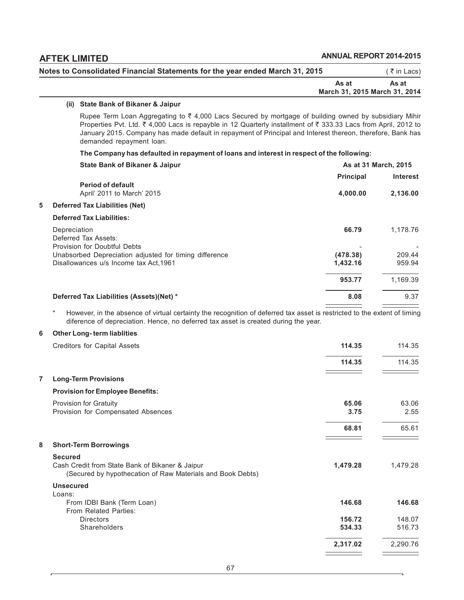| Notes to Consolidated Financial Statements for the year ended March 31, 2015 |       | (₹in Lacs)                    |
|------------------------------------------------------------------------------|-------|-------------------------------|
|                                                                              | As at | As at                         |
|                                                                              |       | March 31, 2015 March 31, 2014 |

#### **(ii) State Bank of Bikaner & Jaipur**

Rupee Term Loan Aggregating to  $\bar{\tau}$  4,000 Lacs Secured by mortgage of building owned by subsidiary Mihir Properties Pvt. Ltd. ₹4,000 Lacs is repayble in 12 Quarterly installment of ₹333.33 Lacs from April, 2012 to January 2015. Company has made default in repayment of Principal and Interest thereon, therefore, Bank has demanded repayment loan.

### **The Company has defaulted in repayment of loans and interest in respect of the following:**

|   | <b>State Bank of Bikaner &amp; Jaipur</b>                            |                  | As at 31 March, 2015 |
|---|----------------------------------------------------------------------|------------------|----------------------|
|   |                                                                      | <b>Principal</b> | <b>Interest</b>      |
|   | <b>Period of default</b><br>April' 2011 to March' 2015               | 4,000.00         | 2,136.00             |
| 5 | <b>Deferred Tax Liabilities (Net)</b>                                |                  |                      |
|   | <b>Deferred Tax Liabilities:</b>                                     |                  |                      |
|   | Depreciation<br>Deferred Tax Assets:<br>Provision for Doubtful Debts | 66.79            | 1,178.76             |
|   | Unabsorbed Depreciation adjusted for timing difference               | (478.38)         | 209.44               |
|   | Disallowances u/s Income tax Act, 1961                               | 1,432.16         | 959.94               |
|   |                                                                      | 953.77           | 1.169.39             |
|   | Deferred Tax Liabilities (Assets)(Net) *                             | 8.08             | 9.37                 |
|   |                                                                      |                  |                      |

\* However, in the absence of virtual certainty the recognition of deferred tax asset is restricted to the extent of timing diference of depreciation. Hence, no deferred tax asset is created during the year.

#### **6 Other Long- term liablities**

|   | Creditors for Capital Assets                                                                                                    | 114.35        | 114.35        |
|---|---------------------------------------------------------------------------------------------------------------------------------|---------------|---------------|
|   |                                                                                                                                 | 114.35        | 114.35        |
| 7 | <b>Long-Term Provisions</b>                                                                                                     |               |               |
|   | <b>Provision for Employee Benefits:</b>                                                                                         |               |               |
|   | Provision for Gratuity<br>Provision for Compensated Absences                                                                    | 65.06<br>3.75 | 63.06<br>2.55 |
|   |                                                                                                                                 | 68.81         | 65.61         |
| 8 | <b>Short-Term Borrowings</b>                                                                                                    |               |               |
|   | <b>Secured</b><br>Cash Credit from State Bank of Bikaner & Jaipur<br>(Secured by hypothecation of Raw Materials and Book Debts) | 1,479.28      | 1,479.28      |
|   | <b>Unsecured</b>                                                                                                                |               |               |
|   | Loans:<br>From IDBI Bank (Term Loan)<br>From Related Parties:                                                                   | 146.68        | 146.68        |
|   | <b>Directors</b>                                                                                                                | 156.72        | 148.07        |
|   | <b>Shareholders</b>                                                                                                             | 534.33        | 516.73        |
|   |                                                                                                                                 | 2,317.02      | 2,290.76      |
|   |                                                                                                                                 |               |               |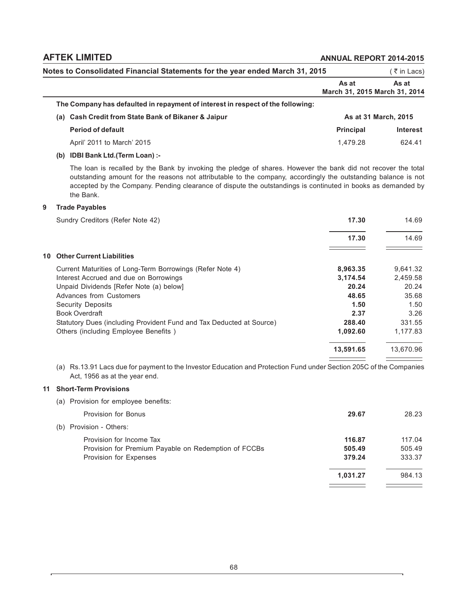$\overline{\phantom{a}}$ 

 $\frac{1}{2} \left( \frac{1}{2} \right) \left( \frac{1}{2} \right) \left( \frac{1}{2} \right) \left( \frac{1}{2} \right) \left( \frac{1}{2} \right) \left( \frac{1}{2} \right) \left( \frac{1}{2} \right) \left( \frac{1}{2} \right) \left( \frac{1}{2} \right) \left( \frac{1}{2} \right) \left( \frac{1}{2} \right) \left( \frac{1}{2} \right) \left( \frac{1}{2} \right) \left( \frac{1}{2} \right) \left( \frac{1}{2} \right) \left( \frac{1}{2} \right) \left( \frac$ 

e e

| Notes to Consolidated Financial Statements for the year ended March 31, 2015    |                                        | ₹ in Lacs)           |
|---------------------------------------------------------------------------------|----------------------------------------|----------------------|
|                                                                                 | As at<br>March 31, 2015 March 31, 2014 | As at                |
| The Company has defaulted in repayment of interest in respect of the following: |                                        |                      |
| (a) Cash Credit from State Bank of Bikaner & Jaipur                             |                                        | As at 31 March, 2015 |
| <b>Period of default</b>                                                        | <b>Principal</b>                       | <b>Interest</b>      |
| April' 2011 to March' 2015                                                      | 1.479.28                               | 624.41               |
| <b>IDBI Bank Ltd. (Term Loan):-</b><br>(b)                                      |                                        |                      |

The loan is recalled by the Bank by invoking the pledge of shares. However the bank did not recover the total outstanding amount for the reasons not attributable to the company, accordingly the outstanding balance is not accepted by the Company. Pending clearance of dispute the outstandings is continuted in books as demanded by the Bank.

#### **9 Trade Payables**

|    | Sundry Creditors (Refer Note 42)                                     | 17.30     | 14.69     |
|----|----------------------------------------------------------------------|-----------|-----------|
|    |                                                                      | 17.30     | 14.69     |
| 10 | <b>Other Current Liabilities</b>                                     |           |           |
|    | Current Maturities of Long-Term Borrowings (Refer Note 4)            | 8,963.35  | 9.641.32  |
|    | Interest Accrued and due on Borrowings                               | 3,174.54  | 2.459.58  |
|    | Unpaid Dividends [Refer Note (a) below]                              | 20.24     | 20.24     |
|    | Advances from Customers                                              | 48.65     | 35.68     |
|    | <b>Security Deposits</b>                                             | 1.50      | 1.50      |
|    | <b>Book Overdraft</b>                                                | 2.37      | 3.26      |
|    | Statutory Dues (including Provident Fund and Tax Deducted at Source) | 288.40    | 331.55    |
|    | Others (including Employee Benefits)                                 | 1,092.60  | 1,177.83  |
|    |                                                                      | 13,591.65 | 13,670.96 |
|    |                                                                      |           |           |

(a) Rs.13.91 Lacs due for payment to the Investor Education and Protection Fund under Section 205C of the Companies Act, 1956 as at the year end.

### **11 Short-Term Provisions**

 $(b)$ 

(a) Provision for employee benefits:

| Provision for Bonus                                  | 29.67    | 28.23  |
|------------------------------------------------------|----------|--------|
| Provision - Others:                                  |          |        |
| Provision for Income Tax                             | 116.87   | 117.04 |
| Provision for Premium Payable on Redemption of FCCBs | 505.49   | 505.49 |
| Provision for Expenses                               | 379.24   | 333.37 |
|                                                      | 1.031.27 | 984.13 |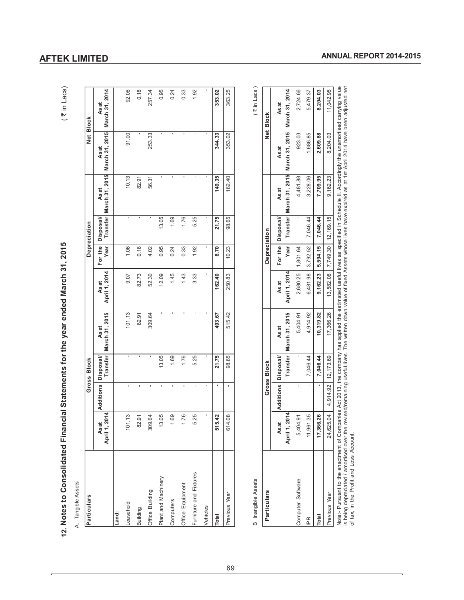| Particulars               |                                   | Gross     | <b>Block</b>          |                                |                              |                 | Depreciation          |                               | <b>Jet</b>                    | <b>Block</b>                  |
|---------------------------|-----------------------------------|-----------|-----------------------|--------------------------------|------------------------------|-----------------|-----------------------|-------------------------------|-------------------------------|-------------------------------|
|                           | April 1, 2014<br><b>Asat</b>      | Additions | Transfer<br>Disposal  | March 31, 2015<br><b>Asat</b>  | April 1, 2014<br><b>Asat</b> | For the<br>Year | Transfer<br>Disposal  | March 31, 2015<br><b>Asat</b> | March 31, 2015<br><b>Asat</b> | March 31, 2014<br>As at       |
| Land:                     |                                   |           |                       |                                |                              |                 |                       |                               |                               |                               |
| easehold                  | 101.13                            |           |                       | 101.13                         | 0.07                         | 1.06            |                       | 10.13                         | 91.00                         | 92.06                         |
| Building                  | 5<br>$\frac{2}{3}$                |           |                       | 82.91                          | 82.73                        | 0.18            |                       | 82.91                         |                               | 0.18                          |
| Office Building           | $\mathfrak{g}$<br>309.            |           | ı                     | 309.64                         | 52.30                        | 4.02            |                       | 56.31                         | 253.33                        | 257.34                        |
| Plant and Machinery       | 65<br>$\tilde{c}$                 |           | 13.05                 |                                | 12.09                        | 0.95            | 13.05                 |                               |                               | 0.95                          |
| Computers                 | 89                                |           | 1.69                  |                                | 1.45                         | 0.24            | 1.69                  |                               | ı                             | 0.24                          |
| Office Equipment          | .76                               |           | 1.76                  | $\blacksquare$                 | 1.43                         | 0.33            | 1.76                  |                               | ı,                            | 0.33                          |
| Furniture and Fixtures    | 25<br>LO                          |           | 5.25                  |                                | 3.33                         | 1.92            | 5.25                  |                               | 1                             | 1.92                          |
| Vehicles                  | ï                                 |           |                       |                                |                              |                 |                       |                               |                               |                               |
| Total                     | 42<br>515<br>51                   |           | 21.75                 | 493.67                         | 162.40                       | 8.70            | 21.75                 | 149.35                        | 344.33                        | 353.02                        |
| Previous Year             | $\frac{8}{2}$<br>614              |           | 98.65                 | 515.42                         | 250.83                       | 10.23           | 98.65                 | 162.40                        | 353.02                        | 363.25                        |
| <b>B</b> Inangible Assets |                                   |           |                       |                                |                              |                 |                       |                               |                               | $($ ₹ in Lacs                 |
| Particulars               |                                   |           | Gross Block           |                                |                              | Depreciation    |                       |                               | ě                             | <b>Block</b>                  |
|                           | 2014<br><b>Asat</b><br>April 1, 2 | Additions | Transfer<br>Disposal/ | March 31, 2015<br><b>As at</b> | April 1, 2014<br><b>Asat</b> | For the<br>Year | Transfer<br>Disposal/ | March 31, 2015<br><b>Asat</b> | March 31, 2015<br><b>Asat</b> | March 31, 2014<br><b>Asat</b> |
| Computer Software         | $\overline{5}$<br>5,404.          |           |                       | 5,404.91                       | 2,680.25                     | 1,801.64        |                       | 4,481.88                      | 923.03                        | 2,724.66                      |
| ΙPΚ                       | 35<br>11,961.                     |           | 7,046.44              | 4,914.92                       | 6,481.98                     | 3,792.52        | 7,046.44              | 3,228.06                      | 1,686.85                      | 5,479.37                      |
| Total                     | .26<br>17,366.                    |           | 7,046.44              | 10,319.82                      | 9,162.23                     | 5,594.15        | 7,046.44              | 7,709.95                      | 2,609.88                      | 8,204.03                      |
| Previous Year             | $\overline{5}$<br>24,625.         | 4,914.92  | 12, 173.69            | 17,366.26                      | 13,582.08                    | 7,749.30        | 12,169.15             | 9,162.23                      | 8,204.03                      | 11,042.95                     |

| Particulars                                                                                                                                                                        |               |                              | Gross Block |                                         |                     | <b>Depreciation</b> |                                  |          |                                                                    | Net Block |
|------------------------------------------------------------------------------------------------------------------------------------------------------------------------------------|---------------|------------------------------|-------------|-----------------------------------------|---------------------|---------------------|----------------------------------|----------|--------------------------------------------------------------------|-----------|
|                                                                                                                                                                                    | As at         | Additions   Disposal/        |             | <b>Asat</b>                             | As at               |                     | For the Disposal                 | As at    | As at                                                              | As at     |
|                                                                                                                                                                                    | April 1, 2014 |                              |             | Transfer March 31, 2015   April 1, 2014 |                     |                     |                                  |          | Year   Transfer   March 31, 2015   March 31, 2015   March 31, 2014 |           |
| Computer Software                                                                                                                                                                  | ଚ<br>5,404.   |                              |             | 5.404.91                                | 2.680.25   1.801.64 |                     |                                  | 4,481.88 | 923.03                                                             | 2,724.66  |
| ΓŘ                                                                                                                                                                                 | က္ပ<br>1,961. |                              | 7,046.44    | 4,914.92                                |                     | 6,481.98 3,792.52   | 7,046.44                         | 3,228.06 | 1.686.85                                                           | 5,479.37  |
| Total                                                                                                                                                                              | 17,366.26     |                              | 7,046.44    | 10.319.82                               |                     |                     | $9,162.23$ 5,594.15 7,046.44     | 7.709.95 | 2.609.88                                                           | 8,204.03  |
| Previous Year                                                                                                                                                                      |               | 24,625.04 4,914.92 12,173.69 |             | 17.366.26                               |                     |                     | 13,582.08   7,749.30   12,169.15 | 9,162.23 | 8,204.03                                                           | 11,042.95 |
| Note:- Pursuant to the enactment of Companies Act 2013, the company has applied the estimated useful lives as specified in Schedule II. Accordingly the unamortised carrying value |               |                              |             |                                         |                     |                     |                                  |          |                                                                    |           |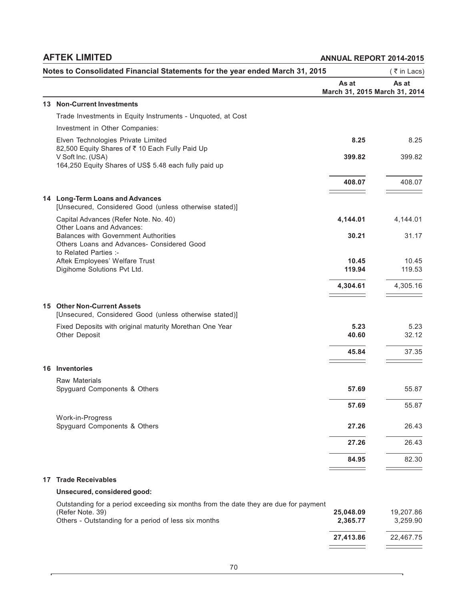|    | <b>AFTEK LIMITED</b>                                                                                                                            | ANNUAL REPORT 2014-2015                |            |
|----|-------------------------------------------------------------------------------------------------------------------------------------------------|----------------------------------------|------------|
|    | Notes to Consolidated Financial Statements for the year ended March 31, 2015                                                                    |                                        | (₹in Lacs) |
|    |                                                                                                                                                 | As at<br>March 31, 2015 March 31, 2014 | As at      |
|    | 13 Non-Current Investments                                                                                                                      |                                        |            |
|    | Trade Investments in Equity Instruments - Unquoted, at Cost                                                                                     |                                        |            |
|    | Investment in Other Companies:                                                                                                                  |                                        |            |
|    | Elven Technologies Private Limited                                                                                                              | 8.25                                   | 8.25       |
|    | 82,500 Equity Shares of ₹ 10 Each Fully Paid Up<br>V Soft Inc. (USA)<br>164,250 Equity Shares of US\$ 5.48 each fully paid up                   | 399.82                                 | 399.82     |
|    |                                                                                                                                                 | 408.07                                 | 408.07     |
|    | 14 Long-Term Loans and Advances<br>[Unsecured, Considered Good (unless otherwise stated)]                                                       |                                        |            |
|    | Capital Advances (Refer Note. No. 40)                                                                                                           | 4,144.01                               | 4,144.01   |
|    | Other Loans and Advances:<br><b>Balances with Government Authorities</b><br>Others Loans and Advances- Considered Good<br>to Related Parties :- | 30.21                                  | 31.17      |
|    | Aftek Employees' Welfare Trust                                                                                                                  | 10.45                                  | 10.45      |
|    | Digihome Solutions Pvt Ltd.                                                                                                                     | 119.94                                 | 119.53     |
|    |                                                                                                                                                 | 4,304.61                               | 4,305.16   |
|    | <b>15 Other Non-Current Assets</b><br>[Unsecured, Considered Good (unless otherwise stated)]                                                    |                                        |            |
|    | Fixed Deposits with original maturity Morethan One Year                                                                                         | 5.23                                   | 5.23       |
|    | <b>Other Deposit</b>                                                                                                                            | 40.60                                  | 32.12      |
|    |                                                                                                                                                 | 45.84                                  | 37.35      |
|    | 16 Inventories                                                                                                                                  |                                        |            |
|    | Raw Materials                                                                                                                                   |                                        |            |
|    | Spyguard Components & Others                                                                                                                    | 57.69                                  | 55.87      |
|    |                                                                                                                                                 | 57.69                                  | 55.87      |
|    | Work-in-Progress<br>Spyguard Components & Others                                                                                                | 27.26                                  | 26.43      |
|    |                                                                                                                                                 | 27.26                                  | 26.43      |
|    |                                                                                                                                                 | 84.95                                  | 82.30      |
| 17 | <b>Trade Receivables</b>                                                                                                                        |                                        |            |
|    | Unsecured, considered good:                                                                                                                     |                                        |            |
|    | Outstanding for a period exceeding six months from the date they are due for payment<br>(Refer Note. 39)                                        | 25,048.09                              | 19,207.86  |
|    | Others - Outstanding for a period of less six months                                                                                            | 2,365.77                               | 3,259.90   |

**27,413.86** 22,467.75

 $\qquad \qquad =$ 

 $\overline{\phantom{0}}$ 

 $\qquad \qquad =$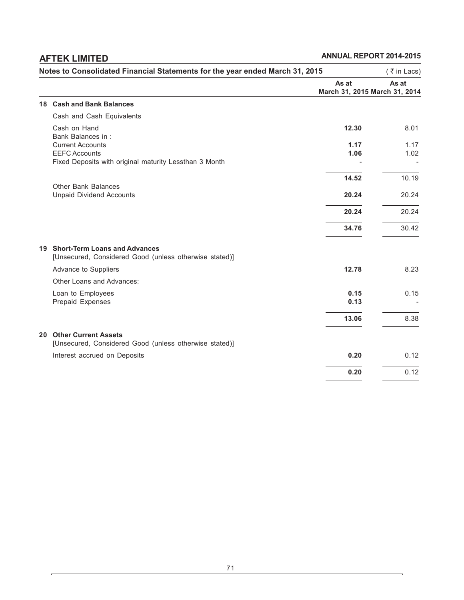| <b>AFTEK LIMITED</b>                                                                       | ANNUAL REPORT 2014-2015                |                |
|--------------------------------------------------------------------------------------------|----------------------------------------|----------------|
| Notes to Consolidated Financial Statements for the year ended March 31, 2015               |                                        | $($ ₹ in Lacs) |
|                                                                                            | As at<br>March 31, 2015 March 31, 2014 | As at          |
| 18 Cash and Bank Balances                                                                  |                                        |                |
| Cash and Cash Equivalents                                                                  |                                        |                |
| Cash on Hand<br>Bank Balances in:                                                          | 12.30                                  | 8.01           |
| <b>Current Accounts</b>                                                                    | 1.17                                   | 1.17           |
| <b>EEFC Accounts</b><br>Fixed Deposits with original maturity Lessthan 3 Month             | 1.06                                   | 1.02           |
| Other Bank Balances                                                                        | 14.52                                  | 10.19          |
| <b>Unpaid Dividend Accounts</b>                                                            | 20.24                                  | 20.24          |
|                                                                                            | 20.24                                  | 20.24          |
|                                                                                            | 34.76                                  | 30.42          |
| 19 Short-Term Loans and Advances<br>[Unsecured, Considered Good (unless otherwise stated)] |                                        |                |
| Advance to Suppliers                                                                       | 12.78                                  | 8.23           |
| Other Loans and Advances:                                                                  |                                        |                |
| Loan to Employees                                                                          | 0.15                                   | 0.15           |
| Prepaid Expenses                                                                           | 0.13                                   |                |
|                                                                                            | 13.06                                  | 8.38           |
| 20 Other Current Assets<br>[Unsecured, Considered Good (unless otherwise stated)]          |                                        |                |
| Interest accrued on Deposits                                                               | 0.20                                   | 0.12           |
|                                                                                            | 0.20                                   | 0.12           |
|                                                                                            |                                        |                |

r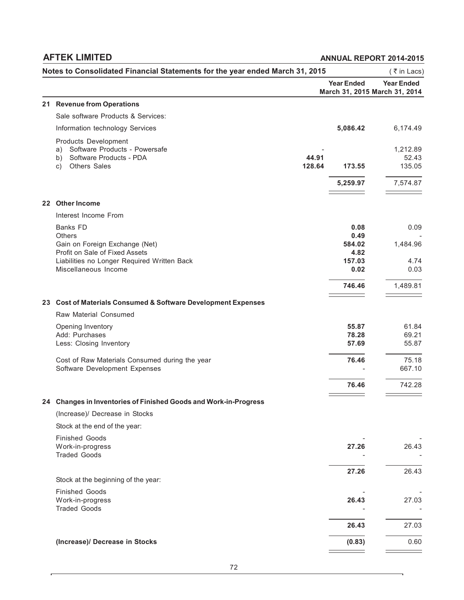**AFTEK LIMITED ANNUAL REPORT 2014-2015 Notes to Consolidated Financial Statements for the year ended March 31, 2015** (₹ in Lacs) **Year Ended Year Ended March 31, 2015 March 31, 2014 21 Revenue from Operations** Sale software Products & Services: Information technology Services **5,086.42** 6,174.49 Products Development a) Software Products - Powersafe - 1,212.89 b) Software Products - PDA **44.91** 52.43 c) Others Sales **128.64 173.55** 135.05 **5,259.97** 7,574.87 **22 Other Income** Interest Income From Banks FD **0.08** 0.09 Others **0.49** - Gain on Foreign Exchange (Net) **584.02** 1,484.96 Profit on Sale of Fixed Assets **4.82** Liabilities no Longer Required Written Back **157.03** 4.74 Miscellaneous Income **0.02** 0.03 **746.46** 1,489.81 **23 Cost of Materials Consumed & Software Development Expenses** Raw Material Consumed Opening Inventory **55.87** 61.84 Add: Purchases Less: Closing Inventory **57.69** 55.87 Cost of Raw Materials Consumed during the year **76.46** 75.18 Software Development Expenses - 667.10 **76.46** 742.28 **24 Changes in Inventories of Finished Goods and Work-in-Progress** (Increase)/ Decrease in Stocks Stock at the end of the year: Finished Goods Work-in-progress **27.26** 26.43 **Traded Goods 27.26** 26.43 Stock at the beginning of the year: Finished Goods Work-in-progress **26.43** 27.03 Traded Goods - - **26.43** 27.03 **(Increase)/ Decrease in Stocks (0.83)** 0.60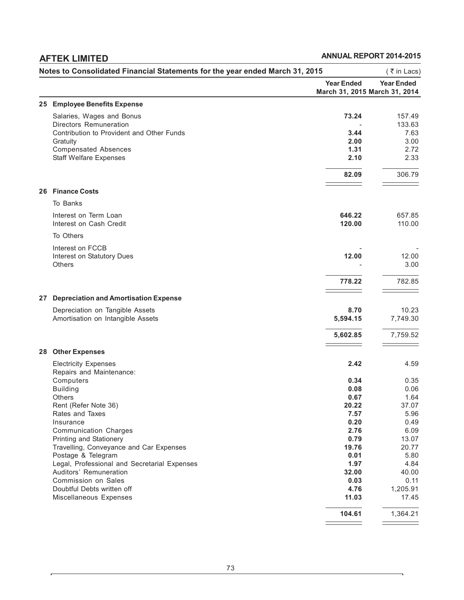| <b>AFTEK LIMITED</b> | ANNUAL REPORT 2014-2015 |
|----------------------|-------------------------|
|                      |                         |

ц

|    | Notes to Consolidated Financial Statements for the year ended March 31, 2015 |                                                    | $($ ₹ in Lacs)    |
|----|------------------------------------------------------------------------------|----------------------------------------------------|-------------------|
|    |                                                                              | <b>Year Ended</b><br>March 31, 2015 March 31, 2014 | <b>Year Ended</b> |
| 25 | <b>Employee Benefits Expense</b>                                             |                                                    |                   |
|    | Salaries, Wages and Bonus<br>Directors Remuneration                          | 73.24                                              | 157.49<br>133.63  |
|    | Contribution to Provident and Other Funds                                    | 3.44                                               | 7.63              |
|    | Gratuity                                                                     | 2.00                                               | 3.00              |
|    | <b>Compensated Absences</b><br><b>Staff Welfare Expenses</b>                 | 1.31<br>2.10                                       | 2.72<br>2.33      |
|    |                                                                              |                                                    |                   |
|    |                                                                              | 82.09                                              | 306.79            |
| 26 | <b>Finance Costs</b>                                                         |                                                    |                   |
|    | To Banks                                                                     |                                                    |                   |
|    | Interest on Term Loan<br>Interest on Cash Credit                             | 646.22<br>120.00                                   | 657.85<br>110.00  |
|    | To Others                                                                    |                                                    |                   |
|    | Interest on FCCB<br>Interest on Statutory Dues<br>Others                     | 12.00                                              | 12.00<br>3.00     |
|    |                                                                              | 778.22                                             | 782.85            |
| 27 | <b>Depreciation and Amortisation Expense</b>                                 |                                                    |                   |
|    | Depreciation on Tangible Assets                                              | 8.70                                               | 10.23             |
|    | Amortisation on Intangible Assets                                            | 5,594.15                                           | 7,749.30          |
|    |                                                                              | 5,602.85                                           | 7,759.52          |
|    | 28 Other Expenses                                                            |                                                    |                   |
|    | <b>Electricity Expenses</b>                                                  | 2.42                                               | 4.59              |
|    | Repairs and Maintenance:<br>Computers                                        | 0.34                                               | 0.35              |
|    | <b>Building</b>                                                              | 0.08                                               | 0.06              |
|    | Others                                                                       | 0.67                                               | 1.64              |
|    | Rent (Refer Note 36)                                                         | 20.22                                              | 37.07             |
|    | Rates and Taxes                                                              | 7.57                                               | 5.96              |
|    | Insurance                                                                    | 0.20                                               | 0.49              |
|    | <b>Communication Charges</b>                                                 | 2.76<br>0.79                                       | 6.09<br>13.07     |
|    | Printing and Stationery<br>Travelling, Conveyance and Car Expenses           | 19.76                                              | 20.77             |
|    | Postage & Telegram                                                           | 0.01                                               | 5.80              |
|    | Legal, Professional and Secretarial Expenses                                 | 1.97                                               | 4.84              |
|    | Auditors' Remuneration                                                       | 32.00                                              | 40.00             |
|    | Commission on Sales                                                          | 0.03                                               | 0.11              |
|    | Doubtful Debts written off                                                   | 4.76                                               | 1,205.91          |
|    | Miscellaneous Expenses                                                       | 11.03                                              | 17.45             |
|    |                                                                              | 104.61                                             | 1,364.21          |
|    |                                                                              |                                                    |                   |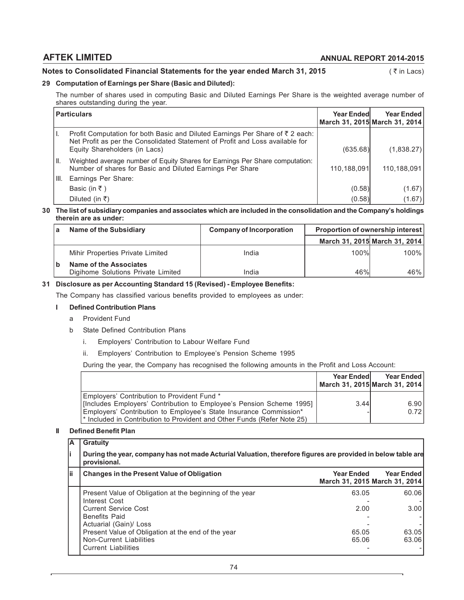## **Notes to Consolidated Financial Statements for the year ended March 31, 2015** (₹ in Lacs)

#### **29 Computation of Earnings per Share (Basic and Diluted):**

The number of shares used in computing Basic and Diluted Earnings Per Share is the weighted average number of shares outstanding during the year.

|      | <b>Particulars</b>                                                                                                                                                                              | <b>Year Ended</b> | <b>Year Ended</b><br>March 31, 2015 March 31, 2014 |
|------|-------------------------------------------------------------------------------------------------------------------------------------------------------------------------------------------------|-------------------|----------------------------------------------------|
|      | Profit Computation for both Basic and Diluted Earnings Per Share of ₹ 2 each:<br>Net Profit as per the Consolidated Statement of Profit and Loss available for<br>Equity Shareholders (in Lacs) | (635.68)          | (1,838.27)                                         |
| II.  | Weighted average number of Equity Shares for Earnings Per Share computation:<br>Number of shares for Basic and Diluted Earnings Per Share                                                       | 110,188,091       | 110,188,091                                        |
| III. | Earnings Per Share:                                                                                                                                                                             |                   |                                                    |
|      | Basic (in ₹)                                                                                                                                                                                    | (0.58)            | (1.67)                                             |
|      | Diluted (in ₹)                                                                                                                                                                                  | (0.58)            | (1.67)                                             |

#### **30 The list of subsidiary companies and associates which are included in the consolidation and the Companyís holdings therein are as under:**

| a   | Name of the Subsidiary                                              | Company of Incorporation | <b>Proportion of ownership interest</b> |                               |
|-----|---------------------------------------------------------------------|--------------------------|-----------------------------------------|-------------------------------|
|     |                                                                     |                          |                                         | March 31, 2015 March 31, 2014 |
|     | Mihir Properties Private Limited                                    | India                    | 100%                                    | 100%                          |
| l b | <b>Name of the Associates</b><br>Digihome Solutions Private Limited | India                    | 46%                                     | 46%                           |

#### **31 Disclosure as per Accounting Standard 15 (Revised) - Employee Benefits:**

The Company has classified various benefits provided to employees as under:

#### **I Defined Contribution Plans**

- a Provident Fund
- b State Defined Contribution Plans
	- i. Employers' Contribution to Labour Welfare Fund
	- ii. Employers' Contribution to Employee's Pension Scheme 1995

During the year, the Company has recognised the following amounts in the Profit and Loss Account:

|                                                                                    | <b>Year Endedl</b><br>March 31, 2015 March 31, 2014 | Year Ended |
|------------------------------------------------------------------------------------|-----------------------------------------------------|------------|
| Employers' Contribution to Provident Fund *                                        |                                                     |            |
| [Includes Employers' Contribution to Employee's Pension Scheme 1995]               | 3.44                                                | 6.901      |
| Employers' Contribution to Employee's State Insurance Commission*                  |                                                     | 0.72       |
| <sup>*</sup> Included in Contribution to Provident and Other Funds (Refer Note 25) |                                                     |            |

## **II Defined Benefit Plan**

| İΑ  | Gratuity                                                                                                                    |                                                    |                |
|-----|-----------------------------------------------------------------------------------------------------------------------------|----------------------------------------------------|----------------|
|     | During the year, company has not made Acturial Valuation, therefore figures are provided in below table are<br>provisional. |                                                    |                |
| 1ii | <b>Changes in the Present Value of Obligation</b>                                                                           | <b>Year Ended</b><br>March 31, 2015 March 31, 2014 | Year Ended     |
|     | Present Value of Obligation at the beginning of the year<br>Interest Cost                                                   | 63.05                                              | 60.06          |
|     | <b>Current Service Cost</b><br><b>Benefits Paid</b>                                                                         | 2.00                                               | 3.001          |
|     | Actuarial (Gain)/ Loss<br>Present Value of Obligation at the end of the year<br>Non-Current Liabilities                     | 65.05<br>65.06                                     | 63.05<br>63.06 |
|     | <b>Current Liabilities</b>                                                                                                  |                                                    |                |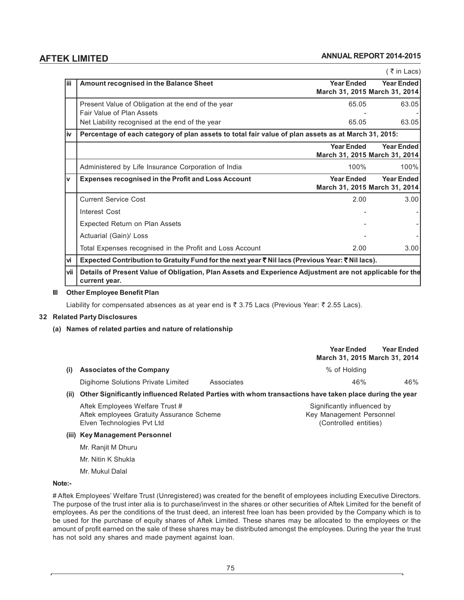|       |                                                                                                          |                   | ( ₹ in Lacs)                                |
|-------|----------------------------------------------------------------------------------------------------------|-------------------|---------------------------------------------|
| liii. | <b>Amount recognised in the Balance Sheet</b>                                                            | <b>Year Ended</b> | Year Ended<br>March 31, 2015 March 31, 2014 |
|       | Present Value of Obligation at the end of the year                                                       | 65.05             | 63.05                                       |
|       | Fair Value of Plan Assets                                                                                |                   |                                             |
|       | Net Liability recognised at the end of the year                                                          | 65.05             | 63.05                                       |
| İiv   | Percentage of each category of plan assets to total fair value of plan assets as at March 31, 2015:      |                   |                                             |
|       |                                                                                                          | <b>Year Ended</b> | Year Ended<br>March 31, 2015 March 31, 2014 |
|       | Administered by Life Insurance Corporation of India                                                      | 100%              | 100%                                        |
| l۷    | <b>Expenses recognised in the Profit and Loss Account</b>                                                | <b>Year Ended</b> | Year Ended<br>March 31, 2015 March 31, 2014 |
|       | <b>Current Service Cost</b>                                                                              | 2.00              | 3.001                                       |
|       | Interest Cost                                                                                            |                   |                                             |
|       | <b>Expected Return on Plan Assets</b>                                                                    |                   |                                             |
|       | Actuarial (Gain)/ Loss                                                                                   |                   |                                             |
|       | Total Expenses recognised in the Profit and Loss Account                                                 | 2.00              | 3.001                                       |
| lvi   | Expected Contribution to Gratuity Fund for the next year ₹ Nil lacs (Previous Year: ₹ Nil lacs).         |                   |                                             |
| lvii  | Details of Present Value of Obligation, Plan Assets and Experience Adjustment are not applicable for the |                   |                                             |

**vii Details of Present Value of Obligation, Plan Assets and Experience Adjustment are not applicable for the current year.**

### **III Other Employee Benefit Plan**

Liability for compensated absences as at year end is  $\bar{\tau}$  3.75 Lacs (Previous Year:  $\bar{\tau}$  2.55 Lacs).

### **32 Related Party Disclosures**

### **(a) Names of related parties and nature of relationship**

|     |                                                                                                             |            | <b>Year Ended</b><br>March 31, 2015 March 31, 2014 | <b>Year Ended</b> |
|-----|-------------------------------------------------------------------------------------------------------------|------------|----------------------------------------------------|-------------------|
| (i) | <b>Associates of the Company</b>                                                                            |            | % of Holding                                       |                   |
|     | Digihome Solutions Private Limited                                                                          | Associates | 46%                                                | 46%               |
|     | (ii) Other Significantly influenced Related Parties with whom transactions have taken place during the year |            |                                                    |                   |
|     | Aftek Employees Welfare Trust #                                                                             |            | Significantly influenced by                        |                   |

| Aftek Employees Welfare Trust #           | Significantly influenced by |
|-------------------------------------------|-----------------------------|
| Aftek employees Gratuity Assurance Scheme | Key Management Personnel    |
| Elven Technologies Pvt Ltd                | (Controlled entities)       |

#### **(iii) Key Management Personnel**

Mr. Ranjit M Dhuru

Mr. Nitin K Shukla

Mr. Mukul Dalal

#### **Note:-**

# Aftek Employees' Welfare Trust (Unregistered) was created for the benefit of employees including Executive Directors. The purpose of the trust inter alia is to purchase/invest in the shares or other securities of Aftek Limited for the benefit of employees. As per the conditions of the trust deed, an interest free loan has been provided by the Company which is to be used for the purchase of equity shares of Aftek Limited. These shares may be allocated to the employees or the amount of profit earned on the sale of these shares may be distributed amongst the employees. During the year the trust has not sold any shares and made payment against loan.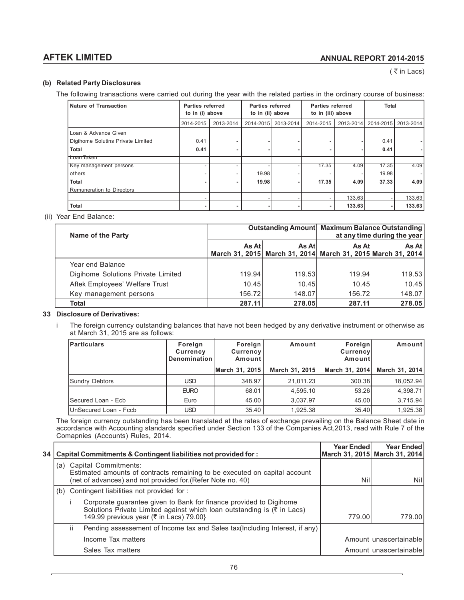$($  ₹ in Lacs)

### **(b) Related Party Disclosures**

The following transactions were carried out during the year with the related parties in the ordinary course of business:

| <b>Nature of Transaction</b>      | Parties referred<br>to in (i) above |           | <b>Parties referred</b><br>to in (ii) above |                     | <b>Parties referred</b><br>to in (iii) above |           | <b>Total</b> |                       |
|-----------------------------------|-------------------------------------|-----------|---------------------------------------------|---------------------|----------------------------------------------|-----------|--------------|-----------------------|
|                                   | 2014-2015                           | 2013-2014 |                                             | 2014-2015 2013-2014 | 2014-2015                                    | 2013-2014 |              | 2014-2015   2013-2014 |
| Loan & Advance Given              |                                     |           |                                             |                     |                                              |           |              |                       |
| Digihome Solutins Private Limited | 0.41                                |           |                                             |                     |                                              |           | 0.41         |                       |
| <b>Total</b>                      | 0.41                                |           |                                             |                     |                                              |           | 0.41         |                       |
| <b>Loan Taken</b>                 |                                     |           |                                             |                     |                                              |           |              |                       |
| Key management persons            |                                     |           |                                             | ۰                   | 17.35                                        | 4.09      | 17.35        | 4.09                  |
| others                            |                                     |           | 19.98                                       | ۰                   |                                              |           | 19.98        | $\overline{a}$        |
| Total                             |                                     |           | 19.98                                       | ۰                   | 17.35                                        | 4.09      | 37.33        | 4.09                  |
| Remuneration to Directors         |                                     |           |                                             |                     |                                              |           |              |                       |
|                                   |                                     |           |                                             |                     |                                              | 133.63    |              | 133.63                |
| Total                             |                                     |           |                                             | -                   |                                              | 133.63    |              | 133.63                |

## (ii) Year End Balance:

| Name of the Party                  |        |                                                                      | Outstanding Amount Maximum Balance Outstanding<br>at any time during the year |        |  |
|------------------------------------|--------|----------------------------------------------------------------------|-------------------------------------------------------------------------------|--------|--|
|                                    | As At  | As At<br>March 31, 2015 March 31, 2014 March 31, 2015 March 31, 2014 | As At                                                                         | As At  |  |
| Year end Balance                   |        |                                                                      |                                                                               |        |  |
| Digihome Solutions Private Limited | 119.94 | 119.53                                                               | 119.94                                                                        | 119.53 |  |
| Aftek Employees' Welfare Trust     | 10.45  | 10.45                                                                | 10.45                                                                         | 10.45  |  |
| Key management persons             | 156.72 | 148.07                                                               | 156.72                                                                        | 148.07 |  |
| <b>Total</b>                       | 287.11 | 278.05                                                               | 287.11                                                                        | 278.05 |  |

#### **33 Disclosure of Derivatives:**

i The foreign currency outstanding balances that have not been hedged by any derivative instrument or otherwise as at March 31, 2015 are as follows:

| <b>Particulars</b>    | Foreign<br>Currency<br><b>Denomination</b> | Foreign<br><b>Currency</b><br>Amount | Amount         | Foreign<br><b>Currency</b><br>Amount | Amount         |
|-----------------------|--------------------------------------------|--------------------------------------|----------------|--------------------------------------|----------------|
|                       |                                            | March 31, 2015                       | March 31, 2015 | March 31, 2014                       | March 31, 2014 |
| Sundry Debtors        | USD                                        | 348.97                               | 21,011.23      | 300.38                               | 18,052.94      |
|                       | <b>EURO</b>                                | 68.01                                | 4,595.10       | 53.26                                | 4,398.71       |
| ISecured Loan - Ecb   | Euro                                       | 45.00                                | 3.037.97       | 45.00                                | 3,715.94       |
| UnSecured Loan - Fccb | USD                                        | 35.40                                | 1.925.38       | 35.40                                | 1,925.38       |

The foreign currency outstanding has been translated at the rates of exchange prevailing on the Balance Sheet date in accordance with Accounting standards specified under Section 133 of the Companies Act,2013, read with Rule 7 of the Comapnies (Accounts) Rules, 2014.

| 34 | Capital Commitments & Contingent liabilities not provided for : |                                                                                                                                                                   |                                                                                                                                                                                                             |        | <b>Year Ended</b><br>Year Ended<br>March 31, 2015 March 31, 2014 |
|----|-----------------------------------------------------------------|-------------------------------------------------------------------------------------------------------------------------------------------------------------------|-------------------------------------------------------------------------------------------------------------------------------------------------------------------------------------------------------------|--------|------------------------------------------------------------------|
|    | (a)                                                             | Capital Commitments:<br>Estimated amounts of contracts remaining to be executed on capital account<br>(net of advances) and not provided for. (Refer Note no. 40) |                                                                                                                                                                                                             |        | <b>Nil</b>                                                       |
|    |                                                                 |                                                                                                                                                                   | (b) Contingent liabilities not provided for:                                                                                                                                                                |        |                                                                  |
|    |                                                                 |                                                                                                                                                                   | Corporate guarantee given to Bank for finance provided to Digihome<br>Solutions Private Limited against which loan outstanding is $(\bar{\bar{\zeta}})$ in Lacs)<br>149.99 previous year (₹ in Lacs) 79.00} | 779.00 | 779.00                                                           |
|    |                                                                 | $\mathbf{H}$                                                                                                                                                      | Pending assessement of Income tax and Sales tax(Including Interest, if any)                                                                                                                                 |        |                                                                  |
|    |                                                                 |                                                                                                                                                                   | Income Tax matters                                                                                                                                                                                          |        | Amount unascertainable                                           |
|    |                                                                 |                                                                                                                                                                   | Sales Tax matters                                                                                                                                                                                           |        | Amount unascertainable                                           |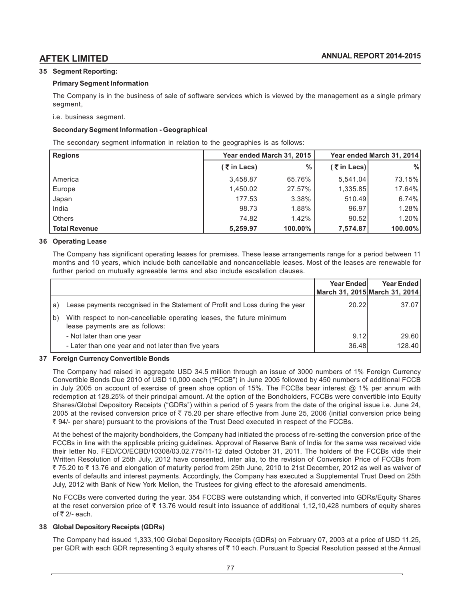### **35 Segment Reporting:**

### **Primary Segment Information**

The Company is in the business of sale of software services which is viewed by the management as a single primary segment,

i.e. business segment.

#### **Secondary Segment Information - Geographical**

The secondary segment information in relation to the geographies is as follows:

| <b>Regions</b>       | Year ended March 31, 2015 |         | Year ended March 31, 2014 |          |
|----------------------|---------------------------|---------|---------------------------|----------|
|                      | (₹in Lacs)∣               | %       | (₹in Lacs)                | %        |
| America              | 3,458.87                  | 65.76%  | 5.541.04                  | 73.15%   |
| Europe               | 1.450.02                  | 27.57%  | 1.335.85                  | 17.64%   |
| Japan                | 177.53                    | 3.38%   | 510.49                    | 6.74%    |
| India                | 98.73                     | 1.88%   | 96.97                     | 1.28%    |
| <b>Others</b>        | 74.82                     | 1.42%   | 90.52                     | $1.20\%$ |
| <b>Total Revenue</b> | 5,259.97                  | 100.00% | 7.574.87                  | 100.00%  |

### **36 Operating Lease**

The Company has significant operating leases for premises. These lease arrangements range for a period between 11 months and 10 years, which include both cancellable and noncancellable leases. Most of the leases are renewable for further period on mutually agreeable terms and also include escalation clauses.

|     |                                                                                                        | <b>Year Ended</b> | Year Ended                    |
|-----|--------------------------------------------------------------------------------------------------------|-------------------|-------------------------------|
|     |                                                                                                        |                   | March 31, 2015 March 31, 2014 |
| a)  | Lease payments recognised in the Statement of Profit and Loss during the year                          | 20.22             | 37.07                         |
| lb) | With respect to non-cancellable operating leases, the future minimum<br>lease payments are as follows: |                   |                               |
|     | - Not later than one year                                                                              | 9.12              | 29.60                         |
|     | - Later than one year and not later than five years                                                    | 36.48             | 128.40                        |

### **37 Foreign Currency Convertible Bonds**

The Company had raised in aggregate USD 34.5 million through an issue of 3000 numbers of 1% Foreign Currency Convertible Bonds Due 2010 of USD 10,000 each ("FCCB") in June 2005 followed by 450 numbers of additional FCCB in July 2005 on account of exercise of green shoe option of 15%. The FCCBs bear interest @ 1% per annum with redemption at 128.25% of their principal amount. At the option of the Bondholders, FCCBs were convertible into Equity Shares/Global Depository Receipts ("GDRs") within a period of 5 years from the date of the original issue i.e. June 24, 2005 at the revised conversion price of  $\bar{\tau}$  75.20 per share effective from June 25, 2006 (initial conversion price being ` 94/- per share) pursuant to the provisions of the Trust Deed executed in respect of the FCCBs.

At the behest of the majority bondholders, the Company had initiated the process of re-setting the conversion price of the FCCBs in line with the applicable pricing guidelines. Approval of Reserve Bank of India for the same was received vide their letter No. FED/CO/ECBD/10308/03.02.775/11-12 dated October 31, 2011. The holders of the FCCBs vide their Written Resolution of 25th July, 2012 have consented, inter alia, to the revision of Conversion Price of FCCBs from ₹ 75.20 to ₹ 13.76 and elongation of maturity period from 25th June, 2010 to 21st December, 2012 as well as waiver of events of defaults and interest payments. Accordingly, the Company has executed a Supplemental Trust Deed on 25th July, 2012 with Bank of New York Mellon, the Trustees for giving effect to the aforesaid amendments.

No FCCBs were converted during the year. 354 FCCBS were outstanding which, if converted into GDRs/Equity Shares at the reset conversion price of  $\bar{\tau}$  13.76 would result into issuance of additional 1,12,10,428 numbers of equity shares of  $\overline{\xi}$  2/- each.

### **38 Global Depository Receipts (GDRs)**

The Company had issued 1,333,100 Global Depository Receipts (GDRs) on February 07, 2003 at a price of USD 11.25, per GDR with each GDR representing 3 equity shares of ₹ 10 each. Pursuant to Special Resolution passed at the Annual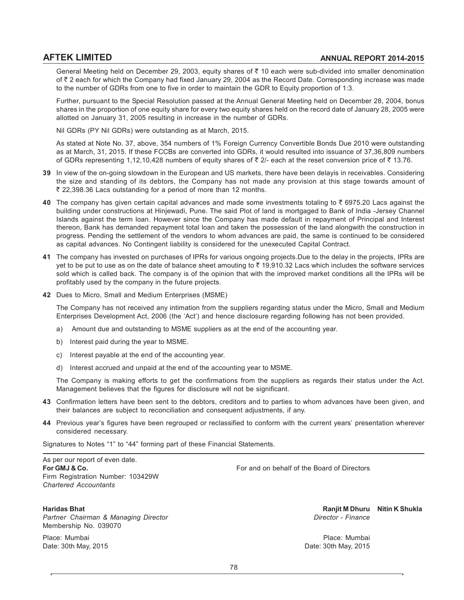General Meeting held on December 29, 2003, equity shares of ₹ 10 each were sub-divided into smaller denomination of ` 2 each for which the Company had fixed January 29, 2004 as the Record Date. Corresponding increase was made to the number of GDRs from one to five in order to maintain the GDR to Equity proportion of 1:3.

Further, pursuant to the Special Resolution passed at the Annual General Meeting held on December 28, 2004, bonus shares in the proportion of one equity share for every two equity shares held on the record date of January 28, 2005 were allotted on January 31, 2005 resulting in increase in the number of GDRs.

Nil GDRs (PY Nil GDRs) were outstanding as at March, 2015.

As stated at Note No. 37, above, 354 numbers of 1% Foreign Currency Convertible Bonds Due 2010 were outstanding as at March, 31, 2015. If these FCCBs are converted into GDRs, it would resulted into issuance of 37,36,809 numbers of GDRs representing 1,12,10,428 numbers of equity shares of  $\bar{\tau}$  2/- each at the reset conversion price of  $\bar{\tau}$  13.76.

- **39** In view of the on-going slowdown in the European and US markets, there have been delayis in receivables. Considering the size and standing of its debtors, the Company has not made any provision at this stage towards amount of  $\bar{\tau}$  22,398.36 Lacs outstanding for a period of more than 12 months.
- **40** The company has given certain capital advances and made some investments totaling to  $\bar{\tau}$  6975.20 Lacs against the building under constructions at Hinjewadi, Pune. The said Plot of land is mortgaged to Bank of India -Jersey Channel Islands against the term loan. However since the Company has made default in repayment of Principal and Interest thereon, Bank has demanded repayment total loan and taken the possession of the land alongwith the construction in progress. Pending the settlement of the vendors to whom advances are paid, the same is continued to be considered as capital advances. No Contingent liability is considered for the unexecuted Capital Contract.
- **41** The company has invested on purchases of IPRs for various ongoing projects.Due to the delay in the projects, IPRs are yet to be put to use as on the date of balance sheet amouting to  $\bar{\tau}$  19,910.32 Lacs which includes the software services sold which is called back. The company is of the opinion that with the improved market conditions all the IPRs will be profitably used by the company in the future projects.
- **42** Dues to Micro, Small and Medium Enterprises (MSME)

The Company has not received any intimation from the suppliers regarding status under the Micro, Small and Medium Enterprises Development Act, 2006 (the 'Act') and hence disclosure regarding following has not been provided.

- a) Amount due and outstanding to MSME suppliers as at the end of the accounting year.
- b) Interest paid during the year to MSME.
- c) Interest payable at the end of the accounting year.
- d) Interest accrued and unpaid at the end of the accounting year to MSME.

The Company is making efforts to get the confirmations from the suppliers as regards their status under the Act. Management believes that the figures for disclosure will not be significant.

- **43** Confirmation letters have been sent to the debtors, creditors and to parties to whom advances have been given, and their balances are subject to reconciliation and consequent adjustments, if any.
- **44** Previous year's figures have been regrouped or reclassified to conform with the current years' presentation wherever considered necessary.

Signatures to Notes "1" to "44" forming part of these Financial Statements.

As per our report of even date. **For GMJ & Co.** For and on behalf of the Board of Directors Firm Registration Number: 103429W *Chartered Accountants*

*Partner Chairman & Managing Director* Membership No. 039070

Place: Mumbai Place: Mumbai Date: 30th May, 2015 Date: 30th May, 2015

**Haridas Bhat Ranjit M Dhuru Nitin K Shukla**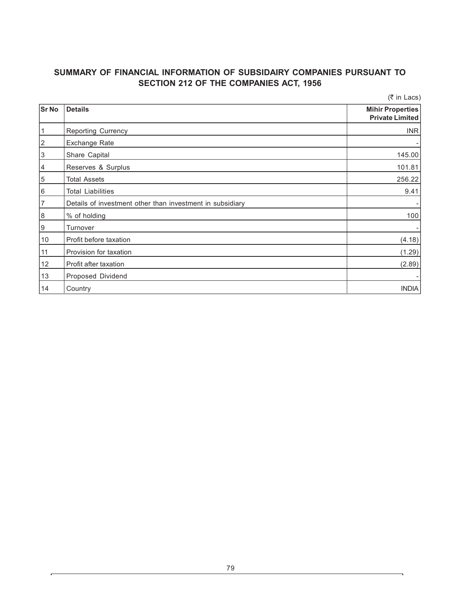# **SUMMARY OF FINANCIAL INFORMATION OF SUBSIDAIRY COMPANIES PURSUANT TO SECTION 212 OF THE COMPANIES ACT, 1956**

| <b>SrNo</b>      | <b>Details</b>                                            | <b>Mihir Properties</b><br><b>Private Limited</b> |  |  |
|------------------|-----------------------------------------------------------|---------------------------------------------------|--|--|
| $\mathbf{1}$     | <b>Reporting Currency</b>                                 | <b>INR</b>                                        |  |  |
| $\overline{2}$   | Exchange Rate                                             |                                                   |  |  |
| $\overline{3}$   | Share Capital                                             | 145.00                                            |  |  |
| $\frac{4}{1}$    | Reserves & Surplus                                        | 101.81                                            |  |  |
| $\overline{5}$   | <b>Total Assets</b>                                       | 256.22                                            |  |  |
| $6 \overline{}$  | <b>Total Liabilities</b>                                  | 9.41                                              |  |  |
| $\frac{7}{2}$    | Details of investment other than investment in subsidiary |                                                   |  |  |
| $\frac{8}{1}$    | % of holding                                              | 100                                               |  |  |
| $\boldsymbol{9}$ | Turnover                                                  |                                                   |  |  |
| 10               | Profit before taxation                                    | (4.18)                                            |  |  |
| <u>11</u>        | Provision for taxation                                    | (1.29)                                            |  |  |
| 12               | Profit after taxation                                     | (2.89)                                            |  |  |
| 13               | Proposed Dividend                                         |                                                   |  |  |
| 14               | Country                                                   | <b>INDIA</b>                                      |  |  |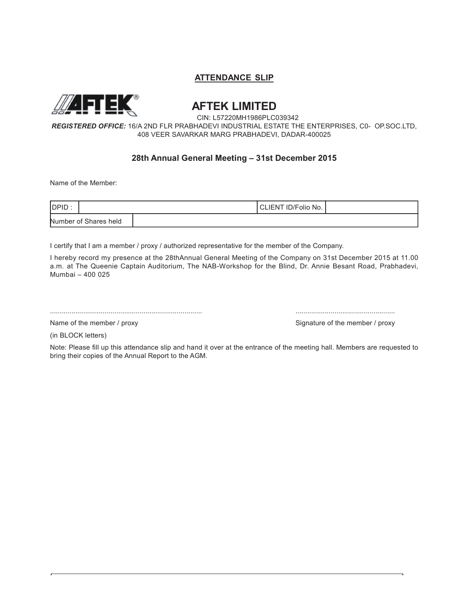# **ATTENDANCE SLIP**



# **AFTEK LIMITED**

CIN: L57220MH1986PLC039342 *REGISTERED OFFICE:* 16/A 2ND FLR PRABHADEVI INDUSTRIAL ESTATE THE ENTERPRISES, C0- OP.SOC.LTD, 408 VEER SAVARKAR MARG PRABHADEVI, DADAR-400025

# **28th Annual General Meeting ñ 31st December 2015**

Name of the Member:

| IDPID:                |  | <b>CLIENT</b><br>ID/Folio No. |  |
|-----------------------|--|-------------------------------|--|
| Number of Shares held |  |                               |  |

I certify that I am a member / proxy / authorized representative for the member of the Company.

I hereby record my presence at the 28thAnnual General Meeting of the Company on 31st December 2015 at 11.00 a.m. at The Queenie Captain Auditorium, The NAB-Workshop for the Blind, Dr. Annie Besant Road, Prabhadevi, Mumbai - 400 025

.............................................................................. ...................................................

Name of the member / proxy Name of the member / proxy

(in BLOCK letters)

Note: Please fill up this attendance slip and hand it over at the entrance of the meeting hall. Members are requested to bring their copies of the Annual Report to the AGM.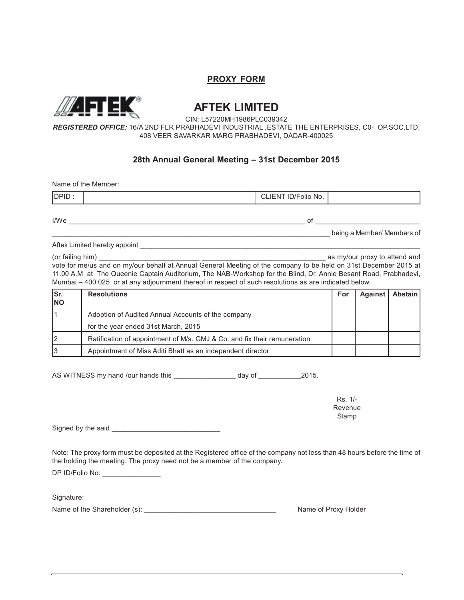# **PROXY FORM**



# **AFTEK LIMITED**

CIN: L57220MH1986PLC039342

*REGISTERED OFFICE:* 16/A 2ND FLR PRABHADEVI INDUSTRIAL ,ESTATE THE ENTERPRISES, C0- OP.SOC.LTD, 408 VEER SAVARKAR MARG PRABHADEVI, DADAR-400025

## **28th Annual General Meeting ñ 31st December 2015**

Name of the Member: DPID : CLIENT ID/Folio No. I/We \_\_\_\_\_\_\_\_\_\_\_\_\_\_\_\_\_\_\_\_\_\_\_\_\_\_\_\_\_\_\_\_\_\_\_\_\_\_\_\_\_\_\_\_\_\_\_\_\_\_\_\_\_\_\_\_\_\_\_\_\_ of \_\_\_\_\_\_\_\_\_\_\_\_\_\_\_\_\_\_\_\_\_\_\_\_\_\_\_ \_\_\_\_\_\_\_\_\_\_\_\_\_\_\_\_\_\_\_\_\_\_\_\_\_\_\_\_\_\_\_\_\_\_\_\_\_\_\_\_\_\_\_\_\_\_\_\_\_\_\_\_\_\_\_\_\_\_\_\_\_\_\_\_\_\_\_\_\_\_\_\_ being a Member/ Members of

Aftek Limited hereby appoint

(or failing him) as my/our proxy to attend and vote for me/us and on my/our behalf at Annual General Meeting of the company to be held on 31st December 2015 at 11.00 A.M at The Queenie Captain Auditorium, The NAB-Workshop for the Blind, Dr. Annie Besant Road, Prabhadevi, Mumbai – 400 025 or at any adjournment thereof in respect of such resolutions as are indicated below.

| Sr.<br><b>NO</b> | <b>Resolutions</b>                                                       | For | Against | Abstain |
|------------------|--------------------------------------------------------------------------|-----|---------|---------|
|                  | Adoption of Audited Annual Accounts of the company                       |     |         |         |
|                  | for the year ended 31st March, 2015                                      |     |         |         |
| l2               | Ratification of appointment of M/s. GMJ & Co. and fix their remuneration |     |         |         |
| l3               | Appointment of Miss Aditi Bhatt as an independent director               |     |         |         |

AS WITNESS my hand /our hands this \_\_\_\_\_\_\_\_\_\_\_\_\_\_\_\_\_\_ day of \_\_\_\_\_\_\_\_\_\_\_\_\_\_2015.

Rs. 1/- Revenue Stamp

Signed by the said \_\_\_\_\_\_\_\_\_\_\_\_\_\_\_\_\_\_\_\_\_\_\_\_\_\_\_\_

Note: The proxy form must be deposited at the Registered office of the company not less than 48 hours before the time of the holding the meeting. The proxy need not be a member of the company.

DP ID/Folio No:

Signature:

Name of the Shareholder (s): \_\_\_\_\_\_\_\_\_\_\_\_\_\_\_\_\_\_\_\_\_\_\_\_\_\_\_\_\_\_\_\_\_\_ Name of Proxy Holder